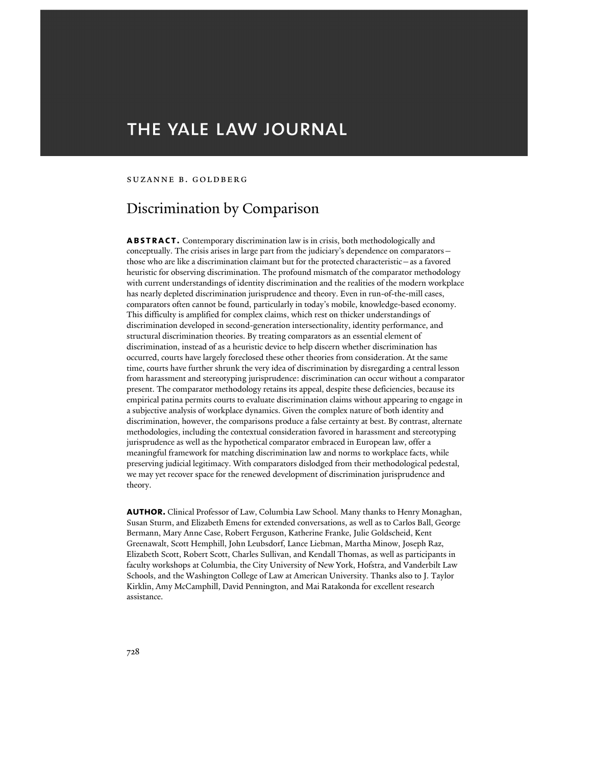# THE YALE LAW JOURNAL

#### Suzanne B. Goldberg

## Discrimination by Comparison

ABSTRACT. Contemporary discrimination law is in crisis, both methodologically and conceptually. The crisis arises in large part from the judiciary's dependence on comparators those who are like a discrimination claimant but for the protected characteristic—as a favored heuristic for observing discrimination. The profound mismatch of the comparator methodology with current understandings of identity discrimination and the realities of the modern workplace has nearly depleted discrimination jurisprudence and theory. Even in run-of-the-mill cases, comparators often cannot be found, particularly in today's mobile, knowledge-based economy. This difficulty is amplified for complex claims, which rest on thicker understandings of discrimination developed in second-generation intersectionality, identity performance, and structural discrimination theories. By treating comparators as an essential element of discrimination, instead of as a heuristic device to help discern whether discrimination has occurred, courts have largely foreclosed these other theories from consideration. At the same time, courts have further shrunk the very idea of discrimination by disregarding a central lesson from harassment and stereotyping jurisprudence: discrimination can occur without a comparator present. The comparator methodology retains its appeal, despite these deficiencies, because its empirical patina permits courts to evaluate discrimination claims without appearing to engage in a subjective analysis of workplace dynamics. Given the complex nature of both identity and discrimination, however, the comparisons produce a false certainty at best. By contrast, alternate methodologies, including the contextual consideration favored in harassment and stereotyping jurisprudence as well as the hypothetical comparator embraced in European law, offer a meaningful framework for matching discrimination law and norms to workplace facts, while preserving judicial legitimacy. With comparators dislodged from their methodological pedestal, we may yet recover space for the renewed development of discrimination jurisprudence and theory.

AUTHOR. Clinical Professor of Law, Columbia Law School. Many thanks to Henry Monaghan, Susan Sturm, and Elizabeth Emens for extended conversations, as well as to Carlos Ball, George Bermann, Mary Anne Case, Robert Ferguson, Katherine Franke, Julie Goldscheid, Kent Greenawalt, Scott Hemphill, John Leubsdorf, Lance Liebman, Martha Minow, Joseph Raz, Elizabeth Scott, Robert Scott, Charles Sullivan, and Kendall Thomas, as well as participants in faculty workshops at Columbia, the City University of New York, Hofstra, and Vanderbilt Law Schools, and the Washington College of Law at American University. Thanks also to J. Taylor Kirklin, Amy McCamphill, David Pennington, and Mai Ratakonda for excellent research assistance.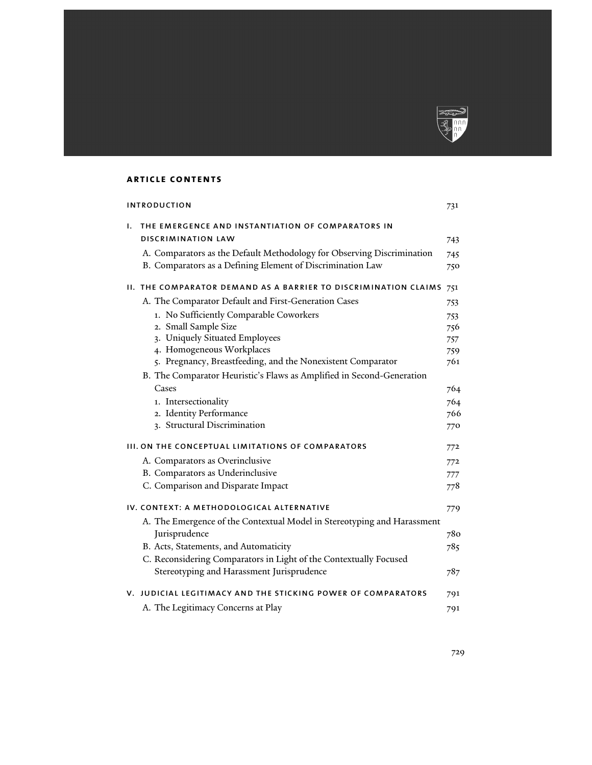

## article contents

| <b>INTRODUCTION</b>                               |                                                                                                                                      |      |
|---------------------------------------------------|--------------------------------------------------------------------------------------------------------------------------------------|------|
| ı.                                                | THE EMERGENCE AND INSTANTIATION OF COMPARATORS IN<br><b>DISCRIMINATION LAW</b>                                                       | 743  |
|                                                   |                                                                                                                                      |      |
|                                                   | A. Comparators as the Default Methodology for Observing Discrimination<br>B. Comparators as a Defining Element of Discrimination Law | 745  |
|                                                   |                                                                                                                                      | 750  |
|                                                   | II. THE COMPARATOR DEMAND AS A BARRIER TO DISCRIMINATION CLAIMS                                                                      | 751  |
|                                                   | A. The Comparator Default and First-Generation Cases                                                                                 | 753  |
|                                                   | 1. No Sufficiently Comparable Coworkers                                                                                              | 753  |
|                                                   | 2. Small Sample Size                                                                                                                 | 756  |
|                                                   | 3. Uniquely Situated Employees                                                                                                       | 757  |
|                                                   | 4. Homogeneous Workplaces                                                                                                            | 759. |
|                                                   | 5. Pregnancy, Breastfeeding, and the Nonexistent Comparator                                                                          | 761  |
|                                                   | B. The Comparator Heuristic's Flaws as Amplified in Second-Generation                                                                |      |
|                                                   | Cases                                                                                                                                | 764  |
|                                                   | 1. Intersectionality                                                                                                                 | 764  |
|                                                   | 2. Identity Performance                                                                                                              | 766  |
|                                                   | 3. Structural Discrimination                                                                                                         | 770  |
| III. ON THE CONCEPTUAL LIMITATIONS OF COMPARATORS |                                                                                                                                      | 772  |
|                                                   | A. Comparators as Overinclusive                                                                                                      | 772  |
|                                                   | B. Comparators as Underinclusive                                                                                                     | 777  |
|                                                   | C. Comparison and Disparate Impact                                                                                                   | 778  |
|                                                   | IV. CONTEXT: A METHODOLOGICAL ALTERNATIVE                                                                                            | 779  |
|                                                   | A. The Emergence of the Contextual Model in Stereotyping and Harassment                                                              |      |
|                                                   | Jurisprudence                                                                                                                        | 780  |
|                                                   | B. Acts, Statements, and Automaticity                                                                                                | 785  |
|                                                   | C. Reconsidering Comparators in Light of the Contextually Focused                                                                    |      |
|                                                   | Stereotyping and Harassment Jurisprudence                                                                                            | 787  |
|                                                   | V. JUDICIAL LEGITIMACY AND THE STICKING POWER OF COMPARATORS                                                                         | 791  |
|                                                   | A. The Legitimacy Concerns at Play                                                                                                   | 791  |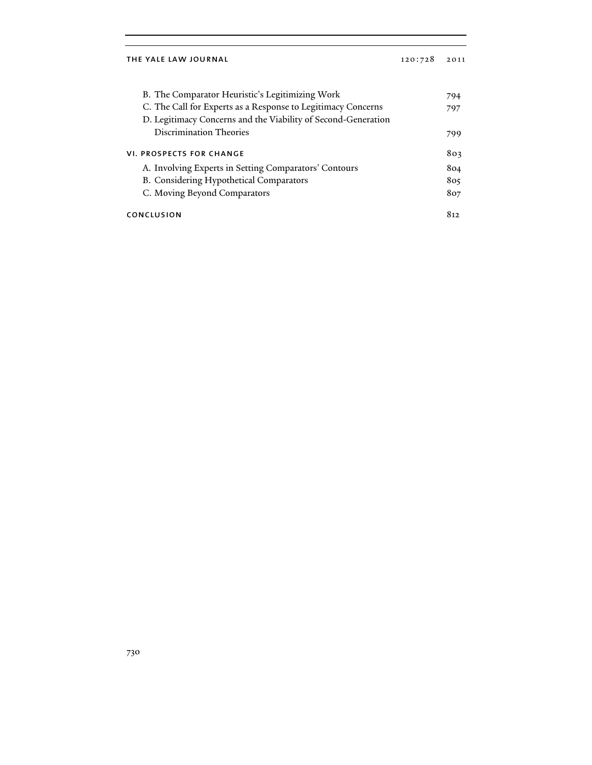| B. The Comparator Heuristic's Legitimizing Work               | 794 |
|---------------------------------------------------------------|-----|
| C. The Call for Experts as a Response to Legitimacy Concerns  | 797 |
| D. Legitimacy Concerns and the Viability of Second-Generation |     |
| Discrimination Theories                                       | 799 |
| VI. PROSPECTS FOR CHANGE                                      | 803 |
| A. Involving Experts in Setting Comparators' Contours         | 804 |
| B. Considering Hypothetical Comparators                       | 805 |
| C. Moving Beyond Comparators                                  | 807 |
| CONCLUSION                                                    |     |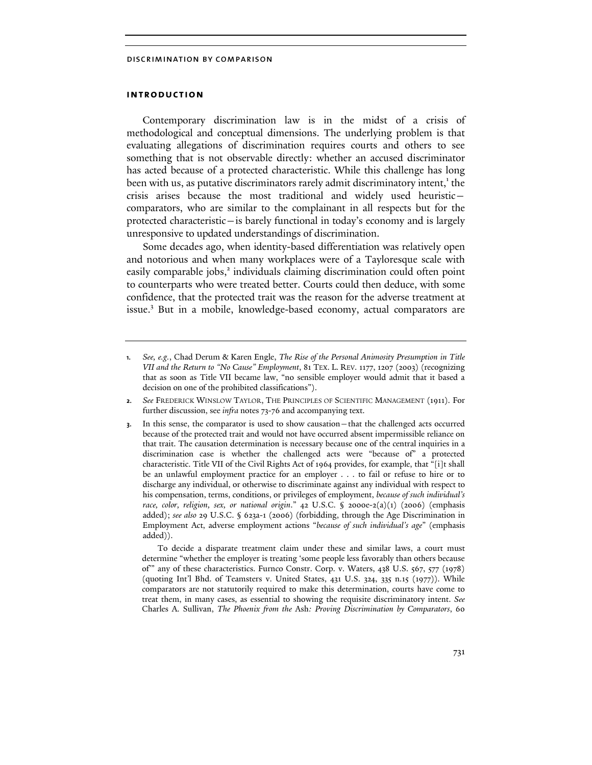## introduction

Contemporary discrimination law is in the midst of a crisis of methodological and conceptual dimensions. The underlying problem is that evaluating allegations of discrimination requires courts and others to see something that is not observable directly: whether an accused discriminator has acted because of a protected characteristic. While this challenge has long been with us, as putative discriminators rarely admit discriminatory intent,<sup>1</sup> the crisis arises because the most traditional and widely used heuristic comparators, who are similar to the complainant in all respects but for the protected characteristic—is barely functional in today's economy and is largely unresponsive to updated understandings of discrimination.

Some decades ago, when identity-based differentiation was relatively open and notorious and when many workplaces were of a Tayloresque scale with easily comparable jobs,<sup>2</sup> individuals claiming discrimination could often point to counterparts who were treated better. Courts could then deduce, with some confidence, that the protected trait was the reason for the adverse treatment at issue.<sup>3</sup> But in a mobile, knowledge-based economy, actual comparators are

To decide a disparate treatment claim under these and similar laws, a court must determine "whether the employer is treating 'some people less favorably than others because of'" any of these characteristics. Furnco Constr. Corp. v. Waters, 438 U.S. 567, 577 (1978) (quoting Int'l Bhd. of Teamsters v. United States, 431 U.S. 324, 335 n.15 (1977)). While comparators are not statutorily required to make this determination, courts have come to treat them, in many cases, as essential to showing the requisite discriminatory intent. *See*  Charles A. Sullivan, *The Phoenix from the* Ash*: Proving Discrimination by Comparators*, 60

<sup>1.</sup> *See, e.g.*, Chad Derum & Karen Engle, *The Rise of the Personal Animosity Presumption in Title VII and the Return to "No Cause" Employment*, 81 TEX. L. REV. 1177, 1207 (2003) (recognizing that as soon as Title VII became law, "no sensible employer would admit that it based a decision on one of the prohibited classifications").

<sup>2.</sup> *See* FREDERICK WINSLOW TAYLOR, THE PRINCIPLES OF SCIENTIFIC MANAGEMENT (1911). For further discussion, see *infra* notes 73-76 and accompanying text.

<sup>3.</sup> In this sense, the comparator is used to show causation—that the challenged acts occurred because of the protected trait and would not have occurred absent impermissible reliance on that trait. The causation determination is necessary because one of the central inquiries in a discrimination case is whether the challenged acts were "because of" a protected characteristic. Title VII of the Civil Rights Act of 1964 provides, for example, that "[i]t shall be an unlawful employment practice for an employer . . . to fail or refuse to hire or to discharge any individual, or otherwise to discriminate against any individual with respect to his compensation, terms, conditions, or privileges of employment, *because of such individual's race, color, religion, sex, or national origin*." 42 U.S.C. § 2000e-2(a)(1) (2006) (emphasis added); *see also* 29 U.S.C. § 623a-1 (2006) (forbidding, through the Age Discrimination in Employment Act, adverse employment actions "*because of such individual's age*" (emphasis added)).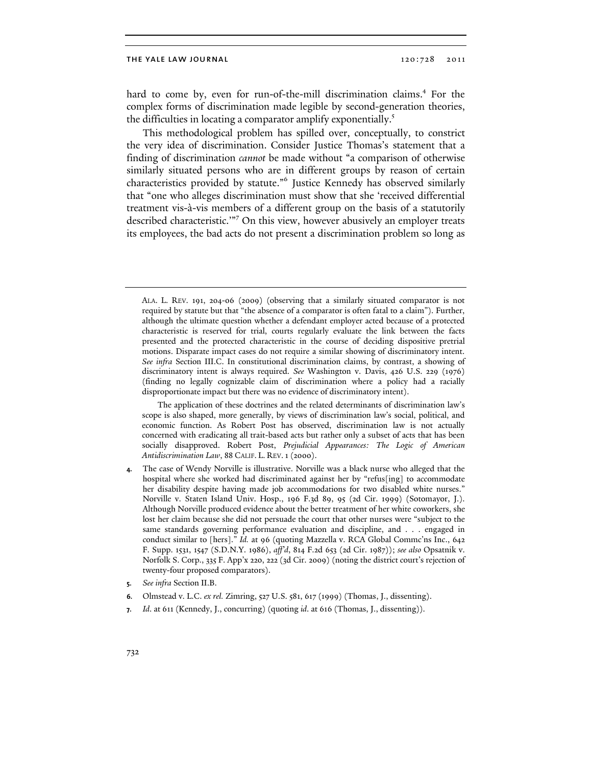hard to come by, even for run-of-the-mill discrimination claims.<sup>4</sup> For the complex forms of discrimination made legible by second-generation theories, the difficulties in locating a comparator amplify exponentially.<sup>5</sup>

This methodological problem has spilled over, conceptually, to constrict the very idea of discrimination. Consider Justice Thomas's statement that a finding of discrimination cannot be made without "a comparison of otherwise similarly situated persons who are in different groups by reason of certain characteristics provided by statute."<sup>6</sup> Justice Kennedy has observed similarly that "one who alleges discrimination must show that she 'received differential treatment vis-à-vis members of a different group on the basis of a statutorily described characteristic.'"<sup>7</sup> On this view, however abusively an employer treats its employees, the bad acts do not present a discrimination problem so long as

ALA. L. REV. 191, 204-06 (2009) (observing that a similarly situated comparator is not required by statute but that "the absence of a comparator is often fatal to a claim"). Further, although the ultimate question whether a defendant employer acted because of a protected characteristic is reserved for trial, courts regularly evaluate the link between the facts presented and the protected characteristic in the course of deciding dispositive pretrial motions. Disparate impact cases do not require a similar showing of discriminatory intent. *See infra* Section III.C. In constitutional discrimination claims, by contrast, a showing of discriminatory intent is always required. *See* Washington v. Davis, 426 U.S. 229 (1976) (finding no legally cognizable claim of discrimination where a policy had a racially disproportionate impact but there was no evidence of discriminatory intent).

The application of these doctrines and the related determinants of discrimination law's scope is also shaped, more generally, by views of discrimination law's social, political, and economic function. As Robert Post has observed, discrimination law is not actually concerned with eradicating all trait-based acts but rather only a subset of acts that has been socially disapproved. Robert Post, *Prejudicial Appearances: The Logic of American Antidiscrimination Law*, 88 CALIF. L. REV.1 (2000).

- The case of Wendy Norville is illustrative. Norville was a black nurse who alleged that the hospital where she worked had discriminated against her by "refus[ing] to accommodate her disability despite having made job accommodations for two disabled white nurses." Norville v. Staten Island Univ. Hosp., 196 F.3d 89, 95 (2d Cir. 1999) (Sotomayor, J.). Although Norville produced evidence about the better treatment of her white coworkers, she lost her claim because she did not persuade the court that other nurses were "subject to the same standards governing performance evaluation and discipline, and . . . engaged in conduct similar to [hers]." *Id.* at 96 (quoting Mazzella v. RCA Global Commc'ns Inc., 642 F. Supp. 1531, 1547 (S.D.N.Y. 1986), *aff'd*, 814 F.2d 653 (2d Cir. 1987)); *see also* Opsatnik v. Norfolk S. Corp., 335 F. App'x 220, 222 (3d Cir. 2009) (noting the district court's rejection of twenty-four proposed comparators).
- 5. *See infra* Section II.B.
- 6. Olmstead v. L.C. *ex rel.* Zimring, 527 U.S. 581, 617 (1999) (Thomas, J., dissenting).
- 7. *Id*. at 611 (Kennedy, J., concurring) (quoting *id*. at 616 (Thomas, J., dissenting)).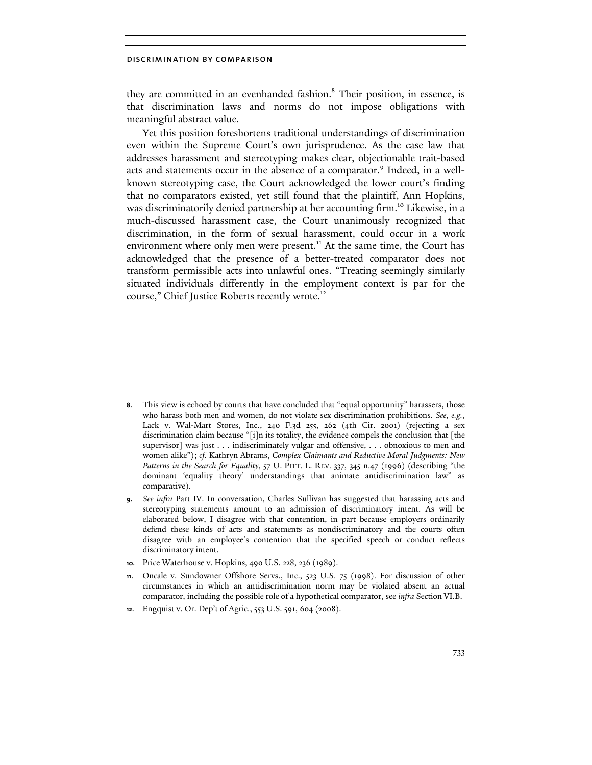they are committed in an evenhanded fashion.<sup>8</sup> Their position, in essence, is that discrimination laws and norms do not impose obligations with meaningful abstract value.

Yet this position foreshortens traditional understandings of discrimination even within the Supreme Court's own jurisprudence. As the case law that addresses harassment and stereotyping makes clear, objectionable trait-based acts and statements occur in the absence of a comparator. 9 Indeed, in a wellknown stereotyping case, the Court acknowledged the lower court's finding that no comparators existed, yet still found that the plaintiff, Ann Hopkins, was discriminatorily denied partnership at her accounting firm.<sup>10</sup> Likewise, in a much-discussed harassment case, the Court unanimously recognized that discrimination, in the form of sexual harassment, could occur in a work environment where only men were present.<sup>11</sup> At the same time, the Court has acknowledged that the presence of a better-treated comparator does not transform permissible acts into unlawful ones. "Treating seemingly similarly situated individuals differently in the employment context is par for the course," Chief Justice Roberts recently wrote.<sup>12</sup>

10. Price Waterhouse v. Hopkins, 490 U.S. 228, 236 (1989).

12. Engquist v. Or. Dep't of Agric., 553 U.S. 591, 604 (2008).

<sup>8.</sup> This view is echoed by courts that have concluded that "equal opportunity" harassers, those who harass both men and women, do not violate sex discrimination prohibitions. *See, e.g.*, Lack v. Wal-Mart Stores, Inc., 240 F.3d 255, 262 (4th Cir. 2001) (rejecting a sex discrimination claim because "[i]n its totality, the evidence compels the conclusion that [the supervisor] was just . . . indiscriminately vulgar and offensive, . . . obnoxious to men and women alike"); *cf.* Kathryn Abrams, *Complex Claimants and Reductive Moral Judgments: New Patterns in the Search for Equality*, 57 U. PITT. L. REV. 337, 345 n.47 (1996) (describing "the dominant 'equality theory' understandings that animate antidiscrimination law" as comparative).

<sup>9.</sup> *See infra* Part IV. In conversation, Charles Sullivan has suggested that harassing acts and stereotyping statements amount to an admission of discriminatory intent. As will be elaborated below, I disagree with that contention, in part because employers ordinarily defend these kinds of acts and statements as nondiscriminatory and the courts often disagree with an employee's contention that the specified speech or conduct reflects discriminatory intent.

<sup>11.</sup> Oncale v. Sundowner Offshore Servs., Inc., 523 U.S. 75 (1998). For discussion of other circumstances in which an antidiscrimination norm may be violated absent an actual comparator, including the possible role of a hypothetical comparator, see *infra* Section VI.B.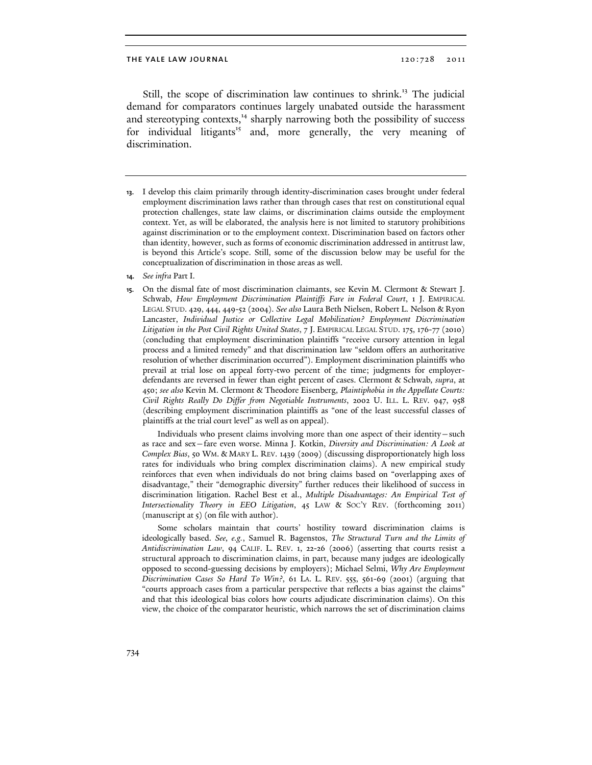Still, the scope of discrimination law continues to shrink.<sup>13</sup> The judicial demand for comparators continues largely unabated outside the harassment and stereotyping contexts, $14$  sharply narrowing both the possibility of success for individual litigants<sup>15</sup> and, more generally, the very meaning of discrimination.

Individuals who present claims involving more than one aspect of their identity—such as race and sex—fare even worse. Minna J. Kotkin, *Diversity and Discrimination: A Look at Complex Bias*, 50 WM. & MARY L. REV. 1439 (2009) (discussing disproportionately high loss rates for individuals who bring complex discrimination claims). A new empirical study reinforces that even when individuals do not bring claims based on "overlapping axes of disadvantage," their "demographic diversity" further reduces their likelihood of success in discrimination litigation. Rachel Best et al., *Multiple Disadvantages: An Empirical Test of Intersectionality Theory in EEO Litigation*, 45 LAW & SOC'Y REV. (forthcoming 2011) (manuscript at 5) (on file with author).

Some scholars maintain that courts' hostility toward discrimination claims is ideologically based. *See, e.g.*, Samuel R. Bagenstos, *The Structural Turn and the Limits of Antidiscrimination Law*, 94 CALIF. L. REV. 1, 22-26 (2006) (asserting that courts resist a structural approach to discrimination claims, in part, because many judges are ideologically opposed to second-guessing decisions by employers); Michael Selmi, *Why Are Employment Discrimination Cases So Hard To Win?*, 61 LA. L. REV. 555, 561-69 (2001) (arguing that "courts approach cases from a particular perspective that reflects a bias against the claims" and that this ideological bias colors how courts adjudicate discrimination claims). On this view, the choice of the comparator heuristic, which narrows the set of discrimination claims

<sup>13.</sup> I develop this claim primarily through identity-discrimination cases brought under federal employment discrimination laws rather than through cases that rest on constitutional equal protection challenges, state law claims, or discrimination claims outside the employment context. Yet, as will be elaborated, the analysis here is not limited to statutory prohibitions against discrimination or to the employment context. Discrimination based on factors other than identity, however, such as forms of economic discrimination addressed in antitrust law, is beyond this Article's scope. Still, some of the discussion below may be useful for the conceptualization of discrimination in those areas as well.

<sup>14.</sup> *See infra* Part I.

<sup>15.</sup> On the dismal fate of most discrimination claimants, see Kevin M. Clermont & Stewart J. Schwab, *How Employment Discrimination Plaintiffs Fare in Federal Court*, 1 J. EMPIRICAL LEGAL STUD. 429, 444, 449-52 (2004). *See also* Laura Beth Nielsen, Robert L. Nelson & Ryon Lancaster, *Individual Justice or Collective Legal Mobilization? Employment Discrimination Litigation in the Post Civil Rights United States*, 7 J. EMPIRICAL LEGAL STUD. 175, 176-77 (2010) (concluding that employment discrimination plaintiffs "receive cursory attention in legal process and a limited remedy" and that discrimination law "seldom offers an authoritative resolution of whether discrimination occurred"). Employment discrimination plaintiffs who prevail at trial lose on appeal forty-two percent of the time; judgments for employerdefendants are reversed in fewer than eight percent of cases. Clermont & Schwab*, supra*, at 450; *see also* Kevin M. Clermont & Theodore Eisenberg, *Plaintiphobia in the Appellate Courts: Civil Rights Really Do Differ from Negotiable Instruments*, 2002 U. ILL. L. REV. 947, 958 (describing employment discrimination plaintiffs as "one of the least successful classes of plaintiffs at the trial court level" as well as on appeal).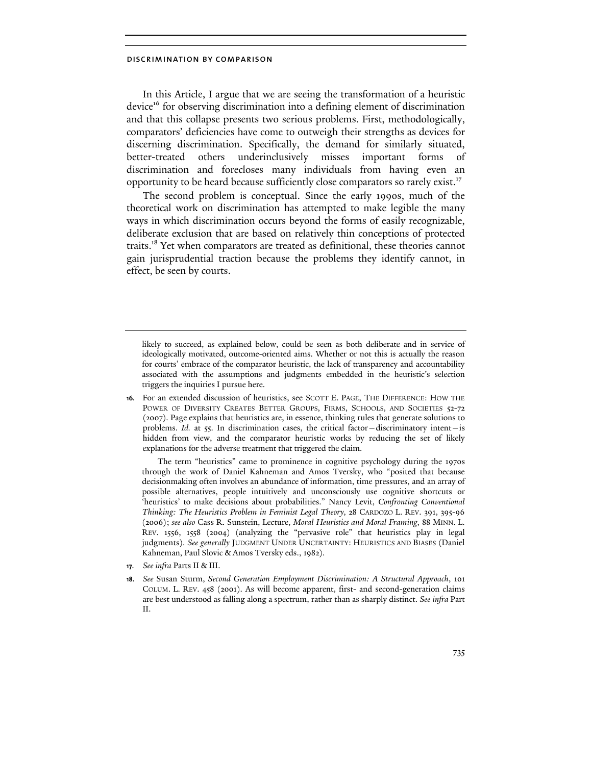In this Article, I argue that we are seeing the transformation of a heuristic device<sup>16</sup> for observing discrimination into a defining element of discrimination and that this collapse presents two serious problems. First, methodologically, comparators' deficiencies have come to outweigh their strengths as devices for discerning discrimination. Specifically, the demand for similarly situated, better-treated others underinclusively misses important forms of discrimination and forecloses many individuals from having even an opportunity to be heard because sufficiently close comparators so rarely exist.<sup>17</sup>

The second problem is conceptual. Since the early 1990s, much of the theoretical work on discrimination has attempted to make legible the many ways in which discrimination occurs beyond the forms of easily recognizable, deliberate exclusion that are based on relatively thin conceptions of protected traits.<sup>18</sup> Yet when comparators are treated as definitional, these theories cannot gain jurisprudential traction because the problems they identify cannot, in effect, be seen by courts.

likely to succeed, as explained below, could be seen as both deliberate and in service of ideologically motivated, outcome-oriented aims. Whether or not this is actually the reason for courts' embrace of the comparator heuristic, the lack of transparency and accountability associated with the assumptions and judgments embedded in the heuristic's selection triggers the inquiries I pursue here.

16. For an extended discussion of heuristics, see SCOTT E. PAGE, THE DIFFERENCE: HOW THE POWER OF DIVERSITY CREATES BETTER GROUPS, FIRMS, SCHOOLS, AND SOCIETIES 52-72 (2007). Page explains that heuristics are, in essence, thinking rules that generate solutions to problems. *Id.* at 55. In discrimination cases, the critical factor—discriminatory intent—is hidden from view, and the comparator heuristic works by reducing the set of likely explanations for the adverse treatment that triggered the claim.

The term "heuristics" came to prominence in cognitive psychology during the 1970s through the work of Daniel Kahneman and Amos Tversky, who "posited that because decisionmaking often involves an abundance of information, time pressures, and an array of possible alternatives, people intuitively and unconsciously use cognitive shortcuts or 'heuristics' to make decisions about probabilities." Nancy Levit, *Confronting Conventional Thinking: The Heuristics Problem in Feminist Legal Theory*, 28 CARDOZO L. REV. 391, 395-96 (2006); *see also* Cass R. Sunstein, Lecture, *Moral Heuristics and Moral Framing*, 88 MINN. L. REV. 1556, 1558 (2004) (analyzing the "pervasive role" that heuristics play in legal judgments). *See generally* JUDGMENT UNDER UNCERTAINTY: HEURISTICS AND BIASES (Daniel Kahneman, Paul Slovic & Amos Tversky eds., 1982).

- 17. *See infra* Parts II & III.
- 18. *See* Susan Sturm, *Second Generation Employment Discrimination: A Structural Approach*, 101 COLUM. L. REV. 458 (2001). As will become apparent, first- and second-generation claims are best understood as falling along a spectrum, rather than as sharply distinct. *See infra* Part II.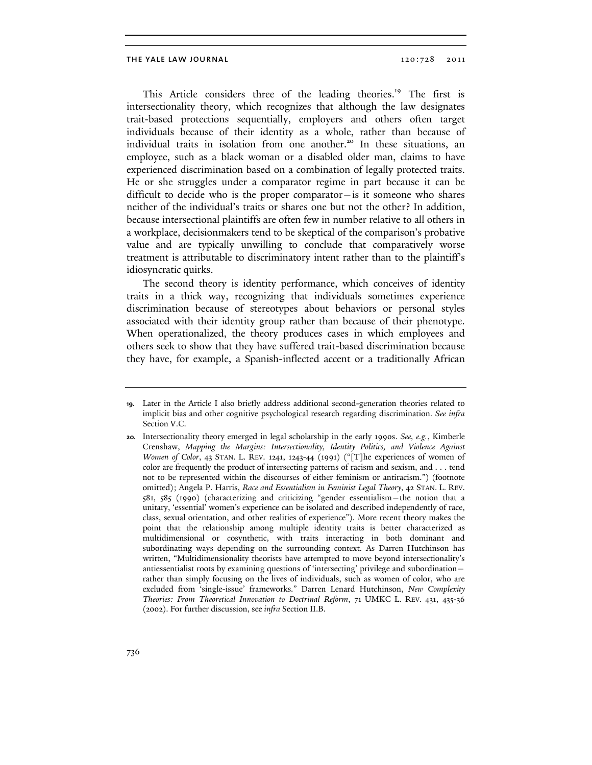This Article considers three of the leading theories.<sup>19</sup> The first is intersectionality theory, which recognizes that although the law designates trait-based protections sequentially, employers and others often target individuals because of their identity as a whole, rather than because of individual traits in isolation from one another.<sup>20</sup> In these situations, an employee, such as a black woman or a disabled older man, claims to have experienced discrimination based on a combination of legally protected traits. He or she struggles under a comparator regime in part because it can be difficult to decide who is the proper comparator—is it someone who shares neither of the individual's traits or shares one but not the other? In addition, because intersectional plaintiffs are often few in number relative to all others in a workplace, decisionmakers tend to be skeptical of the comparison's probative value and are typically unwilling to conclude that comparatively worse treatment is attributable to discriminatory intent rather than to the plaintiff's idiosyncratic quirks.

The second theory is identity performance, which conceives of identity traits in a thick way, recognizing that individuals sometimes experience discrimination because of stereotypes about behaviors or personal styles associated with their identity group rather than because of their phenotype. When operationalized, the theory produces cases in which employees and others seek to show that they have suffered trait-based discrimination because they have, for example, a Spanish-inflected accent or a traditionally African

<sup>19.</sup> Later in the Article I also briefly address additional second-generation theories related to implicit bias and other cognitive psychological research regarding discrimination. *See infra*  Section V.C.

<sup>20.</sup> Intersectionality theory emerged in legal scholarship in the early 1990s. *See, e.g.*, Kimberle Crenshaw, *Mapping the Margins: Intersectionality, Identity Politics, and Violence Against Women of Color*, 43 STAN. L. REV. 1241, 1243-44 (1991) ("[T]he experiences of women of color are frequently the product of intersecting patterns of racism and sexism, and . . . tend not to be represented within the discourses of either feminism or antiracism.") (footnote omitted); Angela P. Harris, *Race and Essentialism in Feminist Legal Theory*, 42 STAN. L. REV. 581, 585 (1990) (characterizing and criticizing "gender essentialism—the notion that a unitary, 'essential' women's experience can be isolated and described independently of race, class, sexual orientation, and other realities of experience"). More recent theory makes the point that the relationship among multiple identity traits is better characterized as multidimensional or cosynthetic, with traits interacting in both dominant and subordinating ways depending on the surrounding context. As Darren Hutchinson has written, "Multidimensionality theorists have attempted to move beyond intersectionality's antiessentialist roots by examining questions of 'intersecting' privilege and subordination rather than simply focusing on the lives of individuals, such as women of color, who are excluded from 'single-issue' frameworks." Darren Lenard Hutchinson, *New Complexity Theories: From Theoretical Innovation to Doctrinal Reform*, 71 UMKC L. REV. 431, 435-36 (2002). For further discussion, see *infra* Section II.B.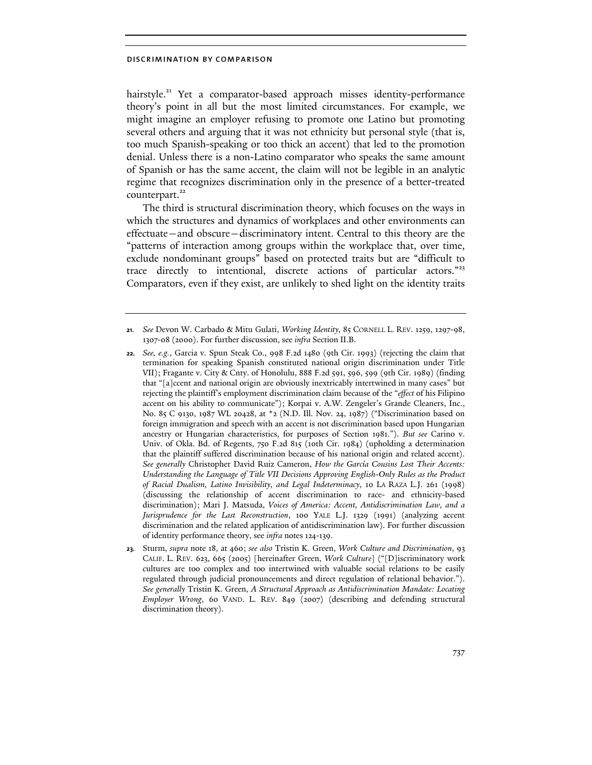hairstyle.<sup>21</sup> Yet a comparator-based approach misses identity-performance theory's point in all but the most limited circumstances. For example, we might imagine an employer refusing to promote one Latino but promoting several others and arguing that it was not ethnicity but personal style (that is, too much Spanish-speaking or too thick an accent) that led to the promotion denial. Unless there is a non-Latino comparator who speaks the same amount of Spanish or has the same accent, the claim will not be legible in an analytic regime that recognizes discrimination only in the presence of a better-treated counterpart.<sup>22</sup>

The third is structural discrimination theory, which focuses on the ways in which the structures and dynamics of workplaces and other environments can effectuate—and obscure—discriminatory intent. Central to this theory are the "patterns of interaction among groups within the workplace that, over time, exclude nondominant groups" based on protected traits but are "difficult to trace directly to intentional, discrete actions of particular actors."<sup>23</sup> Comparators, even if they exist, are unlikely to shed light on the identity traits

<sup>21.</sup> *See* Devon W. Carbado & Mitu Gulati, *Working Identity*, 85 CORNELL L. REV. 1259, 1297-98, 1307-08 (2000). For further discussion, see *infra* Section II.B.

<sup>22.</sup> *See, e.g.*, Garcia v. Spun Steak Co., 998 F.2d 1480 (9th Cir. 1993) (rejecting the claim that termination for speaking Spanish constituted national origin discrimination under Title VII); Fragante v. City & Cnty. of Honolulu, 888 F.2d 591, 596, 599 (9th Cir. 1989) (finding that "[a]ccent and national origin are obviously inextricably intertwined in many cases" but rejecting the plaintiff's employment discrimination claim because of the "*effect* of his Filipino accent on his ability to communicate"); Korpai v. A.W. Zengeler's Grande Cleaners, Inc., No. 85 C 9130, 1987 WL 20428, at \*2 (N.D. Ill. Nov. 24, 1987) ("Discrimination based on foreign immigration and speech with an accent is not discrimination based upon Hungarian ancestry or Hungarian characteristics, for purposes of Section 1981."). *But see* Carino v. Univ. of Okla. Bd. of Regents, 750 F.2d 815 (10th Cir. 1984) (upholding a determination that the plaintiff suffered discrimination because of his national origin and related accent). *See generally* Christopher David Ruiz Cameron, *How the García Cousins Lost Their Accents: Understanding the Language of Title VII Decisions Approving English-Only Rules as the Product of Racial Dualism, Latino Invisibility, and Legal Indeterminacy*, 10 LA RAZA L.J. 261 (1998) (discussing the relationship of accent discrimination to race- and ethnicity-based discrimination); Mari J. Matsuda, *Voices of America: Accent, Antidiscrimination Law, and a Jurisprudence for the Last Reconstruction*, 100 YALE L.J. 1329 (1991) (analyzing accent discrimination and the related application of antidiscrimination law). For further discussion of identity performance theory, see *infra* notes 124-139.

<sup>23.</sup> Sturm, *supra* note 18, at 460; *see also* Tristin K. Green, *Work Culture and Discrimination*, 93 CALIF. L. REV. 623, 665 (2005) [hereinafter Green, *Work Culture*] ("[D]iscriminatory work cultures are too complex and too intertwined with valuable social relations to be easily regulated through judicial pronouncements and direct regulation of relational behavior."). *See generally* Tristin K. Green, *A Structural Approach as Antidiscrimination Mandate: Locating Employer Wrong*, 60 VAND. L. REV. 849 (2007) (describing and defending structural discrimination theory).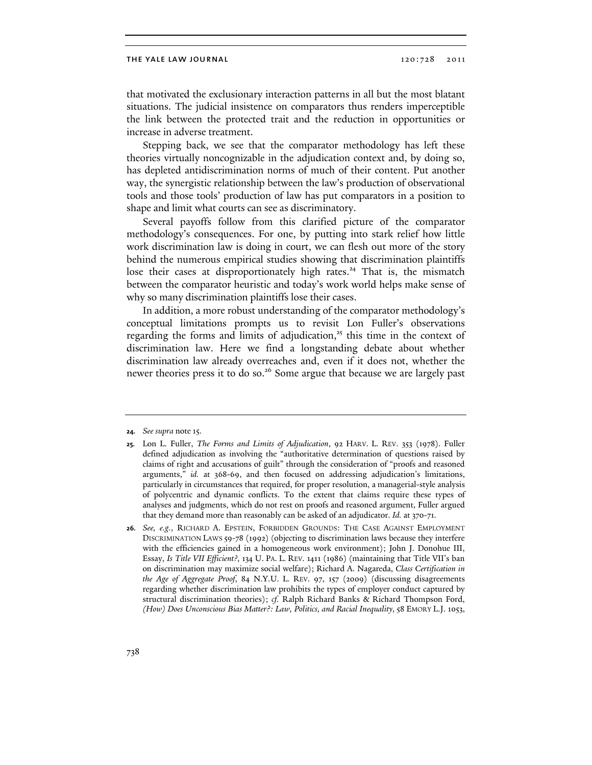that motivated the exclusionary interaction patterns in all but the most blatant situations. The judicial insistence on comparators thus renders imperceptible the link between the protected trait and the reduction in opportunities or increase in adverse treatment.

Stepping back, we see that the comparator methodology has left these theories virtually noncognizable in the adjudication context and, by doing so, has depleted antidiscrimination norms of much of their content. Put another way, the synergistic relationship between the law's production of observational tools and those tools' production of law has put comparators in a position to shape and limit what courts can see as discriminatory.

Several payoffs follow from this clarified picture of the comparator methodology's consequences. For one, by putting into stark relief how little work discrimination law is doing in court, we can flesh out more of the story behind the numerous empirical studies showing that discrimination plaintiffs lose their cases at disproportionately high rates.<sup>24</sup> That is, the mismatch between the comparator heuristic and today's work world helps make sense of why so many discrimination plaintiffs lose their cases.

In addition, a more robust understanding of the comparator methodology's conceptual limitations prompts us to revisit Lon Fuller's observations regarding the forms and limits of adjudication,<sup>25</sup> this time in the context of discrimination law. Here we find a longstanding debate about whether discrimination law already overreaches and, even if it does not, whether the newer theories press it to do so.<sup>26</sup> Some argue that because we are largely past

26. *See, e.g.*, RICHARD A. EPSTEIN, FORBIDDEN GROUNDS: THE CASE AGAINST EMPLOYMENT DISCRIMINATION LAWS 59-78 (1992) (objecting to discrimination laws because they interfere with the efficiencies gained in a homogeneous work environment); John J. Donohue III, Essay, *Is Title VII Efficient?*, 134 U. PA. L. REV. 1411 (1986) (maintaining that Title VII's ban on discrimination may maximize social welfare); Richard A. Nagareda, *Class Certification in the Age of Aggregate Proof*, 84 N.Y.U. L. REV. 97, 157 (2009) (discussing disagreements regarding whether discrimination law prohibits the types of employer conduct captured by structural discrimination theories); *cf.* Ralph Richard Banks & Richard Thompson Ford, *(How) Does Unconscious Bias Matter?: Law, Politics, and Racial Inequality*, 58 EMORY L.J. 1053,

<sup>24.</sup> *See supra* note 15.

<sup>25.</sup> Lon L. Fuller, *The Forms and Limits of Adjudication*, 92 HARV. L. REV. 353 (1978). Fuller defined adjudication as involving the "authoritative determination of questions raised by claims of right and accusations of guilt" through the consideration of "proofs and reasoned arguments," *id.* at 368-69, and then focused on addressing adjudication's limitations, particularly in circumstances that required, for proper resolution, a managerial-style analysis of polycentric and dynamic conflicts. To the extent that claims require these types of analyses and judgments, which do not rest on proofs and reasoned argument, Fuller argued that they demand more than reasonably can be asked of an adjudicator. *Id.* at 370-71.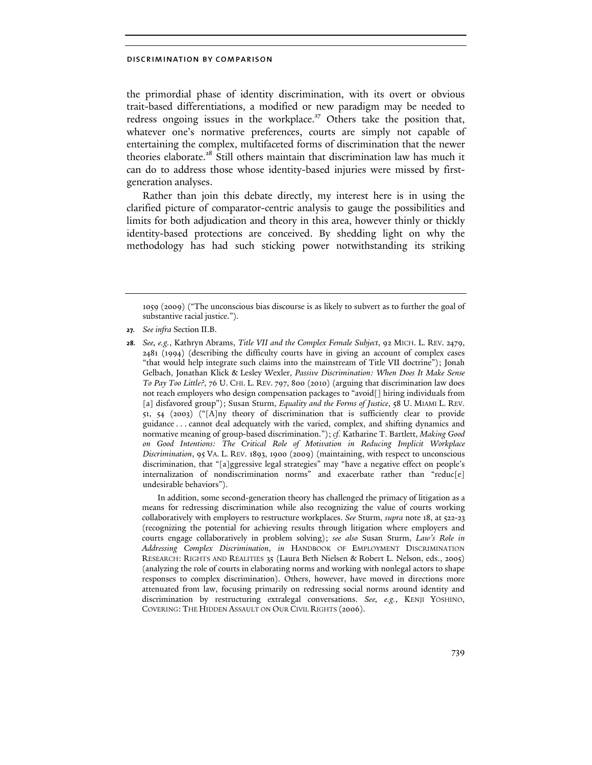the primordial phase of identity discrimination, with its overt or obvious trait-based differentiations, a modified or new paradigm may be needed to redress ongoing issues in the workplace.<sup>27</sup> Others take the position that, whatever one's normative preferences, courts are simply not capable of entertaining the complex, multifaceted forms of discrimination that the newer theories elaborate.<sup>28</sup> Still others maintain that discrimination law has much it can do to address those whose identity-based injuries were missed by firstgeneration analyses.

Rather than join this debate directly, my interest here is in using the clarified picture of comparator-centric analysis to gauge the possibilities and limits for both adjudication and theory in this area, however thinly or thickly identity-based protections are conceived. By shedding light on why the methodology has had such sticking power notwithstanding its striking

In addition, some second-generation theory has challenged the primacy of litigation as a means for redressing discrimination while also recognizing the value of courts working collaboratively with employers to restructure workplaces. *See* Sturm, *supra* note 18, at 522-23 (recognizing the potential for achieving results through litigation where employers and courts engage collaboratively in problem solving); *see also* Susan Sturm, *Law's Role in Addressing Complex Discrimination*, *in* HANDBOOK OF EMPLOYMENT DISCRIMINATION RESEARCH: RIGHTS AND REALITIES 35 (Laura Beth Nielsen & Robert L. Nelson, eds., 2005) (analyzing the role of courts in elaborating norms and working with nonlegal actors to shape responses to complex discrimination). Others, however, have moved in directions more attenuated from law, focusing primarily on redressing social norms around identity and discrimination by restructuring extralegal conversations. *See, e.g.*, KENJI YOSHINO, COVERING: THE HIDDEN ASSAULT ON OUR CIVIL RIGHTS (2006).

<sup>1059 (2009) (&</sup>quot;The unconscious bias discourse is as likely to subvert as to further the goal of substantive racial justice.").

<sup>27.</sup> *See infra* Section II.B.

<sup>28.</sup> *See, e.g.*, Kathryn Abrams, *Title VII and the Complex Female Subject*, 92 MICH. L. REV. 2479, 2481 (1994) (describing the difficulty courts have in giving an account of complex cases "that would help integrate such claims into the mainstream of Title VII doctrine"); Jonah Gelbach, Jonathan Klick & Lesley Wexler, *Passive Discrimination: When Does It Make Sense To Pay Too Little?*, 76 U. CHI. L. REV. 797, 800 (2010) (arguing that discrimination law does not reach employers who design compensation packages to "avoid[] hiring individuals from [a] disfavored group"); Susan Sturm, *Equality and the Forms of Justice*, 58 U. MIAMI L. REV. 51, 54 (2003) ("[A]ny theory of discrimination that is sufficiently clear to provide guidance . . . cannot deal adequately with the varied, complex, and shifting dynamics and normative meaning of group-based discrimination."); *cf.* Katharine T. Bartlett, *Making Good on Good Intentions: The Critical Role of Motivation in Reducing Implicit Workplace Discrimination*, 95 VA. L. REV. 1893, 1900 (2009) (maintaining, with respect to unconscious discrimination, that "[a]ggressive legal strategies" may "have a negative effect on people's internalization of nondiscrimination norms" and exacerbate rather than "reduc[e] undesirable behaviors").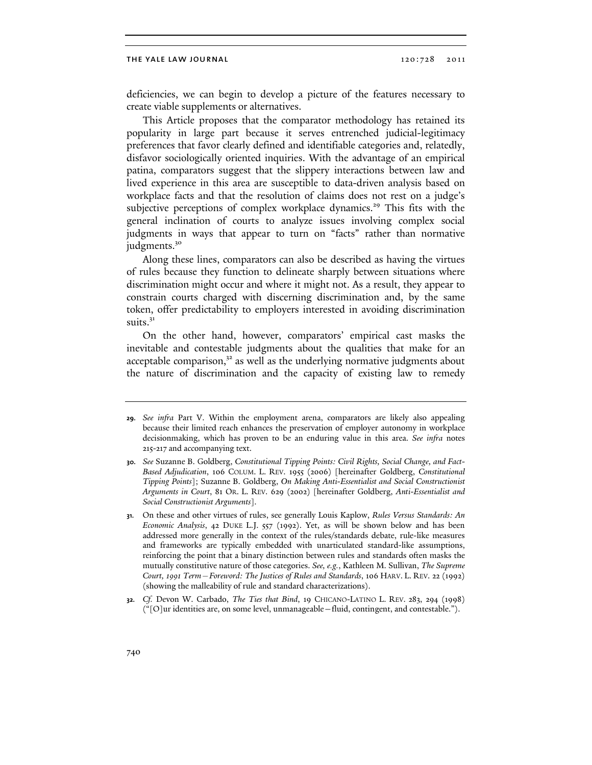deficiencies, we can begin to develop a picture of the features necessary to create viable supplements or alternatives.

This Article proposes that the comparator methodology has retained its popularity in large part because it serves entrenched judicial-legitimacy preferences that favor clearly defined and identifiable categories and, relatedly, disfavor sociologically oriented inquiries. With the advantage of an empirical patina, comparators suggest that the slippery interactions between law and lived experience in this area are susceptible to data-driven analysis based on workplace facts and that the resolution of claims does not rest on a judge's subjective perceptions of complex workplace dynamics.<sup>29</sup> This fits with the general inclination of courts to analyze issues involving complex social judgments in ways that appear to turn on "facts" rather than normative judgments.<sup>30</sup>

Along these lines, comparators can also be described as having the virtues of rules because they function to delineate sharply between situations where discrimination might occur and where it might not. As a result, they appear to constrain courts charged with discerning discrimination and, by the same token, offer predictability to employers interested in avoiding discrimination suits. $3<sup>1</sup>$ 

On the other hand, however, comparators' empirical cast masks the inevitable and contestable judgments about the qualities that make for an acceptable comparison, $3<sup>2</sup>$  as well as the underlying normative judgments about the nature of discrimination and the capacity of existing law to remedy

<sup>29.</sup> *See infra* Part V. Within the employment arena, comparators are likely also appealing because their limited reach enhances the preservation of employer autonomy in workplace decisionmaking, which has proven to be an enduring value in this area. *See infra* notes 215-217 and accompanying text.

<sup>30.</sup> *See* Suzanne B. Goldberg, *Constitutional Tipping Points: Civil Rights, Social Change, and Fact-Based Adjudication*, 106 COLUM. L. REV. 1955 (2006) [hereinafter Goldberg, *Constitutional Tipping Points*]; Suzanne B. Goldberg, *On Making Anti-Essentialist and Social Constructionist Arguments in Court*, 81 OR. L. REV. 629 (2002) [hereinafter Goldberg, *Anti-Essentialist and Social Constructionist Arguments*].

<sup>31.</sup> On these and other virtues of rules, see generally Louis Kaplow, *Rules Versus Standards: An Economic Analysis*, 42 DUKE L.J. 557 (1992). Yet, as will be shown below and has been addressed more generally in the context of the rules/standards debate, rule-like measures and frameworks are typically embedded with unarticulated standard-like assumptions, reinforcing the point that a binary distinction between rules and standards often masks the mutually constitutive nature of those categories. *See, e.g.*, Kathleen M. Sullivan, *The Supreme Court, 1991 Term—Foreword: The Justices of Rules and Standards*, 106 HARV. L. REV. 22 (1992) (showing the malleability of rule and standard characterizations).

<sup>32.</sup> *Cf.* Devon W. Carbado, *The Ties that Bind*, 19 CHICANO-LATINO L. REV. 283, 294 (1998) ("[O]ur identities are, on some level, unmanageable—fluid, contingent, and contestable.").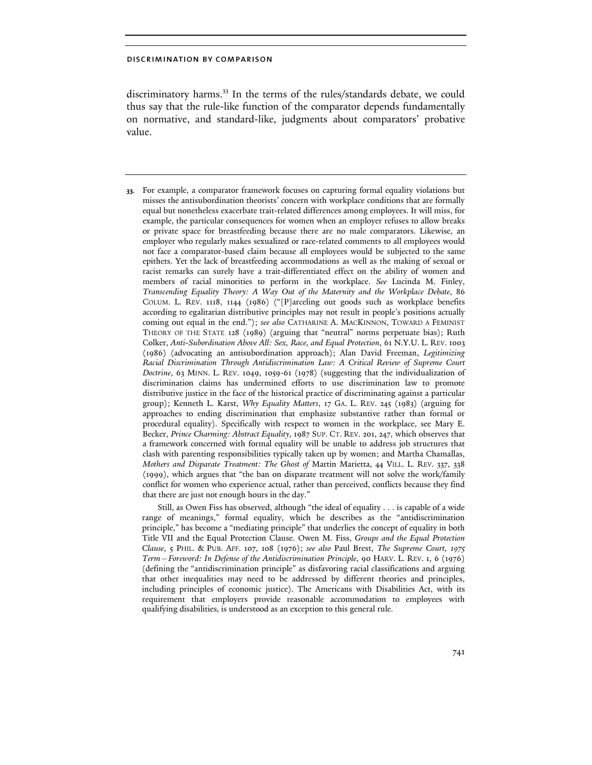discriminatory harms.<sup>33</sup> In the terms of the rules/standards debate, we could thus say that the rule-like function of the comparator depends fundamentally on normative, and standard-like, judgments about comparators' probative value.

33. For example, a comparator framework focuses on capturing formal equality violations but misses the antisubordination theorists' concern with workplace conditions that are formally equal but nonetheless exacerbate trait-related differences among employees. It will miss, for example, the particular consequences for women when an employer refuses to allow breaks or private space for breastfeeding because there are no male comparators. Likewise, an employer who regularly makes sexualized or race-related comments to all employees would not face a comparator-based claim because all employees would be subjected to the same epithets. Yet the lack of breastfeeding accommodations as well as the making of sexual or racist remarks can surely have a trait-differentiated effect on the ability of women and members of racial minorities to perform in the workplace. *See* Lucinda M. Finley, *Transcending Equality Theory: A Way Out of the Maternity and the Workplace Debate*, 86 COLUM. L. REV. 1118, 1144 (1986) ("[P]arceling out goods such as workplace benefits according to egalitarian distributive principles may not result in people's positions actually coming out equal in the end."); *see also* CATHARINE A. MACKINNON, TOWARD A FEMINIST THEORY OF THE STATE 128 (1989) (arguing that "neutral" norms perpetuate bias); Ruth Colker, *Anti-Subordination Above All: Sex, Race, and Equal Protection*, 61 N.Y.U. L. REV. 1003 (1986) (advocating an antisubordination approach); Alan David Freeman, *Legitimizing Racial Discrimination Through Antidiscrimination Law: A Critical Review of Supreme Court Doctrine*, 63 MINN. L. REV. 1049, 1059-61 (1978) (suggesting that the individualization of discrimination claims has undermined efforts to use discrimination law to promote distributive justice in the face of the historical practice of discriminating against a particular group); Kenneth L. Karst, *Why Equality Matters*, 17 GA. L. REV. 245 (1983) (arguing for approaches to ending discrimination that emphasize substantive rather than formal or procedural equality). Specifically with respect to women in the workplace, see Mary E. Becker, *Prince Charming: Abstract Equality*, 1987 SUP. CT. REV. 201, 247, which observes that a framework concerned with formal equality will be unable to address job structures that clash with parenting responsibilities typically taken up by women; and Martha Chamallas, *Mothers and Disparate Treatment: The Ghost of* Martin Marietta, 44 VILL. L. REV. 337, 338 (1999), which argues that "the ban on disparate treatment will not solve the work/family conflict for women who experience actual, rather than perceived, conflicts because they find that there are just not enough hours in the day."

Still, as Owen Fiss has observed, although "the ideal of equality . . . is capable of a wide range of meanings," formal equality, which he describes as the "antidiscrimination principle," has become a "mediating principle" that underlies the concept of equality in both Title VII and the Equal Protection Clause. Owen M. Fiss, *Groups and the Equal Protection Clause*, 5 PHIL. & PUB. AFF. 107, 108 (1976); *see also* Paul Brest, *The Supreme Court, 1975 Term—Foreword: In Defense of the Antidiscrimination Principle*, 90 HARV. L. REV. 1, 6 (1976) (defining the "antidiscrimination principle" as disfavoring racial classifications and arguing that other inequalities may need to be addressed by different theories and principles, including principles of economic justice). The Americans with Disabilities Act, with its requirement that employers provide reasonable accommodation to employees with qualifying disabilities, is understood as an exception to this general rule.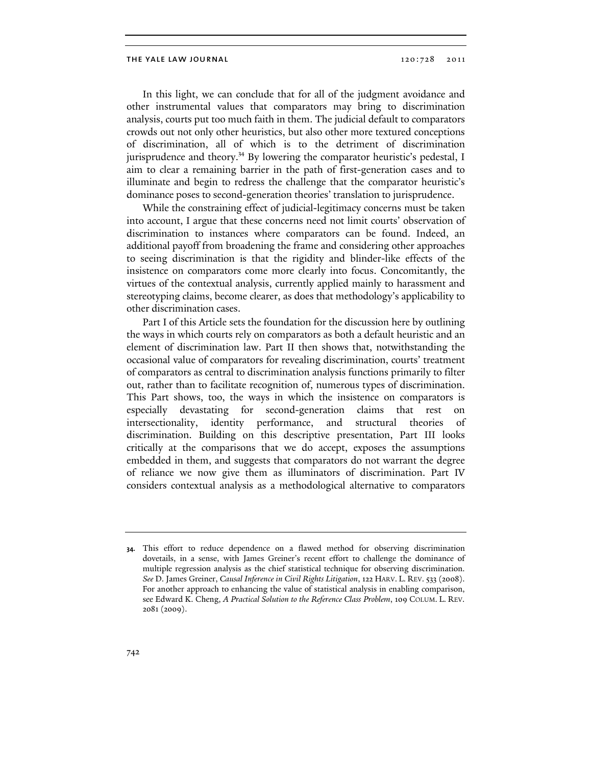In this light, we can conclude that for all of the judgment avoidance and other instrumental values that comparators may bring to discrimination analysis, courts put too much faith in them. The judicial default to comparators crowds out not only other heuristics, but also other more textured conceptions of discrimination, all of which is to the detriment of discrimination jurisprudence and theory.<sup>34</sup> By lowering the comparator heuristic's pedestal, I aim to clear a remaining barrier in the path of first-generation cases and to illuminate and begin to redress the challenge that the comparator heuristic's dominance poses to second-generation theories' translation to jurisprudence.

While the constraining effect of judicial-legitimacy concerns must be taken into account, I argue that these concerns need not limit courts' observation of discrimination to instances where comparators can be found. Indeed, an additional payoff from broadening the frame and considering other approaches to seeing discrimination is that the rigidity and blinder-like effects of the insistence on comparators come more clearly into focus. Concomitantly, the virtues of the contextual analysis, currently applied mainly to harassment and stereotyping claims, become clearer, as does that methodology's applicability to other discrimination cases.

Part I of this Article sets the foundation for the discussion here by outlining the ways in which courts rely on comparators as both a default heuristic and an element of discrimination law. Part II then shows that, notwithstanding the occasional value of comparators for revealing discrimination, courts' treatment of comparators as central to discrimination analysis functions primarily to filter out, rather than to facilitate recognition of, numerous types of discrimination. This Part shows, too, the ways in which the insistence on comparators is especially devastating for second-generation claims that rest on intersectionality, identity performance, and structural theories of discrimination. Building on this descriptive presentation, Part III looks critically at the comparisons that we do accept, exposes the assumptions embedded in them, and suggests that comparators do not warrant the degree of reliance we now give them as illuminators of discrimination. Part IV considers contextual analysis as a methodological alternative to comparators

<sup>34.</sup> This effort to reduce dependence on a flawed method for observing discrimination dovetails, in a sense, with James Greiner's recent effort to challenge the dominance of multiple regression analysis as the chief statistical technique for observing discrimination. *See* D. James Greiner, *Causal Inference in Civil Rights Litigation*, 122 HARV. L. REV. 533 (2008). For another approach to enhancing the value of statistical analysis in enabling comparison, see Edward K. Cheng, *A Practical Solution to the Reference Class Problem*, 109 COLUM. L. REV. 2081 (2009).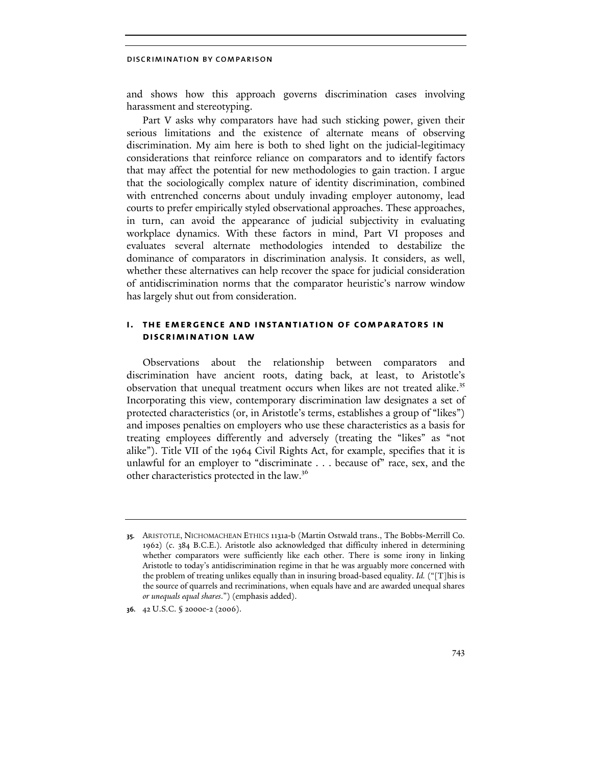and shows how this approach governs discrimination cases involving harassment and stereotyping.

Part V asks why comparators have had such sticking power, given their serious limitations and the existence of alternate means of observing discrimination. My aim here is both to shed light on the judicial-legitimacy considerations that reinforce reliance on comparators and to identify factors that may affect the potential for new methodologies to gain traction. I argue that the sociologically complex nature of identity discrimination, combined with entrenched concerns about unduly invading employer autonomy, lead courts to prefer empirically styled observational approaches. These approaches, in turn, can avoid the appearance of judicial subjectivity in evaluating workplace dynamics. With these factors in mind, Part VI proposes and evaluates several alternate methodologies intended to destabilize the dominance of comparators in discrimination analysis. It considers, as well, whether these alternatives can help recover the space for judicial consideration of antidiscrimination norms that the comparator heuristic's narrow window has largely shut out from consideration.

## i. the emergence and instantiation of comparators in discrimination law

Observations about the relationship between comparators and discrimination have ancient roots, dating back, at least, to Aristotle's observation that unequal treatment occurs when likes are not treated alike.<sup>35</sup> Incorporating this view, contemporary discrimination law designates a set of protected characteristics (or, in Aristotle's terms, establishes a group of "likes") and imposes penalties on employers who use these characteristics as a basis for treating employees differently and adversely (treating the "likes" as "not alike"). Title VII of the 1964 Civil Rights Act, for example, specifies that it is unlawful for an employer to "discriminate . . . because of" race, sex, and the other characteristics protected in the law.<sup>36</sup>

<sup>35.</sup> ARISTOTLE, NICHOMACHEAN ETHICS 1131a-b (Martin Ostwald trans., The Bobbs-Merrill Co. 1962) (c. 384 B.C.E.). Aristotle also acknowledged that difficulty inhered in determining whether comparators were sufficiently like each other. There is some irony in linking Aristotle to today's antidiscrimination regime in that he was arguably more concerned with the problem of treating unlikes equally than in insuring broad-based equality. *Id.* ("[T]his is the source of quarrels and recriminations, when equals have and are awarded unequal shares *or unequals equal shares*.") (emphasis added).

<sup>36.</sup> 42 U.S.C. § 2000e-2 (2006).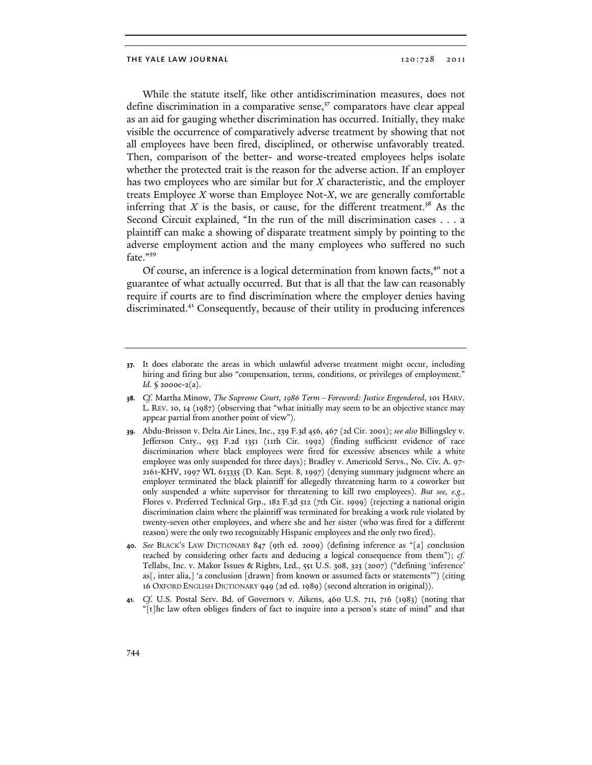While the statute itself, like other antidiscrimination measures, does not define discrimination in a comparative sense, $37$  comparators have clear appeal as an aid for gauging whether discrimination has occurred. Initially, they make visible the occurrence of comparatively adverse treatment by showing that not all employees have been fired, disciplined, or otherwise unfavorably treated. Then, comparison of the better- and worse-treated employees helps isolate whether the protected trait is the reason for the adverse action. If an employer has two employees who are similar but for X characteristic, and the employer treats Employee  $X$  worse than Employee Not- $X$ , we are generally comfortable inferring that X is the basis, or cause, for the different treatment.<sup>38</sup> As the Second Circuit explained, "In the run of the mill discrimination cases . . . a plaintiff can make a showing of disparate treatment simply by pointing to the adverse employment action and the many employees who suffered no such fate."<sup>39</sup>

Of course, an inference is a logical determination from known facts,<sup>40</sup> not a guarantee of what actually occurred. But that is all that the law can reasonably require if courts are to find discrimination where the employer denies having discriminated.<sup>41</sup> Consequently, because of their utility in producing inferences

<sup>37.</sup> It does elaborate the areas in which unlawful adverse treatment might occur, including hiring and firing but also "compensation, terms, conditions, or privileges of employment." *Id*. § 2000e-2(a).

<sup>38.</sup> *Cf.* Martha Minow, *The Supreme Court, 1986 Term—Foreword: Justice Engendered*, 101 HARV. L. REV. 10, 14 (1987) (observing that "what initially may seem to be an objective stance may appear partial from another point of view").

<sup>39.</sup> Abdu-Brisson v. Delta Air Lines, Inc., 239 F.3d 456, 467 (2d Cir. 2001); *see also* Billingsley v. Jefferson Cnty., 953 F.2d 1351 (11th Cir. 1992) (finding sufficient evidence of race discrimination where black employees were fired for excessive absences while a white employee was only suspended for three days); Bradley v. Americold Servs., No. Civ. A. 97- 2161-KHV, 1997 WL 613335 (D. Kan. Sept. 8, 1997) (denying summary judgment where an employer terminated the black plaintiff for allegedly threatening harm to a coworker but only suspended a white supervisor for threatening to kill two employees). *But see, e.g.*, Flores v. Preferred Technical Grp., 182 F.3d 512 (7th Cir. 1999) (rejecting a national origin discrimination claim where the plaintiff was terminated for breaking a work rule violated by twenty-seven other employees, and where she and her sister (who was fired for a different reason) were the only two recognizably Hispanic employees and the only two fired).

<sup>40.</sup> *See* BLACK'S LAW DICTIONARY 847 (9th ed. 2009) (defining inference as "[a] conclusion reached by considering other facts and deducing a logical consequence from them"); *cf.*  Tellabs, Inc. v. Makor Issues & Rights, Ltd., 551 U.S. 308, 323 (2007) ("defining 'inference' as[, inter alia,] 'a conclusion [drawn] from known or assumed facts or statements'") (citing 16 OXFORD ENGLISH DICTIONARY 949 (2d ed. 1989) (second alteration in original)).

<sup>41.</sup> *Cf.* U.S. Postal Serv. Bd. of Governors v. Aikens, 460 U.S. 711, 716 (1983) (noting that "[t]he law often obliges finders of fact to inquire into a person's state of mind" and that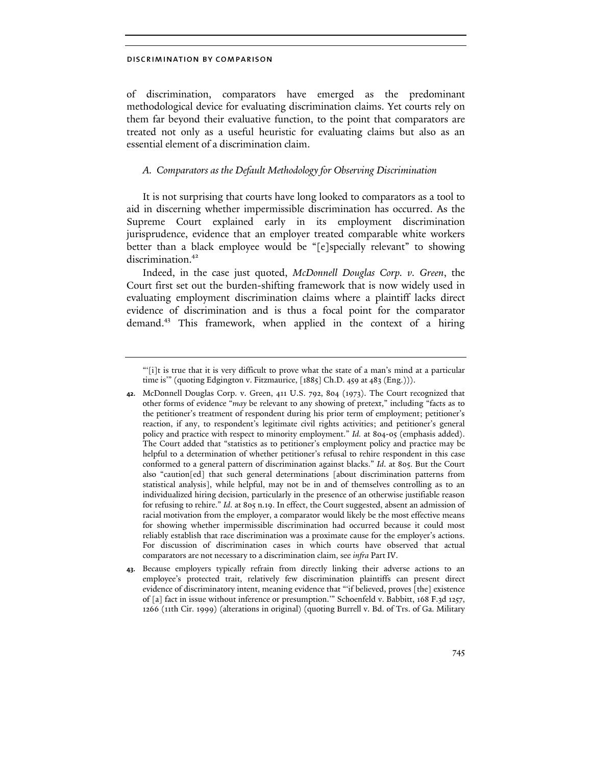of discrimination, comparators have emerged as the predominant methodological device for evaluating discrimination claims. Yet courts rely on them far beyond their evaluative function, to the point that comparators are treated not only as a useful heuristic for evaluating claims but also as an essential element of a discrimination claim.

## A. Comparators as the Default Methodology for Observing Discrimination

It is not surprising that courts have long looked to comparators as a tool to aid in discerning whether impermissible discrimination has occurred. As the Supreme Court explained early in its employment discrimination jurisprudence, evidence that an employer treated comparable white workers better than a black employee would be "[e]specially relevant" to showing discrimination.<sup>42</sup>

Indeed, in the case just quoted, McDonnell Douglas Corp. v. Green, the Court first set out the burden-shifting framework that is now widely used in evaluating employment discrimination claims where a plaintiff lacks direct evidence of discrimination and is thus a focal point for the comparator demand.<sup>43</sup> This framework, when applied in the context of a hiring

43. Because employers typically refrain from directly linking their adverse actions to an employee's protected trait, relatively few discrimination plaintiffs can present direct evidence of discriminatory intent, meaning evidence that "'if believed, proves [the] existence of [a] fact in issue without inference or presumption.'" Schoenfeld v. Babbitt, 168 F.3d 1257, 1266 (11th Cir. 1999) (alterations in original) (quoting Burrell v. Bd. of Trs. of Ga. Military

<sup>&</sup>quot;'[i]t is true that it is very difficult to prove what the state of a man's mind at a particular time is'" (quoting Edgington v. Fitzmaurice, [1885] Ch.D. 459 at 483 (Eng.))).

<sup>42.</sup> McDonnell Douglas Corp. v. Green, 411 U.S. 792, 804 (1973). The Court recognized that other forms of evidence "*may* be relevant to any showing of pretext," including "facts as to the petitioner's treatment of respondent during his prior term of employment; petitioner's reaction, if any, to respondent's legitimate civil rights activities; and petitioner's general policy and practice with respect to minority employment." *Id.* at 804-05 (emphasis added). The Court added that "statistics as to petitioner's employment policy and practice may be helpful to a determination of whether petitioner's refusal to rehire respondent in this case conformed to a general pattern of discrimination against blacks." *Id*. at 805. But the Court also "caution[ed] that such general determinations [about discrimination patterns from statistical analysis], while helpful, may not be in and of themselves controlling as to an individualized hiring decision, particularly in the presence of an otherwise justifiable reason for refusing to rehire." *Id*. at 805 n.19. In effect, the Court suggested, absent an admission of racial motivation from the employer, a comparator would likely be the most effective means for showing whether impermissible discrimination had occurred because it could most reliably establish that race discrimination was a proximate cause for the employer's actions. For discussion of discrimination cases in which courts have observed that actual comparators are not necessary to a discrimination claim, see *infra* Part IV.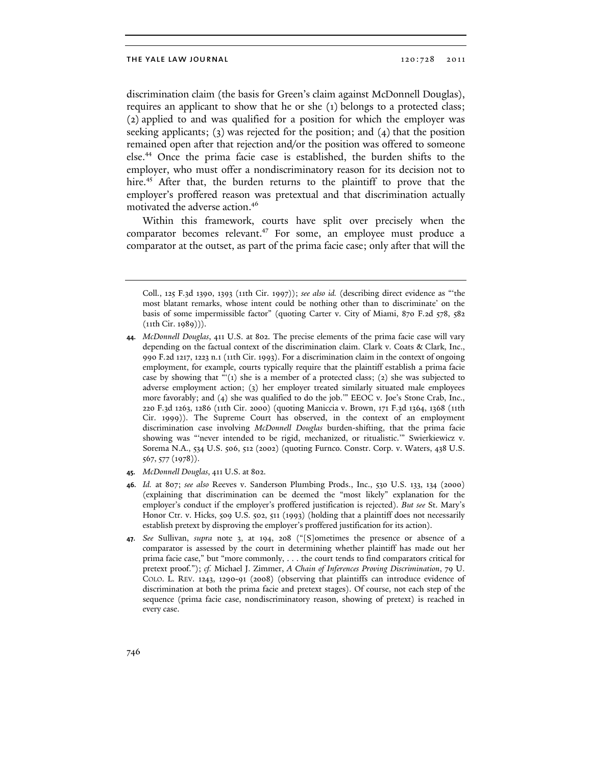discrimination claim (the basis for Green's claim against McDonnell Douglas), requires an applicant to show that he or she (1) belongs to a protected class; (2) applied to and was qualified for a position for which the employer was seeking applicants; (3) was rejected for the position; and  $(4)$  that the position remained open after that rejection and/or the position was offered to someone else.<sup>44</sup> Once the prima facie case is established, the burden shifts to the employer, who must offer a nondiscriminatory reason for its decision not to hire.<sup>45</sup> After that, the burden returns to the plaintiff to prove that the employer's proffered reason was pretextual and that discrimination actually motivated the adverse action.<sup>46</sup>

Within this framework, courts have split over precisely when the comparator becomes relevant.<sup>47</sup> For some, an employee must produce a comparator at the outset, as part of the prima facie case; only after that will the

- 45. *McDonnell Douglas*, 411 U.S. at 802.
- 46. *Id.* at 807; *see also* Reeves v. Sanderson Plumbing Prods., Inc., 530 U.S. 133, 134 (2000) (explaining that discrimination can be deemed the "most likely" explanation for the employer's conduct if the employer's proffered justification is rejected). *But see* St. Mary's Honor Ctr. v. Hicks, 509 U.S. 502, 511 (1993) (holding that a plaintiff does not necessarily establish pretext by disproving the employer's proffered justification for its action).
- 47. *See* Sullivan, *supra* note 3, at 194, 208 ("[S]ometimes the presence or absence of a comparator is assessed by the court in determining whether plaintiff has made out her prima facie case," but "more commonly, . . . the court tends to find comparators critical for pretext proof."); *cf.* Michael J. Zimmer, *A Chain of Inferences Proving Discrimination*, 79 U. COLO. L. REV. 1243, 1290-91 (2008) (observing that plaintiffs can introduce evidence of discrimination at both the prima facie and pretext stages). Of course, not each step of the sequence (prima facie case, nondiscriminatory reason, showing of pretext) is reached in every case.

Coll., 125 F.3d 1390, 1393 (11th Cir. 1997)); *see also id.* (describing direct evidence as "'the most blatant remarks, whose intent could be nothing other than to discriminate' on the basis of some impermissible factor" (quoting Carter v. City of Miami, 870 F.2d 578, 582 (11th Cir. 1989))).

<sup>44.</sup> *McDonnell Douglas*, 411 U.S. at 802. The precise elements of the prima facie case will vary depending on the factual context of the discrimination claim. Clark v. Coats & Clark, Inc., 990 F.2d 1217, 1223 n.1 (11th Cir. 1993). For a discrimination claim in the context of ongoing employment, for example, courts typically require that the plaintiff establish a prima facie case by showing that "'(1) she is a member of a protected class; (2) she was subjected to adverse employment action; (3) her employer treated similarly situated male employees more favorably; and (4) she was qualified to do the job.'" EEOC v. Joe's Stone Crab, Inc., 220 F.3d 1263, 1286 (11th Cir. 2000) (quoting Maniccia v. Brown, 171 F.3d 1364, 1368 (11th Cir. 1999)). The Supreme Court has observed, in the context of an employment discrimination case involving *McDonnell Douglas* burden-shifting, that the prima facie showing was "'never intended to be rigid, mechanized, or ritualistic.'" Swierkiewicz v. Sorema N.A., 534 U.S. 506, 512 (2002) (quoting Furnco. Constr. Corp. v. Waters, 438 U.S. 567, 577 (1978)).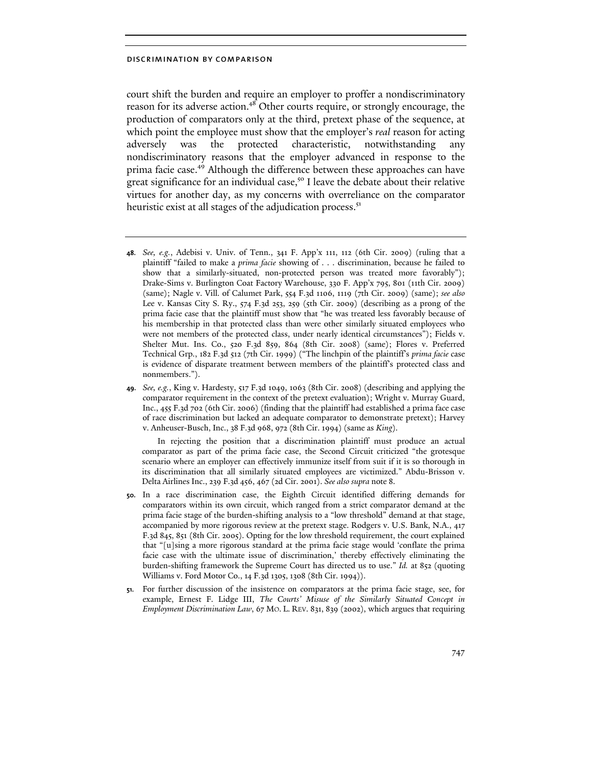court shift the burden and require an employer to proffer a nondiscriminatory reason for its adverse action.<sup>48</sup> Other courts require, or strongly encourage, the production of comparators only at the third, pretext phase of the sequence, at which point the employee must show that the employer's *real* reason for acting adversely was the protected characteristic, notwithstanding any nondiscriminatory reasons that the employer advanced in response to the prima facie case.<sup>49</sup> Although the difference between these approaches can have great significance for an individual case,<sup>50</sup> I leave the debate about their relative virtues for another day, as my concerns with overreliance on the comparator heuristic exist at all stages of the adjudication process.<sup>51</sup>

In rejecting the position that a discrimination plaintiff must produce an actual comparator as part of the prima facie case, the Second Circuit criticized "the grotesque scenario where an employer can effectively immunize itself from suit if it is so thorough in its discrimination that all similarly situated employees are victimized." Abdu-Brisson v. Delta Airlines Inc., 239 F.3d 456, 467 (2d Cir. 2001). *See also supra* note 8.

- 50. In a race discrimination case, the Eighth Circuit identified differing demands for comparators within its own circuit, which ranged from a strict comparator demand at the prima facie stage of the burden-shifting analysis to a "low threshold" demand at that stage, accompanied by more rigorous review at the pretext stage. Rodgers v. U.S. Bank, N.A., 417 F.3d 845, 851 (8th Cir. 2005). Opting for the low threshold requirement, the court explained that "[u]sing a more rigorous standard at the prima facie stage would 'conflate the prima facie case with the ultimate issue of discrimination,' thereby effectively eliminating the burden-shifting framework the Supreme Court has directed us to use." *Id.* at 852 (quoting Williams v. Ford Motor Co., 14 F.3d 1305, 1308 (8th Cir. 1994)).
- 51. For further discussion of the insistence on comparators at the prima facie stage, see, for example, Ernest F. Lidge III, *The Courts' Misuse of the Similarly Situated Concept in Employment Discrimination Law*, 67 MO. L. REV. 831, 839 (2002), which argues that requiring

<sup>48.</sup> *See, e.g.*, Adebisi v. Univ. of Tenn., 341 F. App'x 111, 112 (6th Cir. 2009) (ruling that a plaintiff "failed to make a *prima facie* showing of . . . discrimination, because he failed to show that a similarly-situated, non-protected person was treated more favorably"); Drake-Sims v. Burlington Coat Factory Warehouse, 330 F. App'x 795, 801 (11th Cir. 2009) (same); Nagle v. Vill. of Calumet Park, 554 F.3d 1106, 1119 (7th Cir. 2009) (same); *see also*  Lee v. Kansas City S. Ry., 574 F.3d 253, 259 (5th Cir. 2009) (describing as a prong of the prima facie case that the plaintiff must show that "he was treated less favorably because of his membership in that protected class than were other similarly situated employees who were not members of the protected class, under nearly identical circumstances"); Fields v. Shelter Mut. Ins. Co., 520 F.3d 859, 864 (8th Cir. 2008) (same); Flores v. Preferred Technical Grp., 182 F.3d 512 (7th Cir. 1999) ("The linchpin of the plaintiff's *prima facie* case is evidence of disparate treatment between members of the plaintiff's protected class and nonmembers.").

<sup>49.</sup> *See, e.g.*, King v. Hardesty, 517 F.3d 1049, 1063 (8th Cir. 2008) (describing and applying the comparator requirement in the context of the pretext evaluation); Wright v. Murray Guard, Inc., 455 F.3d 702 (6th Cir. 2006) (finding that the plaintiff had established a prima face case of race discrimination but lacked an adequate comparator to demonstrate pretext); Harvey v. Anheuser-Busch, Inc., 38 F.3d 968, 972 (8th Cir. 1994) (same as *King*).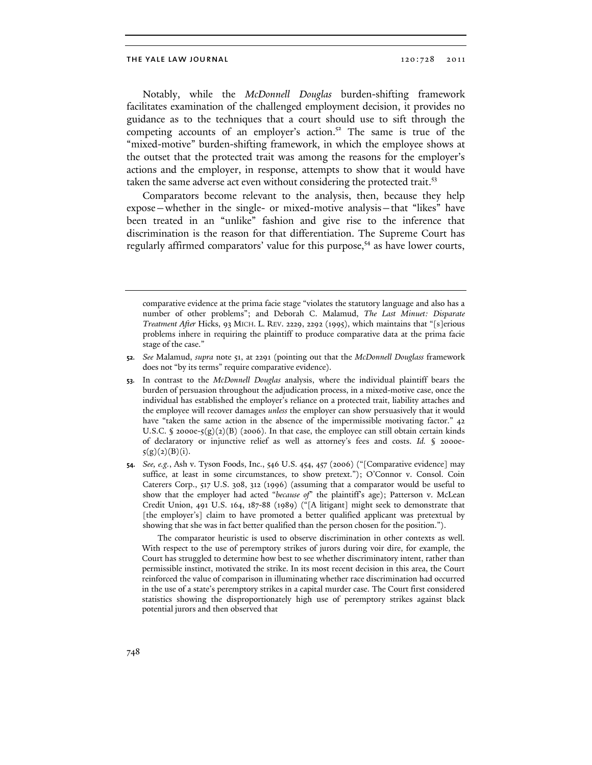Notably, while the McDonnell Douglas burden-shifting framework facilitates examination of the challenged employment decision, it provides no guidance as to the techniques that a court should use to sift through the competing accounts of an employer's action. $5<sup>2</sup>$  The same is true of the "mixed-motive" burden-shifting framework, in which the employee shows at the outset that the protected trait was among the reasons for the employer's actions and the employer, in response, attempts to show that it would have taken the same adverse act even without considering the protected trait.<sup>53</sup>

Comparators become relevant to the analysis, then, because they help expose—whether in the single- or mixed-motive analysis—that "likes" have been treated in an "unlike" fashion and give rise to the inference that discrimination is the reason for that differentiation. The Supreme Court has regularly affirmed comparators' value for this purpose,<sup>54</sup> as have lower courts,

The comparator heuristic is used to observe discrimination in other contexts as well. With respect to the use of peremptory strikes of jurors during voir dire, for example, the Court has struggled to determine how best to see whether discriminatory intent, rather than permissible instinct, motivated the strike. In its most recent decision in this area, the Court reinforced the value of comparison in illuminating whether race discrimination had occurred in the use of a state's peremptory strikes in a capital murder case. The Court first considered statistics showing the disproportionately high use of peremptory strikes against black potential jurors and then observed that

comparative evidence at the prima facie stage "violates the statutory language and also has a number of other problems"; and Deborah C. Malamud, *The Last Minuet: Disparate Treatment After* Hicks, 93 MICH. L. REV. 2229, 2292 (1995), which maintains that "[s]erious problems inhere in requiring the plaintiff to produce comparative data at the prima facie stage of the case."

<sup>52.</sup> *See* Malamud, *supra* note 51, at 2291 (pointing out that the *McDonnell Douglass* framework does not "by its terms" require comparative evidence).

<sup>53.</sup> In contrast to the *McDonnell Douglas* analysis, where the individual plaintiff bears the burden of persuasion throughout the adjudication process, in a mixed-motive case, once the individual has established the employer's reliance on a protected trait, liability attaches and the employee will recover damages *unless* the employer can show persuasively that it would have "taken the same action in the absence of the impermissible motivating factor." 42 U.S.C. § 2000e-5(g)(2)(B) (2006). In that case, the employee can still obtain certain kinds of declaratory or injunctive relief as well as attorney's fees and costs. *Id.* § 2000e- $5(g)(2)(B)(i).$ 

<sup>54.</sup> *See, e.g.*, Ash v. Tyson Foods, Inc., 546 U.S. 454, 457 (2006) ("[Comparative evidence] may suffice, at least in some circumstances, to show pretext."); O'Connor v. Consol. Coin Caterers Corp., 517 U.S. 308, 312 (1996) (assuming that a comparator would be useful to show that the employer had acted "*because of*" the plaintiff's age); Patterson v. McLean Credit Union, 491 U.S. 164, 187-88 (1989) ("[A litigant] might seek to demonstrate that [the employer's] claim to have promoted a better qualified applicant was pretextual by showing that she was in fact better qualified than the person chosen for the position.").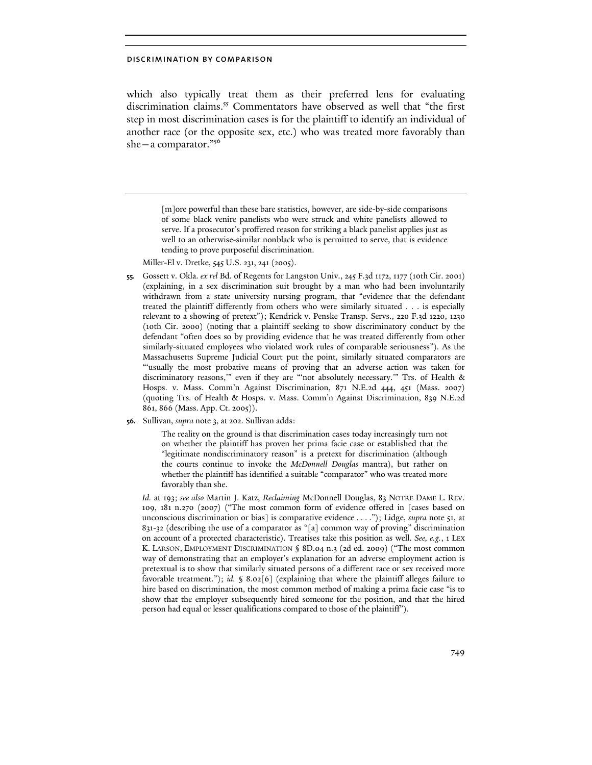which also typically treat them as their preferred lens for evaluating discrimination claims.<sup>55</sup> Commentators have observed as well that "the first step in most discrimination cases is for the plaintiff to identify an individual of another race (or the opposite sex, etc.) who was treated more favorably than she—a comparator."<sup>56</sup>

> [m]ore powerful than these bare statistics, however, are side-by-side comparisons of some black venire panelists who were struck and white panelists allowed to serve. If a prosecutor's proffered reason for striking a black panelist applies just as well to an otherwise-similar nonblack who is permitted to serve, that is evidence tending to prove purposeful discrimination.

Miller-El v. Dretke, 545 U.S. 231, 241 (2005).

- 55. Gossett v. Okla. *ex rel* Bd. of Regents for Langston Univ., 245 F.3d 1172, 1177 (10th Cir. 2001) (explaining, in a sex discrimination suit brought by a man who had been involuntarily withdrawn from a state university nursing program, that "evidence that the defendant treated the plaintiff differently from others who were similarly situated . . . is especially relevant to a showing of pretext"); Kendrick v. Penske Transp. Servs., 220 F.3d 1220, 1230 (10th Cir. 2000) (noting that a plaintiff seeking to show discriminatory conduct by the defendant "often does so by providing evidence that he was treated differently from other similarly-situated employees who violated work rules of comparable seriousness"). As the Massachusetts Supreme Judicial Court put the point, similarly situated comparators are "'usually the most probative means of proving that an adverse action was taken for discriminatory reasons,'" even if they are "'not absolutely necessary.'" Trs. of Health & Hosps. v. Mass. Comm'n Against Discrimination, 871 N.E.2d 444, 451 (Mass. 2007) (quoting Trs. of Health & Hosps. v. Mass. Comm'n Against Discrimination, 839 N.E.2d 861, 866 (Mass. App. Ct. 2005)).
- 56. Sullivan, *supra* note 3, at 202. Sullivan adds:

The reality on the ground is that discrimination cases today increasingly turn not on whether the plaintiff has proven her prima facie case or established that the "legitimate nondiscriminatory reason" is a pretext for discrimination (although the courts continue to invoke the *McDonnell Douglas* mantra), but rather on whether the plaintiff has identified a suitable "comparator" who was treated more favorably than she.

*Id.* at 193; *see also* Martin J. Katz, *Reclaiming* McDonnell Douglas, 83 NOTRE DAME L. REV. 109, 181 n.270 (2007) ("The most common form of evidence offered in [cases based on unconscious discrimination or bias] is comparative evidence . . . ."); Lidge, *supra* note 51, at 831-32 (describing the use of a comparator as "[a] common way of proving" discrimination on account of a protected characteristic). Treatises take this position as well. *See, e.g.*, 1 LEX K. LARSON, EMPLOYMENT DISCRIMINATION § 8D.04 n.3 (2d ed. 2009) ("The most common way of demonstrating that an employer's explanation for an adverse employment action is pretextual is to show that similarly situated persons of a different race or sex received more favorable treatment."); *id.* § 8.02[6] (explaining that where the plaintiff alleges failure to hire based on discrimination, the most common method of making a prima facie case "is to show that the employer subsequently hired someone for the position, and that the hired person had equal or lesser qualifications compared to those of the plaintiff").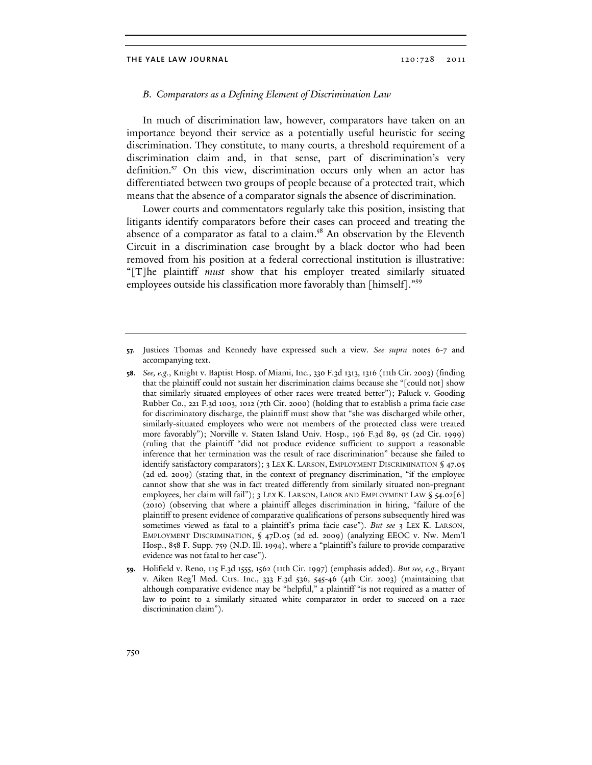#### B. Comparators as a Defining Element of Discrimination Law

In much of discrimination law, however, comparators have taken on an importance beyond their service as a potentially useful heuristic for seeing discrimination. They constitute, to many courts, a threshold requirement of a discrimination claim and, in that sense, part of discrimination's very definition.<sup>57</sup> On this view, discrimination occurs only when an actor has differentiated between two groups of people because of a protected trait, which means that the absence of a comparator signals the absence of discrimination.

Lower courts and commentators regularly take this position, insisting that litigants identify comparators before their cases can proceed and treating the absence of a comparator as fatal to a claim.<sup>58</sup> An observation by the Eleventh Circuit in a discrimination case brought by a black doctor who had been removed from his position at a federal correctional institution is illustrative: "[T]he plaintiff must show that his employer treated similarly situated employees outside his classification more favorably than [himself]."<sup>59</sup>

- 58. *See, e.g.*, Knight v. Baptist Hosp. of Miami, Inc., 330 F.3d 1313, 1316 (11th Cir. 2003) (finding that the plaintiff could not sustain her discrimination claims because she "[could not] show that similarly situated employees of other races were treated better"); Paluck v. Gooding Rubber Co., 221 F.3d 1003, 1012 (7th Cir. 2000) (holding that to establish a prima facie case for discriminatory discharge, the plaintiff must show that "she was discharged while other, similarly-situated employees who were not members of the protected class were treated more favorably"); Norville v. Staten Island Univ. Hosp., 196 F.3d 89, 95 (2d Cir. 1999) (ruling that the plaintiff "did not produce evidence sufficient to support a reasonable inference that her termination was the result of race discrimination" because she failed to identify satisfactory comparators); 3 LEX K. LARSON, EMPLOYMENT DISCRIMINATION § 47.05 (2d ed. 2009) (stating that, in the context of pregnancy discrimination, "if the employee cannot show that she was in fact treated differently from similarly situated non-pregnant employees, her claim will fail"); 3 LEX K. LARSON, LABOR AND EMPLOYMENT LAW § 54.02[6] (2010) (observing that where a plaintiff alleges discrimination in hiring, "failure of the plaintiff to present evidence of comparative qualifications of persons subsequently hired was sometimes viewed as fatal to a plaintiff's prima facie case"). *But see* 3 LEX K. LARSON, EMPLOYMENT DISCRIMINATION, § 47D.05 (2d ed. 2009) (analyzing EEOC v. Nw. Mem'l Hosp., 858 F. Supp. 759 (N.D. Ill. 1994), where a "plaintiff's failure to provide comparative evidence was not fatal to her case").
- 59. Holifield v. Reno, 115 F.3d 1555, 1562 (11th Cir. 1997) (emphasis added). *But see, e.g.*, Bryant v. Aiken Reg'l Med. Ctrs. Inc., 333 F.3d 536, 545-46 (4th Cir. 2003) (maintaining that although comparative evidence may be "helpful," a plaintiff "is not required as a matter of law to point to a similarly situated white comparator in order to succeed on a race discrimination claim").

<sup>57.</sup> Justices Thomas and Kennedy have expressed such a view. *See supra* notes 6-7 and accompanying text.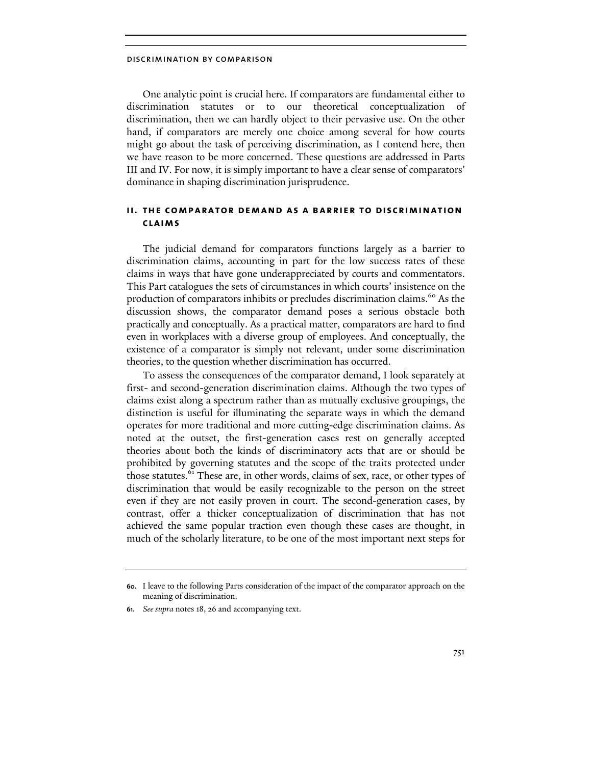One analytic point is crucial here. If comparators are fundamental either to discrimination statutes or to our theoretical conceptualization discrimination, then we can hardly object to their pervasive use. On the other hand, if comparators are merely one choice among several for how courts might go about the task of perceiving discrimination, as I contend here, then we have reason to be more concerned. These questions are addressed in Parts III and IV. For now, it is simply important to have a clear sense of comparators' dominance in shaping discrimination jurisprudence.

## ii. the comparator demand as a barrier to discrimination claims

The judicial demand for comparators functions largely as a barrier to discrimination claims, accounting in part for the low success rates of these claims in ways that have gone underappreciated by courts and commentators. This Part catalogues the sets of circumstances in which courts' insistence on the production of comparators inhibits or precludes discrimination claims.<sup>60</sup> As the discussion shows, the comparator demand poses a serious obstacle both practically and conceptually. As a practical matter, comparators are hard to find even in workplaces with a diverse group of employees. And conceptually, the existence of a comparator is simply not relevant, under some discrimination theories, to the question whether discrimination has occurred.

To assess the consequences of the comparator demand, I look separately at first- and second-generation discrimination claims. Although the two types of claims exist along a spectrum rather than as mutually exclusive groupings, the distinction is useful for illuminating the separate ways in which the demand operates for more traditional and more cutting-edge discrimination claims. As noted at the outset, the first-generation cases rest on generally accepted theories about both the kinds of discriminatory acts that are or should be prohibited by governing statutes and the scope of the traits protected under those statutes.<sup>61</sup> These are, in other words, claims of sex, race, or other types of discrimination that would be easily recognizable to the person on the street even if they are not easily proven in court. The second-generation cases, by contrast, offer a thicker conceptualization of discrimination that has not achieved the same popular traction even though these cases are thought, in much of the scholarly literature, to be one of the most important next steps for

<sup>60.</sup> I leave to the following Parts consideration of the impact of the comparator approach on the meaning of discrimination.

<sup>61.</sup> *See supra* notes 18, 26 and accompanying text.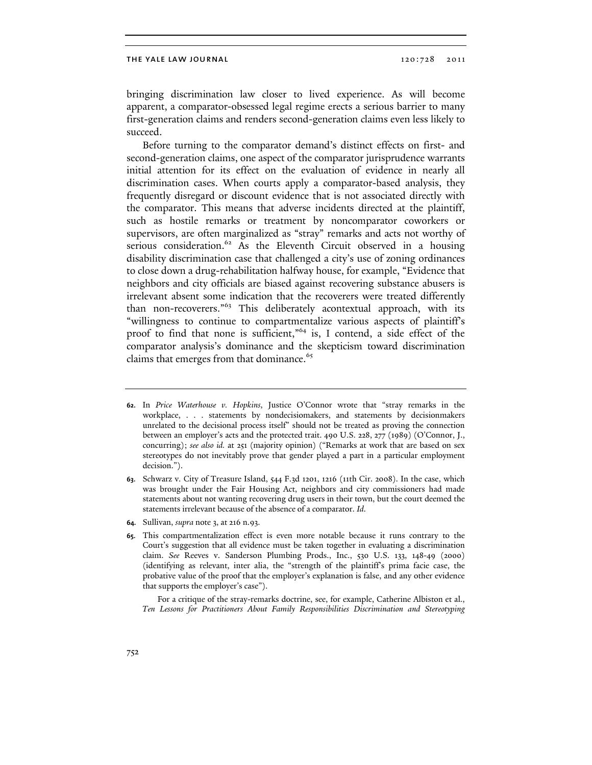bringing discrimination law closer to lived experience. As will become apparent, a comparator-obsessed legal regime erects a serious barrier to many first-generation claims and renders second-generation claims even less likely to succeed.

Before turning to the comparator demand's distinct effects on first- and second-generation claims, one aspect of the comparator jurisprudence warrants initial attention for its effect on the evaluation of evidence in nearly all discrimination cases. When courts apply a comparator-based analysis, they frequently disregard or discount evidence that is not associated directly with the comparator. This means that adverse incidents directed at the plaintiff, such as hostile remarks or treatment by noncomparator coworkers or supervisors, are often marginalized as "stray" remarks and acts not worthy of serious consideration.<sup>62</sup> As the Eleventh Circuit observed in a housing disability discrimination case that challenged a city's use of zoning ordinances to close down a drug-rehabilitation halfway house, for example, "Evidence that neighbors and city officials are biased against recovering substance abusers is irrelevant absent some indication that the recoverers were treated differently than non-recoverers."<sup>63</sup> This deliberately acontextual approach, with its "willingness to continue to compartmentalize various aspects of plaintiff's proof to find that none is sufficient," $64$  is, I contend, a side effect of the comparator analysis's dominance and the skepticism toward discrimination claims that emerges from that dominance.<sup>65</sup>

- 62. In *Price Waterhouse v. Hopkins*, Justice O'Connor wrote that "stray remarks in the workplace, . . . statements by nondecisiomakers, and statements by decisionmakers unrelated to the decisional process itself" should not be treated as proving the connection between an employer's acts and the protected trait. 490 U.S. 228, 277 (1989) (O'Connor, J., concurring); *see also id.* at 251 (majority opinion) ("Remarks at work that are based on sex stereotypes do not inevitably prove that gender played a part in a particular employment decision.").
- 63. Schwarz v. City of Treasure Island, 544 F.3d 1201, 1216 (11th Cir. 2008). In the case, which was brought under the Fair Housing Act, neighbors and city commissioners had made statements about not wanting recovering drug users in their town, but the court deemed the statements irrelevant because of the absence of a comparator. *Id*.
- 64. Sullivan, *supra* note 3, at 216 n.93.
- 65. This compartmentalization effect is even more notable because it runs contrary to the Court's suggestion that all evidence must be taken together in evaluating a discrimination claim. *See* Reeves v. Sanderson Plumbing Prods., Inc., 530 U.S. 133, 148-49 (2000) (identifying as relevant, inter alia, the "strength of the plaintiff's prima facie case, the probative value of the proof that the employer's explanation is false, and any other evidence that supports the employer's case").

For a critique of the stray-remarks doctrine, see, for example, Catherine Albiston et al., *Ten Lessons for Practitioners About Family Responsibilities Discrimination and Stereotyping*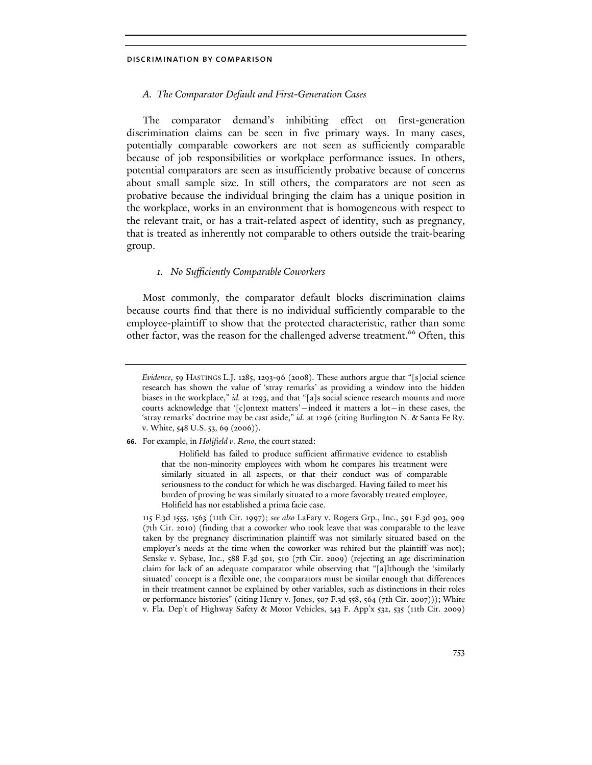## A. The Comparator Default and First-Generation Cases

The comparator demand's inhibiting effect on first-generation discrimination claims can be seen in five primary ways. In many cases, potentially comparable coworkers are not seen as sufficiently comparable because of job responsibilities or workplace performance issues. In others, potential comparators are seen as insufficiently probative because of concerns about small sample size. In still others, the comparators are not seen as probative because the individual bringing the claim has a unique position in the workplace, works in an environment that is homogeneous with respect to the relevant trait, or has a trait-related aspect of identity, such as pregnancy, that is treated as inherently not comparable to others outside the trait-bearing group.

## 1. No Sufficiently Comparable Coworkers

Most commonly, the comparator default blocks discrimination claims because courts find that there is no individual sufficiently comparable to the employee-plaintiff to show that the protected characteristic, rather than some other factor, was the reason for the challenged adverse treatment.<sup>66</sup> Often, this

*Evidence*, 59 HASTINGS L.J. 1285, 1293-96 (2008). These authors argue that "[s]ocial science research has shown the value of 'stray remarks' as providing a window into the hidden biases in the workplace," *id.* at 1293, and that "[a]s social science research mounts and more courts acknowledge that '[c]ontext matters'—indeed it matters a lot—in these cases, the 'stray remarks' doctrine may be cast aside," *id.* at 1296 (citing Burlington N. & Santa Fe Ry. v. White, 548 U.S. 53, 69 (2006)).

<sup>66.</sup> For example, in *Holifield v. Reno*, the court stated:

Holifield has failed to produce sufficient affirmative evidence to establish that the non-minority employees with whom he compares his treatment were similarly situated in all aspects, or that their conduct was of comparable seriousness to the conduct for which he was discharged. Having failed to meet his burden of proving he was similarly situated to a more favorably treated employee, Holifield has not established a prima facie case.

 <sup>115</sup> F.3d 1555, 1563 (11th Cir. 1997); *see also* LaFary v. Rogers Grp., Inc., 591 F.3d 903, 909 (7th Cir. 2010) (finding that a coworker who took leave that was comparable to the leave taken by the pregnancy discrimination plaintiff was not similarly situated based on the employer's needs at the time when the coworker was rehired but the plaintiff was not); Senske v. Sybase, Inc., 588 F.3d 501, 510 (7th Cir. 2009) (rejecting an age discrimination claim for lack of an adequate comparator while observing that "[a]lthough the 'similarly situated' concept is a flexible one, the comparators must be similar enough that differences in their treatment cannot be explained by other variables, such as distinctions in their roles or performance histories" (citing Henry v. Jones, 507 F.3d 558, 564 (7th Cir. 2007))); White v. Fla. Dep't of Highway Safety & Motor Vehicles, 343 F. App'x 532, 535 (11th Cir. 2009)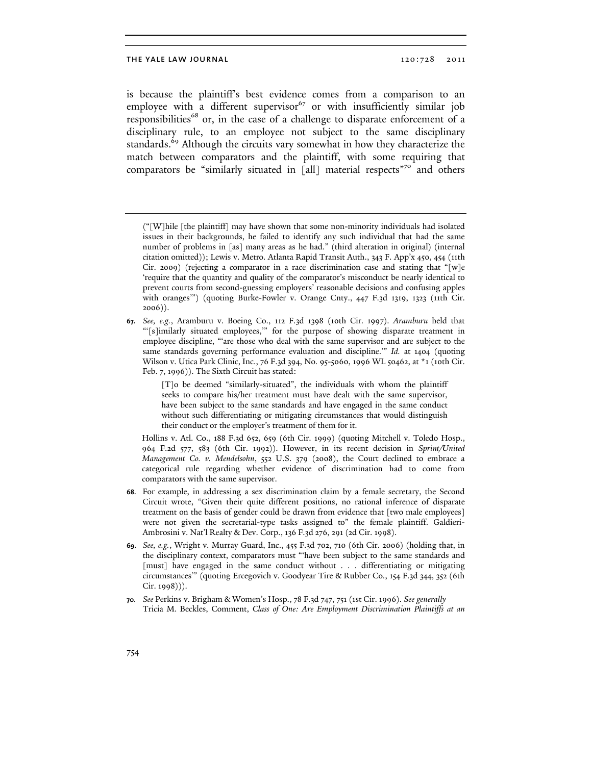is because the plaintiff's best evidence comes from a comparison to an employee with a different supervisor $67$  or with insufficiently similar job responsibilities<sup>68</sup> or, in the case of a challenge to disparate enforcement of a disciplinary rule, to an employee not subject to the same disciplinary standards.<sup>69</sup> Although the circuits vary somewhat in how they characterize the match between comparators and the plaintiff, with some requiring that comparators be "similarly situated in [all] material respects"<sup>70</sup> and others

67. *See, e.g.*, Aramburu v. Boeing Co., 112 F.3d 1398 (10th Cir. 1997). *Aramburu* held that "'[s]imilarly situated employees,'" for the purpose of showing disparate treatment in employee discipline, "'are those who deal with the same supervisor and are subject to the same standards governing performance evaluation and discipline.'" *Id.* at 1404 (quoting Wilson v. Utica Park Clinic, Inc., 76 F.3d 394, No. 95-5060, 1996 WL 50462, at \*1 (10th Cir. Feb. 7, 1996)). The Sixth Circuit has stated:

> [T]o be deemed "similarly-situated", the individuals with whom the plaintiff seeks to compare his/her treatment must have dealt with the same supervisor, have been subject to the same standards and have engaged in the same conduct without such differentiating or mitigating circumstances that would distinguish their conduct or the employer's treatment of them for it.

Hollins v. Atl. Co., 188 F.3d 652, 659 (6th Cir. 1999) (quoting Mitchell v. Toledo Hosp., 964 F.2d 577, 583 (6th Cir. 1992)). However, in its recent decision in *Sprint/United Management Co. v. Mendelsohn*, 552 U.S. 379 (2008), the Court declined to embrace a categorical rule regarding whether evidence of discrimination had to come from comparators with the same supervisor.

- 68. For example, in addressing a sex discrimination claim by a female secretary, the Second Circuit wrote, "Given their quite different positions, no rational inference of disparate treatment on the basis of gender could be drawn from evidence that [two male employees] were not given the secretarial-type tasks assigned to" the female plaintiff. Galdieri-Ambrosini v. Nat'l Realty & Dev. Corp., 136 F.3d 276, 291 (2d Cir. 1998).
- 69. *See, e.g.*, Wright v. Murray Guard, Inc., 455 F.3d 702, 710 (6th Cir. 2006) (holding that, in the disciplinary context, comparators must "'have been subject to the same standards and [must] have engaged in the same conduct without . . . differentiating or mitigating circumstances'" (quoting Ercegovich v. Goodyear Tire & Rubber Co., 154 F.3d 344, 352 (6th Cir. 1998))).
- 70. *See* Perkins v. Brigham & Women's Hosp., 78 F.3d 747, 751 (1st Cir. 1996). *See generally* Tricia M. Beckles, Comment, *Class of One: Are Employment Discrimination Plaintiffs at an*

<sup>(&</sup>quot;[W]hile [the plaintiff] may have shown that some non-minority individuals had isolated issues in their backgrounds, he failed to identify any such individual that had the same number of problems in [as] many areas as he had." (third alteration in original) (internal citation omitted)); Lewis v. Metro. Atlanta Rapid Transit Auth., 343 F. App'x 450, 454 (11th Cir. 2009) (rejecting a comparator in a race discrimination case and stating that "[w]e 'require that the quantity and quality of the comparator's misconduct be nearly identical to prevent courts from second-guessing employers' reasonable decisions and confusing apples with oranges'") (quoting Burke-Fowler v. Orange Cnty., 447 F.3d 1319, 1323 (11th Cir. 2006)).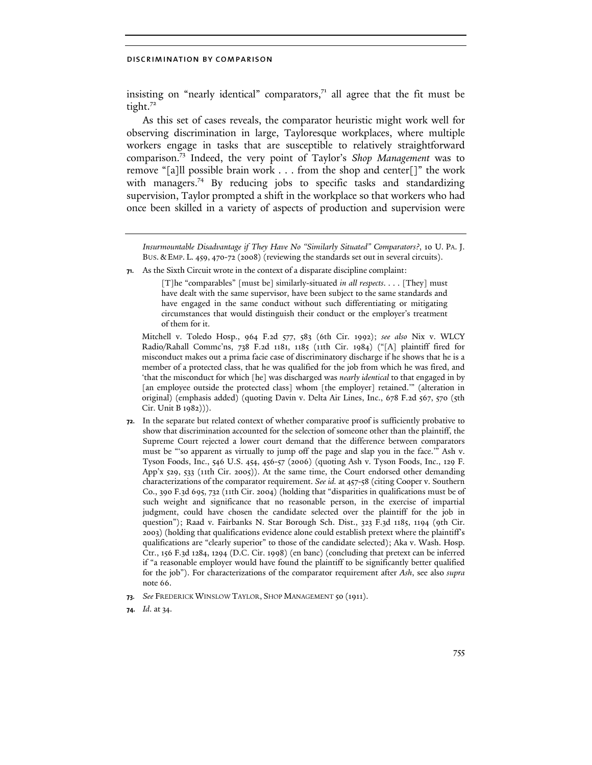insisting on "nearly identical" comparators, $7<sup>1</sup>$  all agree that the fit must be tight.<sup>72</sup>

As this set of cases reveals, the comparator heuristic might work well for observing discrimination in large, Tayloresque workplaces, where multiple workers engage in tasks that are susceptible to relatively straightforward comparison.<sup>73</sup> Indeed, the very point of Taylor's Shop Management was to remove "[a]ll possible brain work . . . from the shop and center[]" the work with managers.<sup>74</sup> By reducing jobs to specific tasks and standardizing supervision, Taylor prompted a shift in the workplace so that workers who had once been skilled in a variety of aspects of production and supervision were

*Insurmountable Disadvantage if They Have No "Similarly Situated" Comparators?*, 10 U. PA. J. BUS. & EMP. L. 459, 470-72 (2008) (reviewing the standards set out in several circuits).

71. As the Sixth Circuit wrote in the context of a disparate discipline complaint:

[T]he "comparables" [must be] similarly-situated *in all respects*. . . . [They] must have dealt with the same supervisor, have been subject to the same standards and have engaged in the same conduct without such differentiating or mitigating circumstances that would distinguish their conduct or the employer's treatment of them for it.

Mitchell v. Toledo Hosp., 964 F.2d 577, 583 (6th Cir. 1992); *see also* Nix v. WLCY Radio/Rahall Commc'ns, 738 F.2d 1181, 1185 (11th Cir. 1984) ("[A] plaintiff fired for misconduct makes out a prima facie case of discriminatory discharge if he shows that he is a member of a protected class, that he was qualified for the job from which he was fired, and 'that the misconduct for which [he] was discharged was *nearly identical* to that engaged in by [an employee outside the protected class] whom [the employer] retained.'" (alteration in original) (emphasis added) (quoting Davin v. Delta Air Lines, Inc., 678 F.2d 567, 570 (5th Cir. Unit B 1982))).

- 72. In the separate but related context of whether comparative proof is sufficiently probative to show that discrimination accounted for the selection of someone other than the plaintiff, the Supreme Court rejected a lower court demand that the difference between comparators must be "'so apparent as virtually to jump off the page and slap you in the face.'" Ash v. Tyson Foods, Inc., 546 U.S. 454, 456-57 (2006) (quoting Ash v. Tyson Foods, Inc., 129 F. App'x 529, 533 (11th Cir. 2005)). At the same time, the Court endorsed other demanding characterizations of the comparator requirement. *See id.* at 457-58 (citing Cooper v. Southern Co., 390 F.3d 695, 732 (11th Cir. 2004) (holding that "disparities in qualifications must be of such weight and significance that no reasonable person, in the exercise of impartial judgment, could have chosen the candidate selected over the plaintiff for the job in question"); Raad v. Fairbanks N. Star Borough Sch. Dist., 323 F.3d 1185, 1194 (9th Cir. 2003) (holding that qualifications evidence alone could establish pretext where the plaintiff's qualifications are "clearly superior" to those of the candidate selected); Aka v. Wash. Hosp. Ctr., 156 F.3d 1284, 1294 (D.C. Cir. 1998) (en banc) (concluding that pretext can be inferred if "a reasonable employer would have found the plaintiff to be significantly better qualified for the job"). For characterizations of the comparator requirement after *Ash*, see also *supra*  note 66.
- 73. *See* FREDERICK WINSLOW TAYLOR, SHOP MANAGEMENT 50 (1911).
- 74. *Id*. at 34.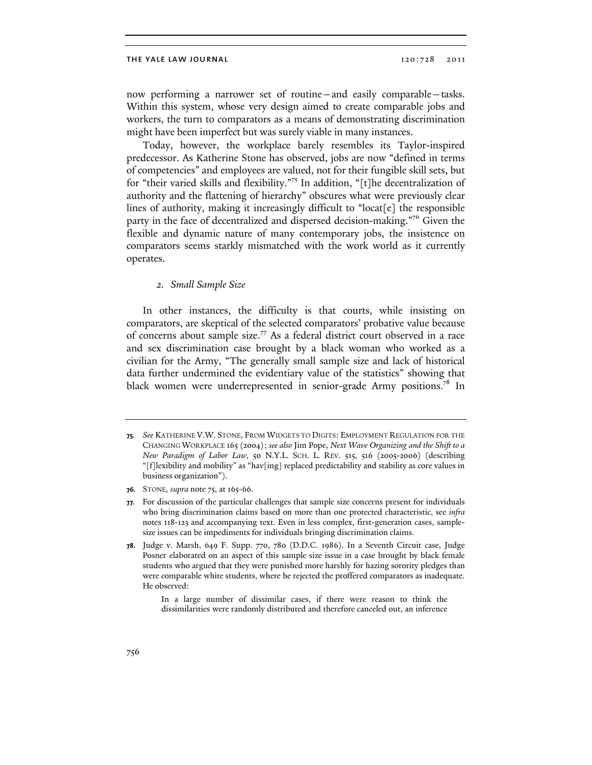now performing a narrower set of routine—and easily comparable—tasks. Within this system, whose very design aimed to create comparable jobs and workers, the turn to comparators as a means of demonstrating discrimination might have been imperfect but was surely viable in many instances.

Today, however, the workplace barely resembles its Taylor-inspired predecessor. As Katherine Stone has observed, jobs are now "defined in terms of competencies" and employees are valued, not for their fungible skill sets, but for "their varied skills and flexibility."<sup>75</sup> In addition, "[t]he decentralization of authority and the flattening of hierarchy" obscures what were previously clear lines of authority, making it increasingly difficult to "locat<sup>[e]</sup> the responsible party in the face of decentralized and dispersed decision-making."<sup>76</sup> Given the flexible and dynamic nature of many contemporary jobs, the insistence on comparators seems starkly mismatched with the work world as it currently operates.

### 2. Small Sample Size

In other instances, the difficulty is that courts, while insisting on comparators, are skeptical of the selected comparators' probative value because of concerns about sample size.<sup>77</sup> As a federal district court observed in a race and sex discrimination case brought by a black woman who worked as a civilian for the Army, "The generally small sample size and lack of historical data further undermined the evidentiary value of the statistics" showing that black women were underrepresented in senior-grade Army positions.<sup>78</sup> In

<sup>75.</sup> *See* KATHERINE V.W. STONE, FROM WIDGETS TO DIGITS: EMPLOYMENT REGULATION FOR THE CHANGING WORKPLACE 165 (2004); *see also* Jim Pope, *Next Wave Organizing and the Shift to a New Paradigm of Labor Law*, 50 N.Y.L. SCH. L. REV. 515, 516 (2005-2006) (describing "[f]lexibility and mobility" as "hav[ing] replaced predictability and stability as core values in business organization").

<sup>76.</sup> STONE*, supra* note 75, at 165-66.

<sup>77.</sup> For discussion of the particular challenges that sample size concerns present for individuals who bring discrimination claims based on more than one protected characteristic, see *infra* notes 118-123 and accompanying text. Even in less complex, first-generation cases, samplesize issues can be impediments for individuals bringing discrimination claims.

<sup>78.</sup> Judge v. Marsh, 649 F. Supp. 770, 780 (D.D.C. 1986). In a Seventh Circuit case, Judge Posner elaborated on an aspect of this sample size issue in a case brought by black female students who argued that they were punished more harshly for hazing sorority pledges than were comparable white students, where he rejected the proffered comparators as inadequate. He observed:

In a large number of dissimilar cases, if there were reason to think the dissimilarities were randomly distributed and therefore canceled out, an inference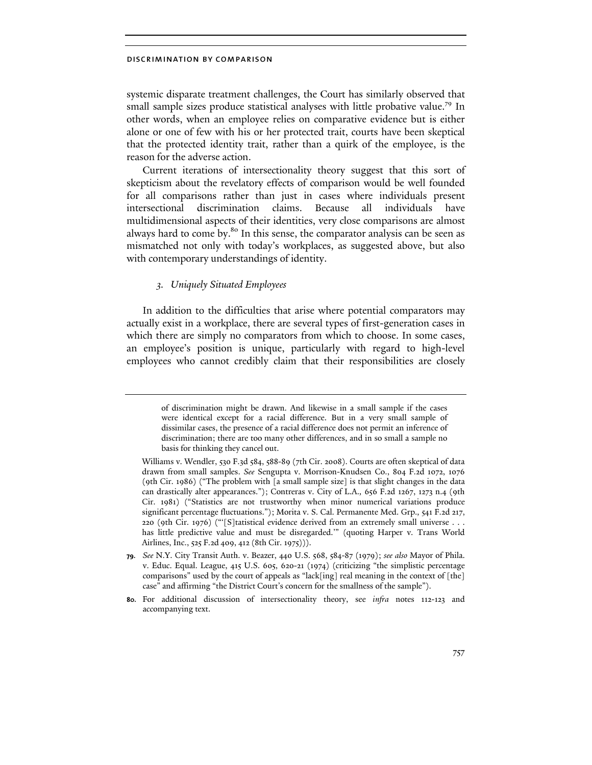systemic disparate treatment challenges, the Court has similarly observed that small sample sizes produce statistical analyses with little probative value.<sup>79</sup> In other words, when an employee relies on comparative evidence but is either alone or one of few with his or her protected trait, courts have been skeptical that the protected identity trait, rather than a quirk of the employee, is the reason for the adverse action.

Current iterations of intersectionality theory suggest that this sort of skepticism about the revelatory effects of comparison would be well founded for all comparisons rather than just in cases where individuals present intersectional discrimination claims. Because all individuals have multidimensional aspects of their identities, very close comparisons are almost always hard to come by.<sup>80</sup> In this sense, the comparator analysis can be seen as mismatched not only with today's workplaces, as suggested above, but also with contemporary understandings of identity.

## 3. Uniquely Situated Employees

In addition to the difficulties that arise where potential comparators may actually exist in a workplace, there are several types of first-generation cases in which there are simply no comparators from which to choose. In some cases, an employee's position is unique, particularly with regard to high-level employees who cannot credibly claim that their responsibilities are closely

of discrimination might be drawn. And likewise in a small sample if the cases were identical except for a racial difference. But in a very small sample of dissimilar cases, the presence of a racial difference does not permit an inference of discrimination; there are too many other differences, and in so small a sample no basis for thinking they cancel out.

Williams v. Wendler, 530 F.3d 584, 588-89 (7th Cir. 2008). Courts are often skeptical of data drawn from small samples. *See* Sengupta v. Morrison-Knudsen Co., 804 F.2d 1072, 1076 (9th Cir. 1986) ("The problem with [a small sample size] is that slight changes in the data can drastically alter appearances."); Contreras v. City of L.A.*,* 656 F.2d 1267, 1273 n.4 (9th Cir. 1981) ("Statistics are not trustworthy when minor numerical variations produce significant percentage fluctuations."); Morita v. S. Cal. Permanente Med. Grp.*,* 541 F.2d 217, 220 (9th Cir. 1976) ("'[S]tatistical evidence derived from an extremely small universe . . . has little predictive value and must be disregarded.'" (quoting Harper v. Trans World Airlines, Inc., 525 F.2d 409, 412 (8th Cir. 1975))).

<sup>79.</sup> *See* N.Y. City Transit Auth. v. Beazer, 440 U.S. 568, 584-87 (1979); *see also* Mayor of Phila. v. Educ. Equal. League, 415 U.S. 605, 620-21 (1974) (criticizing "the simplistic percentage comparisons" used by the court of appeals as "lack[ing] real meaning in the context of [the] case" and affirming "the District Court's concern for the smallness of the sample").

<sup>80.</sup> For additional discussion of intersectionality theory, see *infra* notes 112-123 and accompanying text.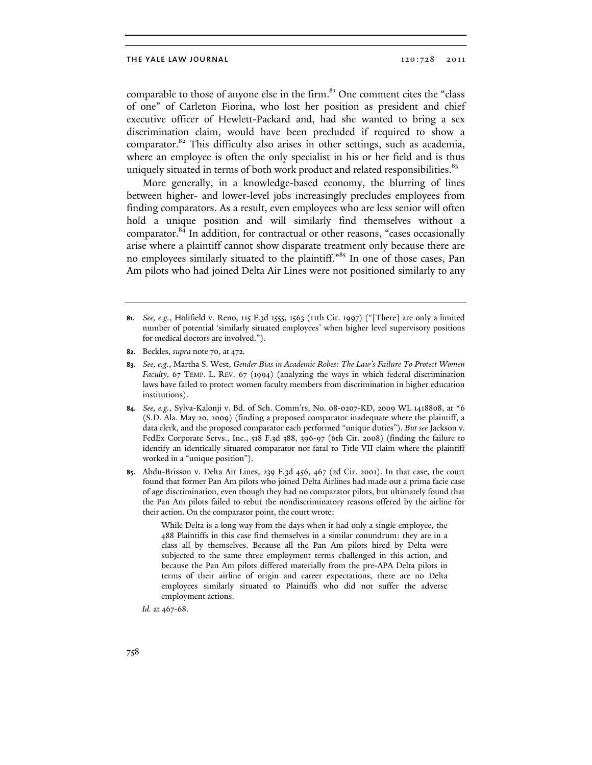comparable to those of anyone else in the firm.<sup>81</sup> One comment cites the "class of one" of Carleton Fiorina, who lost her position as president and chief executive officer of Hewlett-Packard and, had she wanted to bring a sex discrimination claim, would have been precluded if required to show a comparator.<sup>82</sup> This difficulty also arises in other settings, such as academia, where an employee is often the only specialist in his or her field and is thus uniquely situated in terms of both work product and related responsibilities.<sup>83</sup>

More generally, in a knowledge-based economy, the blurring of lines between higher- and lower-level jobs increasingly precludes employees from finding comparators. As a result, even employees who are less senior will often hold a unique position and will similarly find themselves without a comparator.<sup>84</sup> In addition, for contractual or other reasons, "cases occasionally arise where a plaintiff cannot show disparate treatment only because there are no employees similarly situated to the plaintiff."<sup>85</sup> In one of those cases, Pan Am pilots who had joined Delta Air Lines were not positioned similarly to any

While Delta is a long way from the days when it had only a single employee, the 488 Plaintiffs in this case find themselves in a similar conundrum: they are in a class all by themselves. Because all the Pan Am pilots hired by Delta were subjected to the same three employment terms challenged in this action, and because the Pan Am pilots differed materially from the pre-APA Delta pilots in terms of their airline of origin and career expectations, there are no Delta employees similarly situated to Plaintiffs who did not suffer the adverse employment actions.

*Id.* at 467-68.

<sup>81.</sup> *See, e.g.*, Holifield v. Reno, 115 F.3d 1555, 1563 (11th Cir. 1997) ("[There] are only a limited number of potential 'similarly situated employees' when higher level supervisory positions for medical doctors are involved.").

<sup>82.</sup> Beckles, *supra* note 70, at 472.

<sup>83.</sup> *See, e.g.*, Martha S. West, *Gender Bias in Academic Robes: The Law's Failure To Protect Women Faculty*, 67 TEMP. L. REV. 67 (1994) (analyzing the ways in which federal discrimination laws have failed to protect women faculty members from discrimination in higher education institutions).

<sup>84.</sup> *See, e.g.*, Sylva-Kalonji v. Bd. of Sch. Comm'rs, No. 08-0207-KD, 2009 WL 1418808, at \*6 (S.D. Ala. May 20, 2009) (finding a proposed comparator inadequate where the plaintiff, a data clerk, and the proposed comparator each performed "unique duties"). *But see* Jackson v. FedEx Corporate Servs., Inc., 518 F.3d 388, 396-97 (6th Cir. 2008) (finding the failure to identify an identically situated comparator not fatal to Title VII claim where the plaintiff worked in a "unique position").

<sup>85.</sup> Abdu-Brisson v. Delta Air Lines, 239 F.3d 456, 467 (2d Cir. 2001). In that case, the court found that former Pan Am pilots who joined Delta Airlines had made out a prima facie case of age discrimination, even though they had no comparator pilots, but ultimately found that the Pan Am pilots failed to rebut the nondiscriminatory reasons offered by the airline for their action. On the comparator point, the court wrote: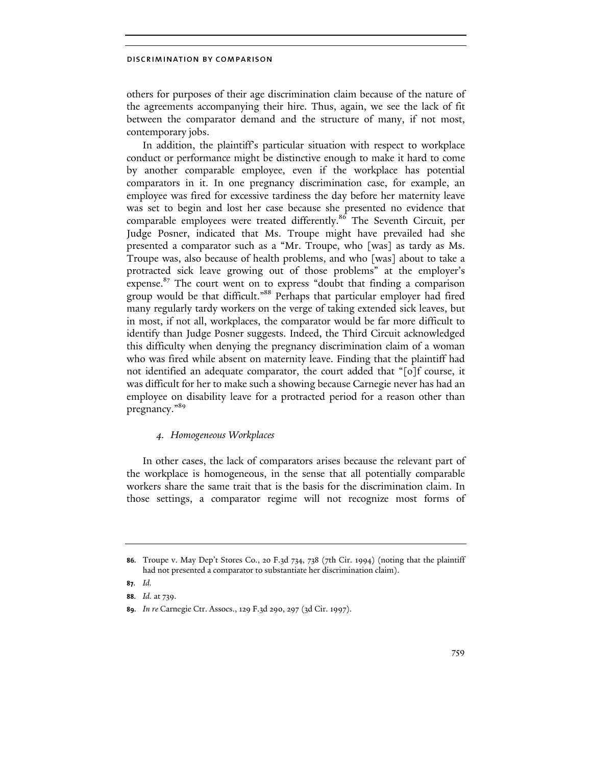others for purposes of their age discrimination claim because of the nature of the agreements accompanying their hire. Thus, again, we see the lack of fit between the comparator demand and the structure of many, if not most, contemporary jobs.

In addition, the plaintiff's particular situation with respect to workplace conduct or performance might be distinctive enough to make it hard to come by another comparable employee, even if the workplace has potential comparators in it. In one pregnancy discrimination case, for example, an employee was fired for excessive tardiness the day before her maternity leave was set to begin and lost her case because she presented no evidence that comparable employees were treated differently.<sup>86</sup> The Seventh Circuit, per Judge Posner, indicated that Ms. Troupe might have prevailed had she presented a comparator such as a "Mr. Troupe, who [was] as tardy as Ms. Troupe was, also because of health problems, and who [was] about to take a protracted sick leave growing out of those problems" at the employer's expense.<sup>87</sup> The court went on to express "doubt that finding a comparison group would be that difficult."<sup>88</sup> Perhaps that particular employer had fired many regularly tardy workers on the verge of taking extended sick leaves, but in most, if not all, workplaces, the comparator would be far more difficult to identify than Judge Posner suggests. Indeed, the Third Circuit acknowledged this difficulty when denying the pregnancy discrimination claim of a woman who was fired while absent on maternity leave. Finding that the plaintiff had not identified an adequate comparator, the court added that "[o]f course, it was difficult for her to make such a showing because Carnegie never has had an employee on disability leave for a protracted period for a reason other than pregnancy."<sup>89</sup>

## 4. Homogeneous Workplaces

In other cases, the lack of comparators arises because the relevant part of the workplace is homogeneous, in the sense that all potentially comparable workers share the same trait that is the basis for the discrimination claim. In those settings, a comparator regime will not recognize most forms of

<sup>86.</sup> Troupe v. May Dep't Stores Co., 20 F.3d 734, 738 (7th Cir. 1994) (noting that the plaintiff had not presented a comparator to substantiate her discrimination claim).

<sup>87.</sup> *Id.*

<sup>88.</sup> *Id.* at 739.

<sup>89.</sup> *In re* Carnegie Ctr. Assocs., 129 F.3d 290, 297 (3d Cir. 1997).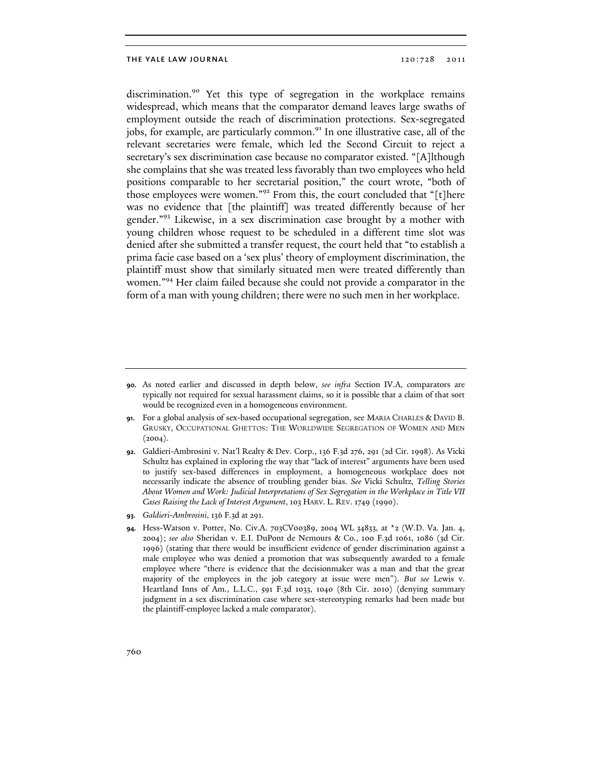discrimination.<sup>90</sup> Yet this type of segregation in the workplace remains widespread, which means that the comparator demand leaves large swaths of employment outside the reach of discrimination protections. Sex-segregated jobs, for example, are particularly common.<sup>91</sup> In one illustrative case, all of the relevant secretaries were female, which led the Second Circuit to reject a secretary's sex discrimination case because no comparator existed. "[A]lthough she complains that she was treated less favorably than two employees who held positions comparable to her secretarial position," the court wrote, "both of those employees were women."<sup>92</sup> From this, the court concluded that "[t]here was no evidence that [the plaintiff] was treated differently because of her gender."<sup>93</sup> Likewise, in a sex discrimination case brought by a mother with young children whose request to be scheduled in a different time slot was denied after she submitted a transfer request, the court held that "to establish a prima facie case based on a 'sex plus' theory of employment discrimination, the plaintiff must show that similarly situated men were treated differently than women."<sup>94</sup> Her claim failed because she could not provide a comparator in the form of a man with young children; there were no such men in her workplace.

<sup>90.</sup> As noted earlier and discussed in depth below, *see infra* Section IV.A, comparators are typically not required for sexual harassment claims, so it is possible that a claim of that sort would be recognized even in a homogeneous environment.

<sup>91.</sup> For a global analysis of sex-based occupational segregation, see MARIA CHARLES & DAVID B. GRUSKY, OCCUPATIONAL GHETTOS: THE WORLDWIDE SEGREGATION OF WOMEN AND MEN  $(2004).$ 

<sup>92.</sup> Galdieri-Ambrosini v. Nat'l Realty & Dev. Corp., 136 F.3d 276, 291 (2d Cir. 1998). As Vicki Schultz has explained in exploring the way that "lack of interest" arguments have been used to justify sex-based differences in employment, a homogeneous workplace does not necessarily indicate the absence of troubling gender bias. *See* Vicki Schultz, *Telling Stories About Women and Work: Judicial Interpretations of Sex Segregation in the Workplace in Title VII Cases Raising the Lack of Interest Argument*, 103 HARV. L. REV. 1749 (1990).

<sup>93.</sup> *Galdieri-Ambrosini*, 136 F.3d at 291.

<sup>94.</sup> Hess-Watson v. Potter, No. Civ.A. 703CV00389, 2004 WL 34833, at \*2 (W.D. Va. Jan. 4, 2004); *see also* Sheridan v. E.I. DuPont de Nemours & Co., 100 F.3d 1061, 1086 (3d Cir. 1996) (stating that there would be insufficient evidence of gender discrimination against a male employee who was denied a promotion that was subsequently awarded to a female employee where "there is evidence that the decisionmaker was a man and that the great majority of the employees in the job category at issue were men"). *But see* Lewis v. Heartland Inns of Am., L.L.C., 591 F.3d 1033, 1040 (8th Cir. 2010) (denying summary judgment in a sex discrimination case where sex-stereotyping remarks had been made but the plaintiff-employee lacked a male comparator).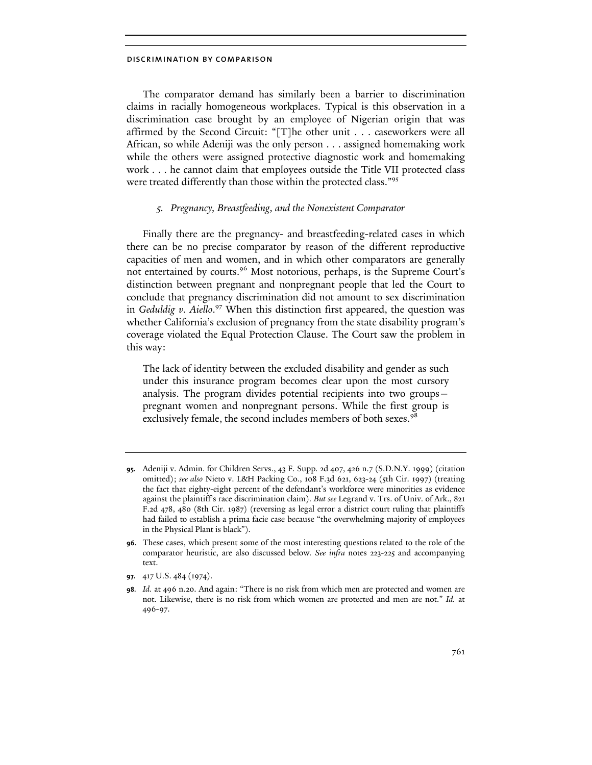The comparator demand has similarly been a barrier to discrimination claims in racially homogeneous workplaces. Typical is this observation in a discrimination case brought by an employee of Nigerian origin that was affirmed by the Second Circuit: "[T]he other unit . . . caseworkers were all African, so while Adeniji was the only person . . . assigned homemaking work while the others were assigned protective diagnostic work and homemaking work . . . he cannot claim that employees outside the Title VII protected class were treated differently than those within the protected class."<sup>95</sup>

## 5. Pregnancy, Breastfeeding, and the Nonexistent Comparator

Finally there are the pregnancy- and breastfeeding-related cases in which there can be no precise comparator by reason of the different reproductive capacities of men and women, and in which other comparators are generally not entertained by courts.<sup>96</sup> Most notorious, perhaps, is the Supreme Court's distinction between pregnant and nonpregnant people that led the Court to conclude that pregnancy discrimination did not amount to sex discrimination in Geduldig v. Aiello.<sup>97</sup> When this distinction first appeared, the question was whether California's exclusion of pregnancy from the state disability program's coverage violated the Equal Protection Clause. The Court saw the problem in this way:

The lack of identity between the excluded disability and gender as such under this insurance program becomes clear upon the most cursory analysis. The program divides potential recipients into two groups pregnant women and nonpregnant persons. While the first group is exclusively female, the second includes members of both sexes.<sup>98</sup>

<sup>95.</sup> Adeniji v. Admin. for Children Servs., 43 F. Supp. 2d 407, 426 n.7 (S.D.N.Y. 1999) (citation omitted); *see also* Nieto v. L&H Packing Co., 108 F.3d 621, 623-24 (5th Cir. 1997) (treating the fact that eighty-eight percent of the defendant's workforce were minorities as evidence against the plaintiff's race discrimination claim). *But see* Legrand v. Trs. of Univ. of Ark., 821 F.2d 478, 480 (8th Cir. 1987) (reversing as legal error a district court ruling that plaintiffs had failed to establish a prima facie case because "the overwhelming majority of employees in the Physical Plant is black").

<sup>96.</sup> These cases, which present some of the most interesting questions related to the role of the comparator heuristic, are also discussed below*. See infra* notes 223-225 and accompanying text.

<sup>97.</sup> 417 U.S. 484 (1974).

<sup>98.</sup> *Id.* at 496 n.20. And again: "There is no risk from which men are protected and women are not. Likewise, there is no risk from which women are protected and men are not." *Id.* at 496-97.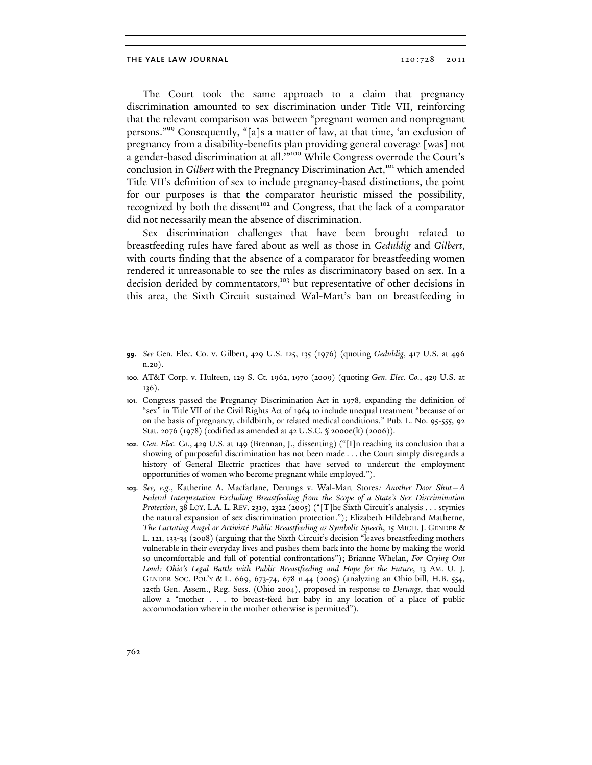The Court took the same approach to a claim that pregnancy discrimination amounted to sex discrimination under Title VII, reinforcing that the relevant comparison was between "pregnant women and nonpregnant persons."<sup>99</sup> Consequently, "[a]s a matter of law, at that time, 'an exclusion of pregnancy from a disability-benefits plan providing general coverage [was] not a gender-based discrimination at all.'"<sup>100</sup> While Congress overrode the Court's conclusion in Gilbert with the Pregnancy Discrimination Act,<sup>101</sup> which amended Title VII's definition of sex to include pregnancy-based distinctions, the point for our purposes is that the comparator heuristic missed the possibility, recognized by both the dissent<sup>102</sup> and Congress, that the lack of a comparator did not necessarily mean the absence of discrimination.

Sex discrimination challenges that have been brought related to breastfeeding rules have fared about as well as those in Geduldig and Gilbert, with courts finding that the absence of a comparator for breastfeeding women rendered it unreasonable to see the rules as discriminatory based on sex. In a decision derided by commentators,<sup>103</sup> but representative of other decisions in this area, the Sixth Circuit sustained Wal-Mart's ban on breastfeeding in

- 99. *See* Gen. Elec. Co. v. Gilbert, 429 U.S. 125, 135 (1976) (quoting *Geduldig*, 417 U.S. at 496 n.20).
- 100. AT&T Corp. v. Hulteen, 129 S. Ct. 1962, 1970 (2009) (quoting *Gen. Elec. Co.*, 429 U.S. at 136).
- 101. Congress passed the Pregnancy Discrimination Act in 1978, expanding the definition of "sex" in Title VII of the Civil Rights Act of 1964 to include unequal treatment "because of or on the basis of pregnancy, childbirth, or related medical conditions." Pub. L. No. 95-555, 92 Stat. 2076 (1978) (codified as amended at 42 U.S.C. § 2000e(k) (2006)).
- 102. *Gen. Elec. Co*., 429 U.S. at 149 (Brennan, J., dissenting) ("[I]n reaching its conclusion that a showing of purposeful discrimination has not been made . . . the Court simply disregards a history of General Electric practices that have served to undercut the employment opportunities of women who become pregnant while employed.").
- 103. *See, e.g.*, Katherine A. Macfarlane, Derungs v. Wal-Mart Stores*: Another Door Shut—A Federal Interpretation Excluding Breastfeeding from the Scope of a State's Sex Discrimination Protection*, 38 LOY. L.A. L. REV. 2319, 2322 (2005) ("[T]he Sixth Circuit's analysis . . . stymies the natural expansion of sex discrimination protection."); Elizabeth Hildebrand Matherne, *The Lactating Angel or Activist? Public Breastfeeding as Symbolic Speech*, 15 MICH. J. GENDER & L. 121, 133-34 (2008) (arguing that the Sixth Circuit's decision "leaves breastfeeding mothers vulnerable in their everyday lives and pushes them back into the home by making the world so uncomfortable and full of potential confrontations"); Brianne Whelan, *For Crying Out Loud: Ohio's Legal Battle with Public Breastfeeding and Hope for the Future*, 13 AM. U. J. GENDER SOC. POL'Y & L. 669, 673-74, 678 n.44 (2005) (analyzing an Ohio bill, H.B. 554, 125th Gen. Assem., Reg. Sess. (Ohio 2004), proposed in response to *Derungs*, that would allow a "mother . . . to breast-feed her baby in any location of a place of public accommodation wherein the mother otherwise is permitted").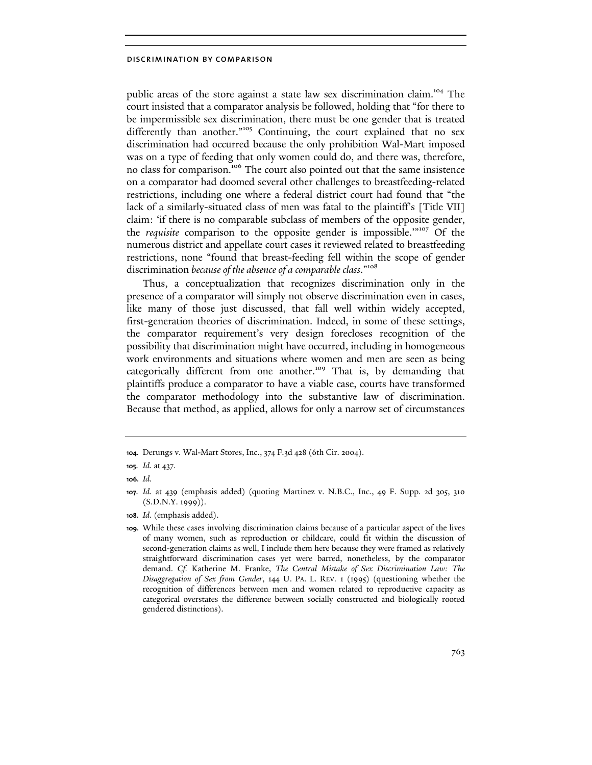public areas of the store against a state law sex discrimination claim.<sup>104</sup> The court insisted that a comparator analysis be followed, holding that "for there to be impermissible sex discrimination, there must be one gender that is treated differently than another."<sup>105</sup> Continuing, the court explained that no sex discrimination had occurred because the only prohibition Wal-Mart imposed was on a type of feeding that only women could do, and there was, therefore, no class for comparison.<sup>106</sup> The court also pointed out that the same insistence on a comparator had doomed several other challenges to breastfeeding-related restrictions, including one where a federal district court had found that "the lack of a similarly-situated class of men was fatal to the plaintiff's [Title VII] claim: 'if there is no comparable subclass of members of the opposite gender, the requisite comparison to the opposite gender is impossible."<sup>107</sup> Of the numerous district and appellate court cases it reviewed related to breastfeeding restrictions, none "found that breast-feeding fell within the scope of gender discrimination because of the absence of a comparable class."<sup>108</sup>

Thus, a conceptualization that recognizes discrimination only in the presence of a comparator will simply not observe discrimination even in cases, like many of those just discussed, that fall well within widely accepted, first-generation theories of discrimination. Indeed, in some of these settings, the comparator requirement's very design forecloses recognition of the possibility that discrimination might have occurred, including in homogeneous work environments and situations where women and men are seen as being categorically different from one another.<sup>109</sup> That is, by demanding that plaintiffs produce a comparator to have a viable case, courts have transformed the comparator methodology into the substantive law of discrimination. Because that method, as applied, allows for only a narrow set of circumstances

108. *Id.* (emphasis added).

<sup>104.</sup> Derungs v. Wal-Mart Stores, Inc., 374 F.3d 428 (6th Cir. 2004).

<sup>105.</sup> *Id*. at 437.

<sup>106.</sup> *Id*.

<sup>107.</sup> *Id.* at 439 (emphasis added) (quoting Martinez v. N.B.C., Inc., 49 F. Supp. 2d 305, 310  $(S.D.N.Y. 1999)$ .

<sup>109.</sup> While these cases involving discrimination claims because of a particular aspect of the lives of many women, such as reproduction or childcare, could fit within the discussion of second-generation claims as well, I include them here because they were framed as relatively straightforward discrimination cases yet were barred, nonetheless, by the comparator demand. *Cf.* Katherine M. Franke, *The Central Mistake of Sex Discrimination Law: The Disaggregation of Sex from Gender*, 144 U. PA. L. REV. 1 (1995) (questioning whether the recognition of differences between men and women related to reproductive capacity as categorical overstates the difference between socially constructed and biologically rooted gendered distinctions).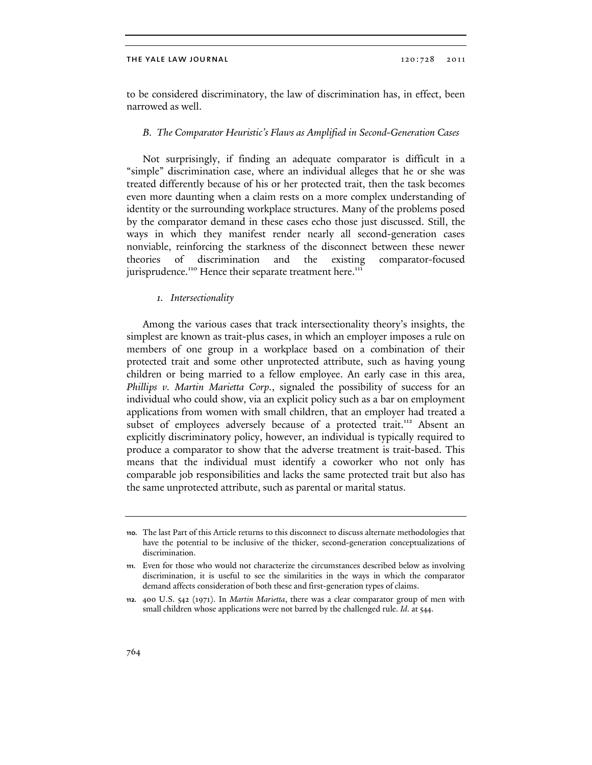to be considered discriminatory, the law of discrimination has, in effect, been narrowed as well.

## B. The Comparator Heuristic's Flaws as Amplified in Second-Generation Cases

Not surprisingly, if finding an adequate comparator is difficult in a "simple" discrimination case, where an individual alleges that he or she was treated differently because of his or her protected trait, then the task becomes even more daunting when a claim rests on a more complex understanding of identity or the surrounding workplace structures. Many of the problems posed by the comparator demand in these cases echo those just discussed. Still, the ways in which they manifest render nearly all second-generation cases nonviable, reinforcing the starkness of the disconnect between these newer theories of discrimination and the existing comparator-focused jurisprudence.<sup>110</sup> Hence their separate treatment here.<sup>111</sup>

## 1. Intersectionality

Among the various cases that track intersectionality theory's insights, the simplest are known as trait-plus cases, in which an employer imposes a rule on members of one group in a workplace based on a combination of their protected trait and some other unprotected attribute, such as having young children or being married to a fellow employee. An early case in this area, Phillips v. Martin Marietta Corp., signaled the possibility of success for an individual who could show, via an explicit policy such as a bar on employment applications from women with small children, that an employer had treated a subset of employees adversely because of a protected trait.<sup>112</sup> Absent an explicitly discriminatory policy, however, an individual is typically required to produce a comparator to show that the adverse treatment is trait-based. This means that the individual must identify a coworker who not only has comparable job responsibilities and lacks the same protected trait but also has the same unprotected attribute, such as parental or marital status.

<sup>110.</sup> The last Part of this Article returns to this disconnect to discuss alternate methodologies that have the potential to be inclusive of the thicker, second-generation conceptualizations of discrimination.

<sup>111.</sup> Even for those who would not characterize the circumstances described below as involving discrimination, it is useful to see the similarities in the ways in which the comparator demand affects consideration of both these and first-generation types of claims.

<sup>112.</sup> 400 U.S. 542 (1971). In *Martin Marietta*, there was a clear comparator group of men with small children whose applications were not barred by the challenged rule. *Id*. at 544.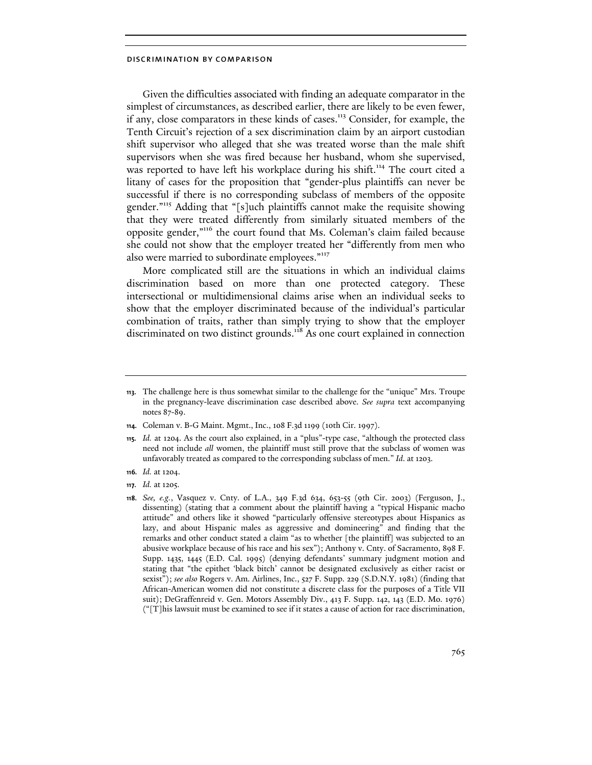Given the difficulties associated with finding an adequate comparator in the simplest of circumstances, as described earlier, there are likely to be even fewer, if any, close comparators in these kinds of cases.<sup>113</sup> Consider, for example, the Tenth Circuit's rejection of a sex discrimination claim by an airport custodian shift supervisor who alleged that she was treated worse than the male shift supervisors when she was fired because her husband, whom she supervised, was reported to have left his workplace during his shift.<sup>114</sup> The court cited a litany of cases for the proposition that "gender-plus plaintiffs can never be successful if there is no corresponding subclass of members of the opposite gender."<sup>115</sup> Adding that "[s]uch plaintiffs cannot make the requisite showing that they were treated differently from similarly situated members of the opposite gender,"<sup>116</sup> the court found that Ms. Coleman's claim failed because she could not show that the employer treated her "differently from men who also were married to subordinate employees."<sup>117</sup>

More complicated still are the situations in which an individual claims discrimination based on more than one protected category. These intersectional or multidimensional claims arise when an individual seeks to show that the employer discriminated because of the individual's particular combination of traits, rather than simply trying to show that the employer discriminated on two distinct grounds.<sup>118</sup> As one court explained in connection

<sup>113.</sup> The challenge here is thus somewhat similar to the challenge for the "unique" Mrs. Troupe in the pregnancy-leave discrimination case described above. *See supra* text accompanying notes 87-89.

<sup>114.</sup> Coleman v. B-G Maint. Mgmt., Inc., 108 F.3d 1199 (10th Cir. 1997).

<sup>115.</sup> *Id.* at 1204. As the court also explained, in a "plus"-type case, "although the protected class need not include *all* women, the plaintiff must still prove that the subclass of women was unfavorably treated as compared to the corresponding subclass of men." *Id*. at 1203.

<sup>116.</sup> *Id.* at 1204.

<sup>117.</sup> *Id.* at 1205.

<sup>118.</sup> *See, e.g.*, Vasquez v. Cnty. of L.A., 349 F.3d 634, 653-55 (9th Cir. 2003) (Ferguson, J., dissenting) (stating that a comment about the plaintiff having a "typical Hispanic macho attitude" and others like it showed "particularly offensive stereotypes about Hispanics as lazy, and about Hispanic males as aggressive and domineering" and finding that the remarks and other conduct stated a claim "as to whether [the plaintiff] was subjected to an abusive workplace because of his race and his sex"); Anthony v. Cnty. of Sacramento, 898 F. Supp. 1435, 1445 (E.D. Cal. 1995) (denying defendants' summary judgment motion and stating that "the epithet 'black bitch' cannot be designated exclusively as either racist or sexist"); *see also* Rogers v. Am. Airlines, Inc., 527 F. Supp. 229 (S.D.N.Y. 1981) (finding that African-American women did not constitute a discrete class for the purposes of a Title VII suit); DeGraffenreid v. Gen. Motors Assembly Div., 413 F. Supp. 142, 143 (E.D. Mo. 1976) ("[T]his lawsuit must be examined to see if it states a cause of action for race discrimination,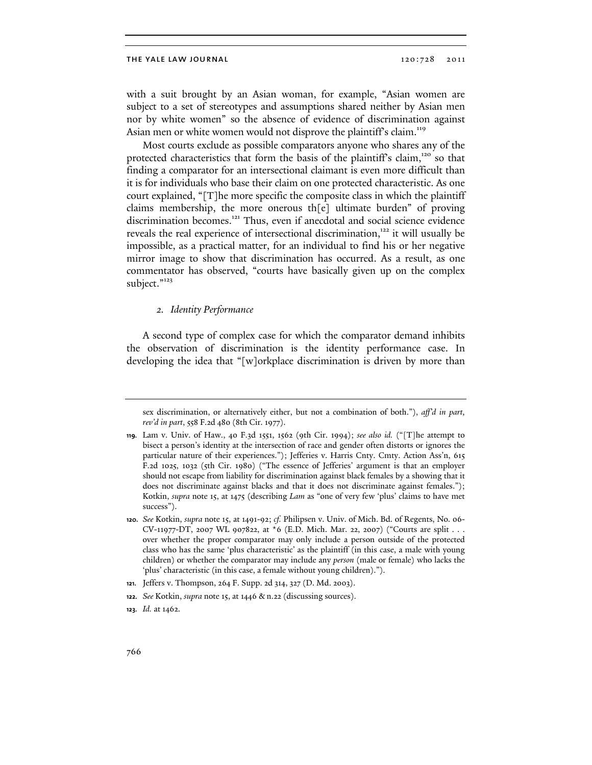with a suit brought by an Asian woman, for example, "Asian women are subject to a set of stereotypes and assumptions shared neither by Asian men nor by white women" so the absence of evidence of discrimination against Asian men or white women would not disprove the plaintiff's claim.<sup>119</sup>

Most courts exclude as possible comparators anyone who shares any of the protected characteristics that form the basis of the plaintiff's claim,<sup>120</sup> so that finding a comparator for an intersectional claimant is even more difficult than it is for individuals who base their claim on one protected characteristic. As one court explained, "[T]he more specific the composite class in which the plaintiff claims membership, the more onerous th[e] ultimate burden" of proving discrimination becomes.<sup>121</sup> Thus, even if anecdotal and social science evidence reveals the real experience of intersectional discrimination,<sup>122</sup> it will usually be impossible, as a practical matter, for an individual to find his or her negative mirror image to show that discrimination has occurred. As a result, as one commentator has observed, "courts have basically given up on the complex subject."<sup>123</sup>

## 2. Identity Performance

A second type of complex case for which the comparator demand inhibits the observation of discrimination is the identity performance case. In developing the idea that "[w]orkplace discrimination is driven by more than

sex discrimination, or alternatively either, but not a combination of both."), *aff'd in part, rev'd in part*, 558 F.2d 480 (8th Cir. 1977).

<sup>119.</sup> Lam v. Univ. of Haw., 40 F.3d 1551, 1562 (9th Cir. 1994); *see also id.* ("[T]he attempt to bisect a person's identity at the intersection of race and gender often distorts or ignores the particular nature of their experiences."); Jefferies v. Harris Cnty. Cmty. Action Ass'n, 615 F.2d 1025, 1032 (5th Cir. 1980) ("The essence of Jefferies' argument is that an employer should not escape from liability for discrimination against black females by a showing that it does not discriminate against blacks and that it does not discriminate against females."); Kotkin, *supra* note 15, at 1475 (describing *Lam* as "one of very few 'plus' claims to have met success").

<sup>120.</sup> *See* Kotkin, *supra* note 15, at 1491-92; *cf.* Philipsen v. Univ. of Mich. Bd. of Regents, No. 06- CV-11977-DT, 2007 WL 907822, at \*6 (E.D. Mich. Mar. 22, 2007) ("Courts are split . . . over whether the proper comparator may only include a person outside of the protected class who has the same 'plus characteristic' as the plaintiff (in this case, a male with young children) or whether the comparator may include any *person* (male or female) who lacks the 'plus' characteristic (in this case, a female without young children).").

<sup>121.</sup> Jeffers v. Thompson, 264 F. Supp. 2d 314, 327 (D. Md. 2003).

<sup>122.</sup> *See* Kotkin, *supra* note 15, at 1446 & n.22 (discussing sources).

<sup>123.</sup> *Id.* at 1462.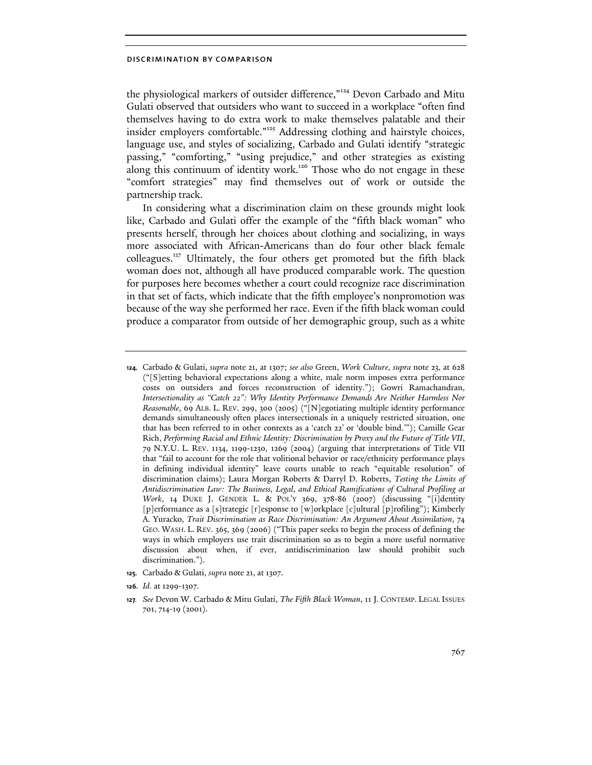the physiological markers of outsider difference,"<sup>124</sup> Devon Carbado and Mitu Gulati observed that outsiders who want to succeed in a workplace "often find themselves having to do extra work to make themselves palatable and their insider employers comfortable."<sup>125</sup> Addressing clothing and hairstyle choices, language use, and styles of socializing, Carbado and Gulati identify "strategic passing," "comforting," "using prejudice," and other strategies as existing along this continuum of identity work.<sup>126</sup> Those who do not engage in these "comfort strategies" may find themselves out of work or outside the partnership track.

In considering what a discrimination claim on these grounds might look like, Carbado and Gulati offer the example of the "fifth black woman" who presents herself, through her choices about clothing and socializing, in ways more associated with African-Americans than do four other black female colleagues.<sup>127</sup> Ultimately, the four others get promoted but the fifth black woman does not, although all have produced comparable work. The question for purposes here becomes whether a court could recognize race discrimination in that set of facts, which indicate that the fifth employee's nonpromotion was because of the way she performed her race. Even if the fifth black woman could produce a comparator from outside of her demographic group, such as a white

125. Carbado & Gulati, *supra* note 21, at 1307.

<sup>124.</sup> Carbado & Gulati, *supra* note 21, at 1307; *see also* Green, *Work Culture*, *supra* note 23, at 628 ("[S]etting behavioral expectations along a white, male norm imposes extra performance costs on outsiders and forces reconstruction of identity."); Gowri Ramachandran, *Intersectionality as "Catch 22": Why Identity Performance Demands Are Neither Harmless Nor Reasonable*, 69 ALB. L. REV. 299, 300 (2005) ("[N]egotiating multiple identity performance demands simultaneously often places intersectionals in a uniquely restricted situation, one that has been referred to in other contexts as a 'catch 22' or 'double bind.'"); Camille Gear Rich, *Performing Racial and Ethnic Identity: Discrimination by Proxy and the Future of Title VII*, 79 N.Y.U. L. REV. 1134, 1199-1230, 1269 (2004) (arguing that interpretations of Title VII that "fail to account for the role that volitional behavior or race/ethnicity performance plays in defining individual identity" leave courts unable to reach "equitable resolution" of discrimination claims); Laura Morgan Roberts & Darryl D. Roberts, *Testing the Limits of Antidiscrimination Law: The Business, Legal, and Ethical Ramifications of Cultural Profiling at Work*, 14 DUKE J. GENDER L. & POL'Y 369, 378-86 (2007) (discussing "[i]dentity [p]erformance as a [s]trategic [r]esponse to [w]orkplace [c]ultural [p]rofiling"); Kimberly A. Yuracko, *Trait Discrimination as Race Discrimination: An Argument About Assimilation*, 74 GEO. WASH. L. REV. 365, 369 (2006) ("This paper seeks to begin the process of defining the ways in which employers use trait discrimination so as to begin a more useful normative discussion about when, if ever, antidiscrimination law should prohibit such discrimination.").

<sup>126.</sup> *Id.* at 1299-1307.

<sup>127</sup>. *See* Devon W. Carbado & Mitu Gulati, *The Fifth Black Woman*, 11 J. CONTEMP. LEGAL ISSUES 701, 714-19 (2001).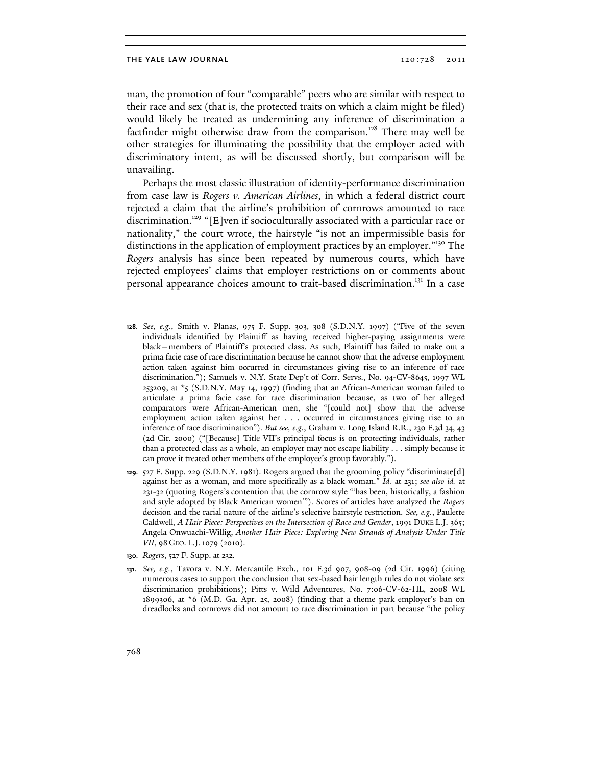man, the promotion of four "comparable" peers who are similar with respect to their race and sex (that is, the protected traits on which a claim might be filed) would likely be treated as undermining any inference of discrimination a factfinder might otherwise draw from the comparison.<sup>128</sup> There may well be other strategies for illuminating the possibility that the employer acted with discriminatory intent, as will be discussed shortly, but comparison will be unavailing.

Perhaps the most classic illustration of identity-performance discrimination from case law is Rogers v. American Airlines, in which a federal district court rejected a claim that the airline's prohibition of cornrows amounted to race discrimination.<sup>129</sup> "[E]ven if socioculturally associated with a particular race or nationality," the court wrote, the hairstyle "is not an impermissible basis for distinctions in the application of employment practices by an employer."<sup>130</sup> The Rogers analysis has since been repeated by numerous courts, which have rejected employees' claims that employer restrictions on or comments about personal appearance choices amount to trait-based discrimination.<sup>131</sup> In a case

- 128. *See, e.g.*, Smith v. Planas, 975 F. Supp. 303, 308 (S.D.N.Y. 1997) ("Five of the seven individuals identified by Plaintiff as having received higher-paying assignments were black—members of Plaintiff's protected class. As such, Plaintiff has failed to make out a prima facie case of race discrimination because he cannot show that the adverse employment action taken against him occurred in circumstances giving rise to an inference of race discrimination."); Samuels v. N.Y. State Dep't of Corr. Servs., No. 94-CV-8645, 1997 WL 253209, at  $\star$ 5 (S.D.N.Y. May 14, 1997) (finding that an African-American woman failed to articulate a prima facie case for race discrimination because, as two of her alleged comparators were African-American men, she "[could not] show that the adverse employment action taken against her . . . occurred in circumstances giving rise to an inference of race discrimination"). *But see, e.g.*, Graham v. Long Island R.R., 230 F.3d 34, 43 (2d Cir. 2000) ("[Because] Title VII's principal focus is on protecting individuals, rather than a protected class as a whole, an employer may not escape liability . . . simply because it can prove it treated other members of the employee's group favorably.").
- 129. 527 F. Supp. 229 (S.D.N.Y. 1981). Rogers argued that the grooming policy "discriminate[d] against her as a woman, and more specifically as a black woman." *Id.* at 231; *see also id.* at 231-32 (quoting Rogers's contention that the cornrow style "'has been, historically, a fashion and style adopted by Black American women'"). Scores of articles have analyzed the *Rogers*  decision and the racial nature of the airline's selective hairstyle restriction. *See, e.g.*, Paulette Caldwell, *A Hair Piece: Perspectives on the Intersection of Race and Gender*, 1991 DUKE L.J. 365; Angela Onwuachi-Willig, *Another Hair Piece: Exploring New Strands of Analysis Under Title VII*, 98 GEO. L.J.1079 (2010).
- 130. *Rogers*, 527 F. Supp. at 232.
- 131. *See, e.g.*, Tavora v. N.Y. Mercantile Exch., 101 F.3d 907, 908-09 (2d Cir. 1996) (citing numerous cases to support the conclusion that sex-based hair length rules do not violate sex discrimination prohibitions); Pitts v. Wild Adventures, No. 7:06-CV-62-HL, 2008 WL 1899306, at  $*6$  (M.D. Ga. Apr. 25, 2008) (finding that a theme park employer's ban on dreadlocks and cornrows did not amount to race discrimination in part because "the policy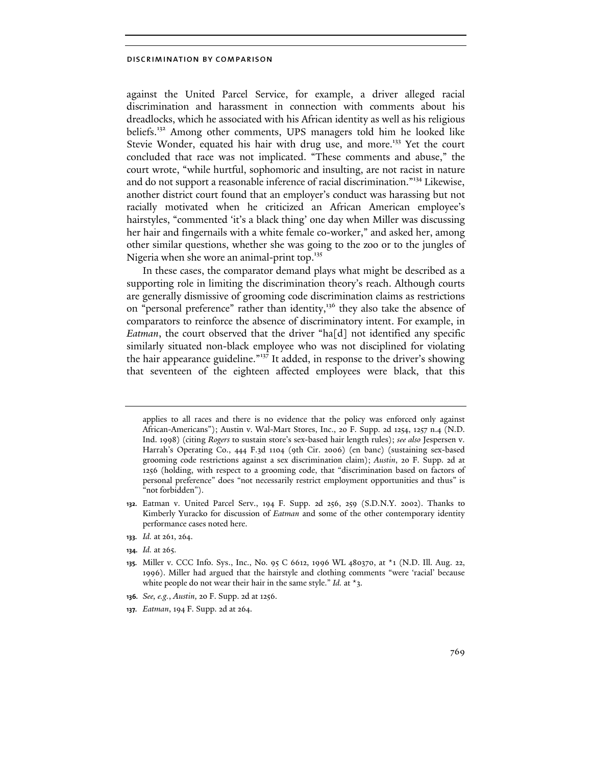against the United Parcel Service, for example, a driver alleged racial discrimination and harassment in connection with comments about his dreadlocks, which he associated with his African identity as well as his religious beliefs.<sup>132</sup> Among other comments, UPS managers told him he looked like Stevie Wonder, equated his hair with drug use, and more.<sup>133</sup> Yet the court concluded that race was not implicated. "These comments and abuse," the court wrote, "while hurtful, sophomoric and insulting, are not racist in nature and do not support a reasonable inference of racial discrimination."<sup>134</sup> Likewise, another district court found that an employer's conduct was harassing but not racially motivated when he criticized an African American employee's hairstyles, "commented 'it's a black thing' one day when Miller was discussing her hair and fingernails with a white female co-worker," and asked her, among other similar questions, whether she was going to the zoo or to the jungles of Nigeria when she wore an animal-print top.<sup>135</sup>

In these cases, the comparator demand plays what might be described as a supporting role in limiting the discrimination theory's reach. Although courts are generally dismissive of grooming code discrimination claims as restrictions on "personal preference" rather than identity,<sup>136</sup> they also take the absence of comparators to reinforce the absence of discriminatory intent. For example, in Eatman, the court observed that the driver "ha[d] not identified any specific similarly situated non-black employee who was not disciplined for violating the hair appearance guideline."<sup>137</sup> It added, in response to the driver's showing that seventeen of the eighteen affected employees were black, that this

- 133. *Id.* at 261, 264.
- 134. *Id.* at 265.

applies to all races and there is no evidence that the policy was enforced only against African-Americans"); Austin v. Wal-Mart Stores, Inc., 20 F. Supp. 2d 1254, 1257 n.4 (N.D. Ind. 1998) (citing *Rogers* to sustain store's sex-based hair length rules); *see also* Jespersen v. Harrah's Operating Co., 444 F.3d 1104 (9th Cir. 2006) (en banc) (sustaining sex-based grooming code restrictions against a sex discrimination claim); *Austin*, 20 F. Supp. 2d at 1256 (holding, with respect to a grooming code, that "discrimination based on factors of personal preference" does "not necessarily restrict employment opportunities and thus" is "not forbidden").

<sup>132.</sup> Eatman v. United Parcel Serv., 194 F. Supp. 2d 256, 259 (S.D.N.Y. 2002). Thanks to Kimberly Yuracko for discussion of *Eatman* and some of the other contemporary identity performance cases noted here.

<sup>135.</sup> Miller v. CCC Info. Sys., Inc., No. 95 C 6612, 1996 WL 480370, at \*1 (N.D. Ill. Aug. 22, 1996). Miller had argued that the hairstyle and clothing comments "were 'racial' because white people do not wear their hair in the same style." *Id.* at \*3.

<sup>136.</sup> *See, e.g.*, *Austin,* 20 F. Supp. 2d at 1256.

<sup>137.</sup> *Eatman*, 194 F. Supp. 2d at 264.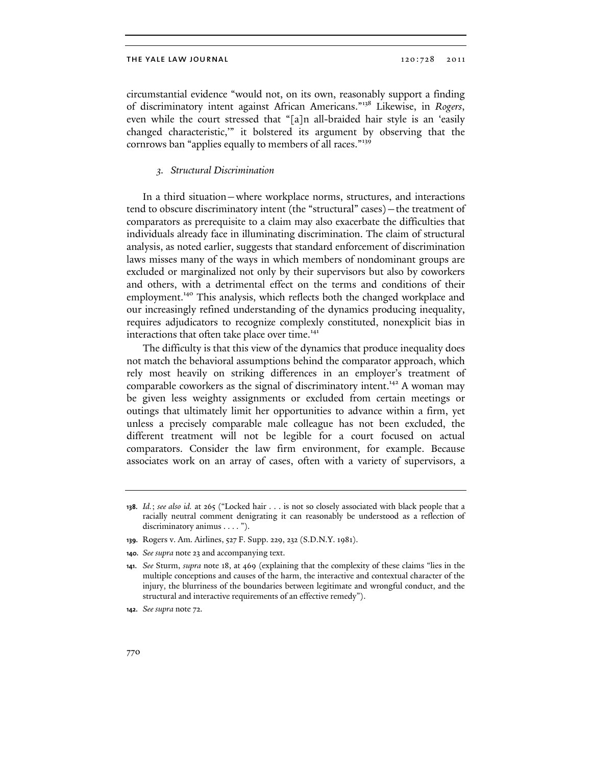circumstantial evidence "would not, on its own, reasonably support a finding of discriminatory intent against African Americans."<sup>138</sup> Likewise, in Rogers, even while the court stressed that "[a]n all-braided hair style is an 'easily changed characteristic,'" it bolstered its argument by observing that the cornrows ban "applies equally to members of all races."<sup>139</sup>

## 3. Structural Discrimination

In a third situation—where workplace norms, structures, and interactions tend to obscure discriminatory intent (the "structural" cases)—the treatment of comparators as prerequisite to a claim may also exacerbate the difficulties that individuals already face in illuminating discrimination. The claim of structural analysis, as noted earlier, suggests that standard enforcement of discrimination laws misses many of the ways in which members of nondominant groups are excluded or marginalized not only by their supervisors but also by coworkers and others, with a detrimental effect on the terms and conditions of their employment.<sup>140</sup> This analysis, which reflects both the changed workplace and our increasingly refined understanding of the dynamics producing inequality, requires adjudicators to recognize complexly constituted, nonexplicit bias in interactions that often take place over time.<sup>141</sup>

The difficulty is that this view of the dynamics that produce inequality does not match the behavioral assumptions behind the comparator approach, which rely most heavily on striking differences in an employer's treatment of comparable coworkers as the signal of discriminatory intent.<sup>142</sup> A woman may be given less weighty assignments or excluded from certain meetings or outings that ultimately limit her opportunities to advance within a firm, yet unless a precisely comparable male colleague has not been excluded, the different treatment will not be legible for a court focused on actual comparators. Consider the law firm environment, for example. Because associates work on an array of cases, often with a variety of supervisors, a

<sup>138.</sup> *Id.*; *see also id.* at 265 ("Locked hair . . . is not so closely associated with black people that a racially neutral comment denigrating it can reasonably be understood as a reflection of discriminatory animus . . . . ").

<sup>139.</sup> Rogers v. Am. Airlines, 527 F. Supp. 229, 232 (S.D.N.Y. 1981).

<sup>140.</sup> *See supra* note 23 and accompanying text.

<sup>141.</sup> *See* Sturm, *supra* note 18, at 469 (explaining that the complexity of these claims "lies in the multiple conceptions and causes of the harm, the interactive and contextual character of the injury, the blurriness of the boundaries between legitimate and wrongful conduct, and the structural and interactive requirements of an effective remedy").

<sup>142.</sup> *See supra* note 72.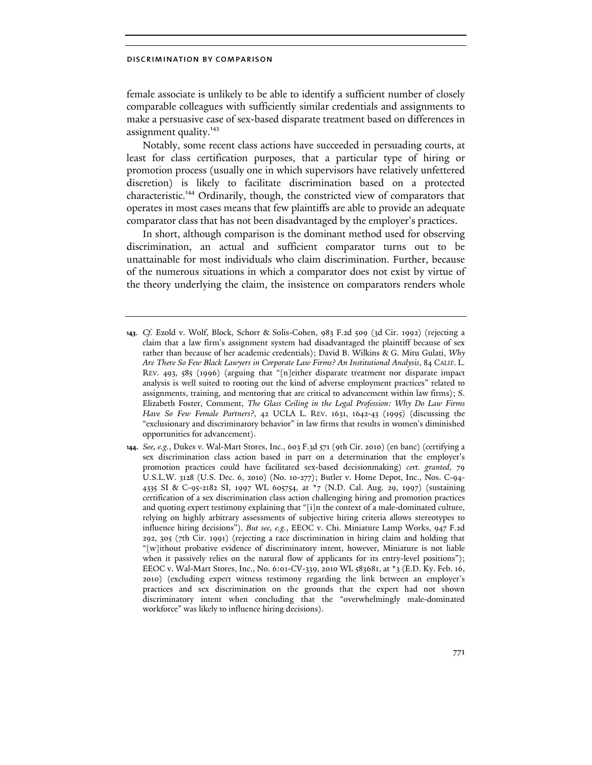female associate is unlikely to be able to identify a sufficient number of closely comparable colleagues with sufficiently similar credentials and assignments to make a persuasive case of sex-based disparate treatment based on differences in assignment quality.<sup>143</sup>

Notably, some recent class actions have succeeded in persuading courts, at least for class certification purposes, that a particular type of hiring or promotion process (usually one in which supervisors have relatively unfettered discretion) is likely to facilitate discrimination based on a protected characteristic.<sup>144</sup> Ordinarily, though, the constricted view of comparators that operates in most cases means that few plaintiffs are able to provide an adequate comparator class that has not been disadvantaged by the employer's practices.

In short, although comparison is the dominant method used for observing discrimination, an actual and sufficient comparator turns out to be unattainable for most individuals who claim discrimination. Further, because of the numerous situations in which a comparator does not exist by virtue of the theory underlying the claim, the insistence on comparators renders whole

<sup>143.</sup> *Cf.* Ezold v. Wolf, Block, Schorr & Solis-Cohen, 983 F.2d 509 (3d Cir. 1992) (rejecting a claim that a law firm's assignment system had disadvantaged the plaintiff because of sex rather than because of her academic credentials); David B. Wilkins & G. Mitu Gulati, *Why Are There So Few Black Lawyers in Corporate Law Firms? An Institutional Analysis*, 84 CALIF. L. REV. 493, 585 (1996) (arguing that "[n]either disparate treatment nor disparate impact analysis is well suited to rooting out the kind of adverse employment practices" related to assignments, training, and mentoring that are critical to advancement within law firms); S. Elizabeth Foster, Comment, *The Glass Ceiling in the Legal Profession: Why Do Law Firms Have So Few Female Partners?*, 42 UCLA L. REV. 1631, 1642-43 (1995) (discussing the "exclusionary and discriminatory behavior" in law firms that results in women's diminished opportunities for advancement).

<sup>144.</sup> *See, e.g.*, Dukes v. Wal-Mart Stores, Inc., 603 F.3d 571 (9th Cir. 2010) (en banc) (certifying a sex discrimination class action based in part on a determination that the employer's promotion practices could have facilitated sex-based decisionmaking) *cert. granted*, 79 U.S.L.W. 3128 (U.S. Dec. 6, 2010) (No. 10-277); Butler v. Home Depot, Inc., Nos. C-94- 4335 SI & C-95-2182 SI, 1997 WL 605754, at \*7 (N.D. Cal. Aug. 29, 1997) (sustaining certification of a sex discrimination class action challenging hiring and promotion practices and quoting expert testimony explaining that "[i]n the context of a male-dominated culture, relying on highly arbitrary assessments of subjective hiring criteria allows stereotypes to influence hiring decisions"). *But see, e.g.*, EEOC v. Chi. Miniature Lamp Works, 947 F.2d 292, 305 (7th Cir. 1991) (rejecting a race discrimination in hiring claim and holding that "[w]ithout probative evidence of discriminatory intent, however, Miniature is not liable when it passively relies on the natural flow of applicants for its entry-level positions"); EEOC v. Wal-Mart Stores, Inc., No. 6:01-CV-339, 2010 WL 583681, at \*3 (E.D. Ky. Feb. 16, 2010) (excluding expert witness testimony regarding the link between an employer's practices and sex discrimination on the grounds that the expert had not shown discriminatory intent when concluding that the "overwhelmingly male-dominated workforce" was likely to influence hiring decisions).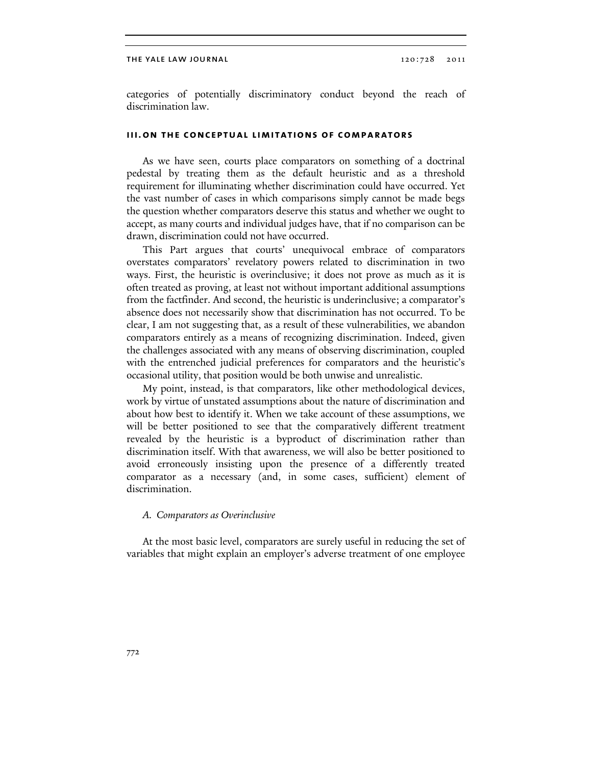categories of potentially discriminatory conduct beyond the reach of discrimination law.

## iii. on the conceptual limitations of comparators

As we have seen, courts place comparators on something of a doctrinal pedestal by treating them as the default heuristic and as a threshold requirement for illuminating whether discrimination could have occurred. Yet the vast number of cases in which comparisons simply cannot be made begs the question whether comparators deserve this status and whether we ought to accept, as many courts and individual judges have, that if no comparison can be drawn, discrimination could not have occurred.

This Part argues that courts' unequivocal embrace of comparators overstates comparators' revelatory powers related to discrimination in two ways. First, the heuristic is overinclusive; it does not prove as much as it is often treated as proving, at least not without important additional assumptions from the factfinder. And second, the heuristic is underinclusive; a comparator's absence does not necessarily show that discrimination has not occurred. To be clear, I am not suggesting that, as a result of these vulnerabilities, we abandon comparators entirely as a means of recognizing discrimination. Indeed, given the challenges associated with any means of observing discrimination, coupled with the entrenched judicial preferences for comparators and the heuristic's occasional utility, that position would be both unwise and unrealistic.

My point, instead, is that comparators, like other methodological devices, work by virtue of unstated assumptions about the nature of discrimination and about how best to identify it. When we take account of these assumptions, we will be better positioned to see that the comparatively different treatment revealed by the heuristic is a byproduct of discrimination rather than discrimination itself. With that awareness, we will also be better positioned to avoid erroneously insisting upon the presence of a differently treated comparator as a necessary (and, in some cases, sufficient) element of discrimination.

## A. Comparators as Overinclusive

At the most basic level, comparators are surely useful in reducing the set of variables that might explain an employer's adverse treatment of one employee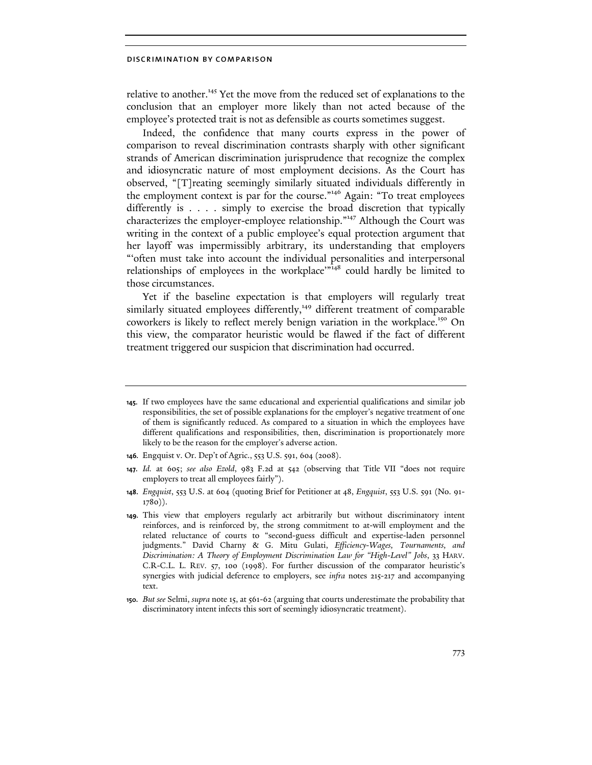relative to another.<sup>145</sup> Yet the move from the reduced set of explanations to the conclusion that an employer more likely than not acted because of the employee's protected trait is not as defensible as courts sometimes suggest.

Indeed, the confidence that many courts express in the power of comparison to reveal discrimination contrasts sharply with other significant strands of American discrimination jurisprudence that recognize the complex and idiosyncratic nature of most employment decisions. As the Court has observed, "[T]reating seemingly similarly situated individuals differently in the employment context is par for the course."<sup>146</sup> Again: "To treat employees differently is . . . . simply to exercise the broad discretion that typically characterizes the employer-employee relationship."<sup>147</sup> Although the Court was writing in the context of a public employee's equal protection argument that her layoff was impermissibly arbitrary, its understanding that employers "'often must take into account the individual personalities and interpersonal relationships of employees in the workplace<sup> $m48$ </sup> could hardly be limited to those circumstances.

Yet if the baseline expectation is that employers will regularly treat similarly situated employees differently,<sup>149</sup> different treatment of comparable coworkers is likely to reflect merely benign variation in the workplace.<sup>150</sup> On this view, the comparator heuristic would be flawed if the fact of different treatment triggered our suspicion that discrimination had occurred.

<sup>145.</sup> If two employees have the same educational and experiential qualifications and similar job responsibilities, the set of possible explanations for the employer's negative treatment of one of them is significantly reduced. As compared to a situation in which the employees have different qualifications and responsibilities, then, discrimination is proportionately more likely to be the reason for the employer's adverse action.

<sup>146.</sup> Engquist v. Or. Dep't of Agric., 553 U.S. 591, 604 (2008).

<sup>147.</sup> *Id.* at 605; *see also Ezold*, 983 F.2d at 542 (observing that Title VII "does not require employers to treat all employees fairly").

<sup>148.</sup> *Engquist*, 553 U.S. at 604 (quoting Brief for Petitioner at 48, *Engquist*, 553 U.S. 591 (No. 91- 1780)).

<sup>149.</sup> This view that employers regularly act arbitrarily but without discriminatory intent reinforces, and is reinforced by, the strong commitment to at-will employment and the related reluctance of courts to "second-guess difficult and expertise-laden personnel judgments." David Charny & G. Mitu Gulati, *Efficiency-Wages, Tournaments, and Discrimination: A Theory of Employment Discrimination Law for "High-Level" Jobs*, 33 HARV. C.R-C.L. L. REV. 57, 100 (1998). For further discussion of the comparator heuristic's synergies with judicial deference to employers, see *infra* notes 215-217 and accompanying text.

<sup>150.</sup> *But see* Selmi, *supra* note 15, at 561-62 (arguing that courts underestimate the probability that discriminatory intent infects this sort of seemingly idiosyncratic treatment).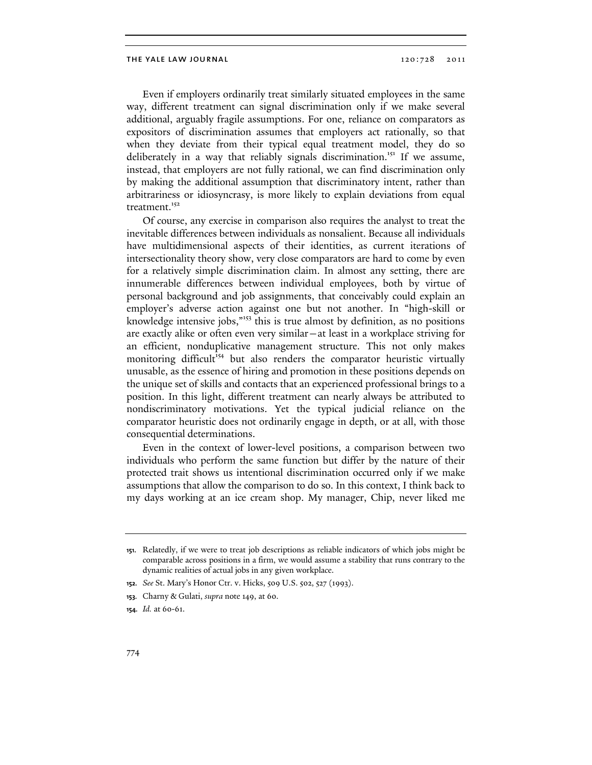Even if employers ordinarily treat similarly situated employees in the same way, different treatment can signal discrimination only if we make several additional, arguably fragile assumptions. For one, reliance on comparators as expositors of discrimination assumes that employers act rationally, so that when they deviate from their typical equal treatment model, they do so deliberately in a way that reliably signals discrimination.<sup>151</sup> If we assume, instead, that employers are not fully rational, we can find discrimination only by making the additional assumption that discriminatory intent, rather than arbitrariness or idiosyncrasy, is more likely to explain deviations from equal treatment.<sup>152</sup>

Of course, any exercise in comparison also requires the analyst to treat the inevitable differences between individuals as nonsalient. Because all individuals have multidimensional aspects of their identities, as current iterations of intersectionality theory show, very close comparators are hard to come by even for a relatively simple discrimination claim. In almost any setting, there are innumerable differences between individual employees, both by virtue of personal background and job assignments, that conceivably could explain an employer's adverse action against one but not another. In "high-skill or knowledge intensive jobs,"<sup>153</sup> this is true almost by definition, as no positions are exactly alike or often even very similar—at least in a workplace striving for an efficient, nonduplicative management structure. This not only makes monitoring difficult<sup>154</sup> but also renders the comparator heuristic virtually unusable, as the essence of hiring and promotion in these positions depends on the unique set of skills and contacts that an experienced professional brings to a position. In this light, different treatment can nearly always be attributed to nondiscriminatory motivations. Yet the typical judicial reliance on the comparator heuristic does not ordinarily engage in depth, or at all, with those consequential determinations.

Even in the context of lower-level positions, a comparison between two individuals who perform the same function but differ by the nature of their protected trait shows us intentional discrimination occurred only if we make assumptions that allow the comparison to do so. In this context, I think back to my days working at an ice cream shop. My manager, Chip, never liked me

<sup>151.</sup> Relatedly, if we were to treat job descriptions as reliable indicators of which jobs might be comparable across positions in a firm, we would assume a stability that runs contrary to the dynamic realities of actual jobs in any given workplace.

<sup>152.</sup> *See* St. Mary's Honor Ctr. v. Hicks, 509 U.S. 502, 527 (1993).

<sup>153.</sup> Charny & Gulati, *supra* note 149, at 60.

<sup>154.</sup> *Id.* at 60-61.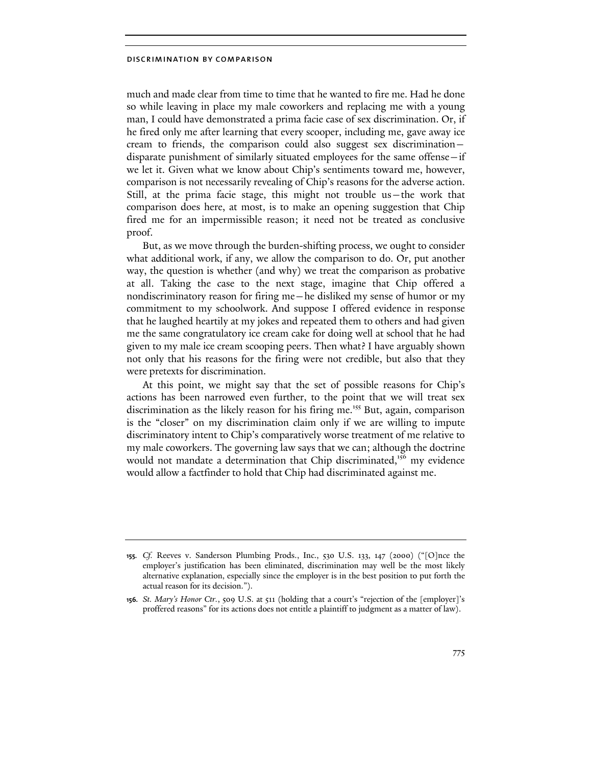much and made clear from time to time that he wanted to fire me. Had he done so while leaving in place my male coworkers and replacing me with a young man, I could have demonstrated a prima facie case of sex discrimination. Or, if he fired only me after learning that every scooper, including me, gave away ice cream to friends, the comparison could also suggest sex discrimination disparate punishment of similarly situated employees for the same offense—if we let it. Given what we know about Chip's sentiments toward me, however, comparison is not necessarily revealing of Chip's reasons for the adverse action. Still, at the prima facie stage, this might not trouble us—the work that comparison does here, at most, is to make an opening suggestion that Chip fired me for an impermissible reason; it need not be treated as conclusive proof.

But, as we move through the burden-shifting process, we ought to consider what additional work, if any, we allow the comparison to do. Or, put another way, the question is whether (and why) we treat the comparison as probative at all. Taking the case to the next stage, imagine that Chip offered a nondiscriminatory reason for firing me—he disliked my sense of humor or my commitment to my schoolwork. And suppose I offered evidence in response that he laughed heartily at my jokes and repeated them to others and had given me the same congratulatory ice cream cake for doing well at school that he had given to my male ice cream scooping peers. Then what? I have arguably shown not only that his reasons for the firing were not credible, but also that they were pretexts for discrimination.

At this point, we might say that the set of possible reasons for Chip's actions has been narrowed even further, to the point that we will treat sex discrimination as the likely reason for his firing me.<sup>155</sup> But, again, comparison is the "closer" on my discrimination claim only if we are willing to impute discriminatory intent to Chip's comparatively worse treatment of me relative to my male coworkers. The governing law says that we can; although the doctrine would not mandate a determination that Chip discriminated,<sup>156</sup> my evidence would allow a factfinder to hold that Chip had discriminated against me.

<sup>155.</sup> *Cf.* Reeves v. Sanderson Plumbing Prods., Inc., 530 U.S. 133, 147 (2000) ("[O]nce the employer's justification has been eliminated, discrimination may well be the most likely alternative explanation, especially since the employer is in the best position to put forth the actual reason for its decision.").

<sup>156.</sup> *St. Mary's Honor Ctr.*, 509 U.S. at 511 (holding that a court's "rejection of the [employer]'s proffered reasons" for its actions does not entitle a plaintiff to judgment as a matter of law).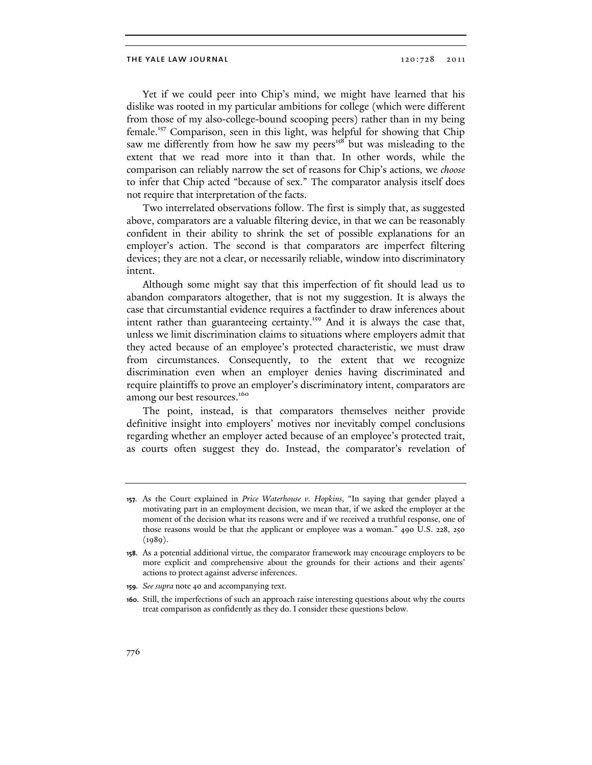Yet if we could peer into Chip's mind, we might have learned that his dislike was rooted in my particular ambitions for college (which were different from those of my also-college-bound scooping peers) rather than in my being female.<sup>157</sup> Comparison, seen in this light, was helpful for showing that Chip saw me differently from how he saw my peers<sup>158</sup> but was misleading to the extent that we read more into it than that. In other words, while the comparison can reliably narrow the set of reasons for Chip's actions, we choose to infer that Chip acted "because of sex." The comparator analysis itself does not require that interpretation of the facts.

Two interrelated observations follow. The first is simply that, as suggested above, comparators are a valuable filtering device, in that we can be reasonably confident in their ability to shrink the set of possible explanations for an employer's action. The second is that comparators are imperfect filtering devices; they are not a clear, or necessarily reliable, window into discriminatory intent.

Although some might say that this imperfection of fit should lead us to abandon comparators altogether, that is not my suggestion. It is always the case that circumstantial evidence requires a factfinder to draw inferences about intent rather than guaranteeing certainty.<sup>159</sup> And it is always the case that, unless we limit discrimination claims to situations where employers admit that they acted because of an employee's protected characteristic, we must draw from circumstances. Consequently, to the extent that we recognize discrimination even when an employer denies having discriminated and require plaintiffs to prove an employer's discriminatory intent, comparators are among our best resources.<sup>160</sup>

The point, instead, is that comparators themselves neither provide definitive insight into employers' motives nor inevitably compel conclusions regarding whether an employer acted because of an employee's protected trait, as courts often suggest they do. Instead, the comparator's revelation of

<sup>157.</sup> As the Court explained in *Price Waterhouse v. Hopkins*, "In saying that gender played a motivating part in an employment decision, we mean that, if we asked the employer at the moment of the decision what its reasons were and if we received a truthful response, one of those reasons would be that the applicant or employee was a woman." 490 U.S. 228, 250 (1989).

<sup>158.</sup> As a potential additional virtue, the comparator framework may encourage employers to be more explicit and comprehensive about the grounds for their actions and their agents' actions to protect against adverse inferences.

<sup>159.</sup> *See supra* note 40 and accompanying text.

<sup>160.</sup> Still, the imperfections of such an approach raise interesting questions about why the courts treat comparison as confidently as they do. I consider these questions below*.*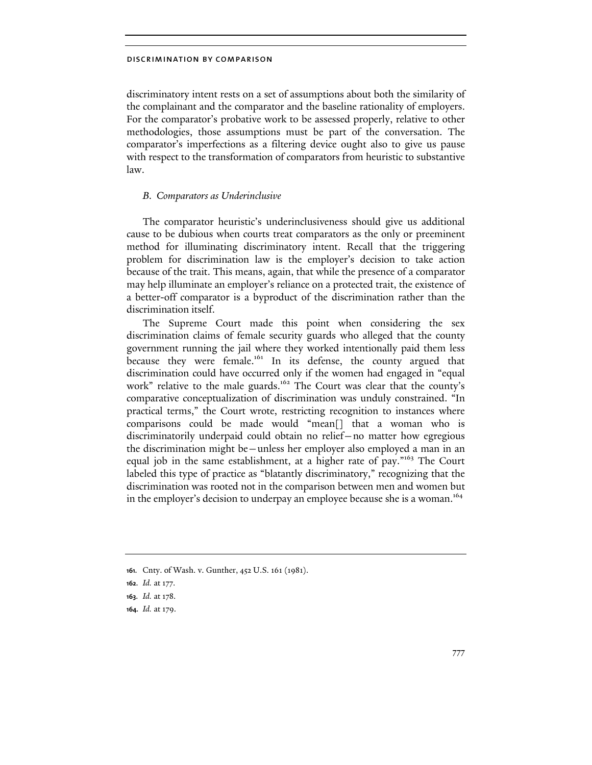discriminatory intent rests on a set of assumptions about both the similarity of the complainant and the comparator and the baseline rationality of employers. For the comparator's probative work to be assessed properly, relative to other methodologies, those assumptions must be part of the conversation. The comparator's imperfections as a filtering device ought also to give us pause with respect to the transformation of comparators from heuristic to substantive law.

# B. Comparators as Underinclusive

The comparator heuristic's underinclusiveness should give us additional cause to be dubious when courts treat comparators as the only or preeminent method for illuminating discriminatory intent. Recall that the triggering problem for discrimination law is the employer's decision to take action because of the trait. This means, again, that while the presence of a comparator may help illuminate an employer's reliance on a protected trait, the existence of a better-off comparator is a byproduct of the discrimination rather than the discrimination itself.

The Supreme Court made this point when considering the sex discrimination claims of female security guards who alleged that the county government running the jail where they worked intentionally paid them less because they were female.<sup>161</sup> In its defense, the county argued that discrimination could have occurred only if the women had engaged in "equal work" relative to the male guards.<sup>162</sup> The Court was clear that the county's comparative conceptualization of discrimination was unduly constrained. "In practical terms," the Court wrote, restricting recognition to instances where comparisons could be made would "mean[] that a woman who is discriminatorily underpaid could obtain no relief—no matter how egregious the discrimination might be—unless her employer also employed a man in an equal job in the same establishment, at a higher rate of pay."<sup>163</sup> The Court labeled this type of practice as "blatantly discriminatory," recognizing that the discrimination was rooted not in the comparison between men and women but in the employer's decision to underpay an employee because she is a woman.<sup>164</sup>

<sup>161.</sup> Cnty. of Wash. v. Gunther, 452 U.S. 161 (1981).

<sup>162.</sup> *Id.* at 177.

<sup>163.</sup> *Id.* at 178.

<sup>164.</sup> *Id.* at 179.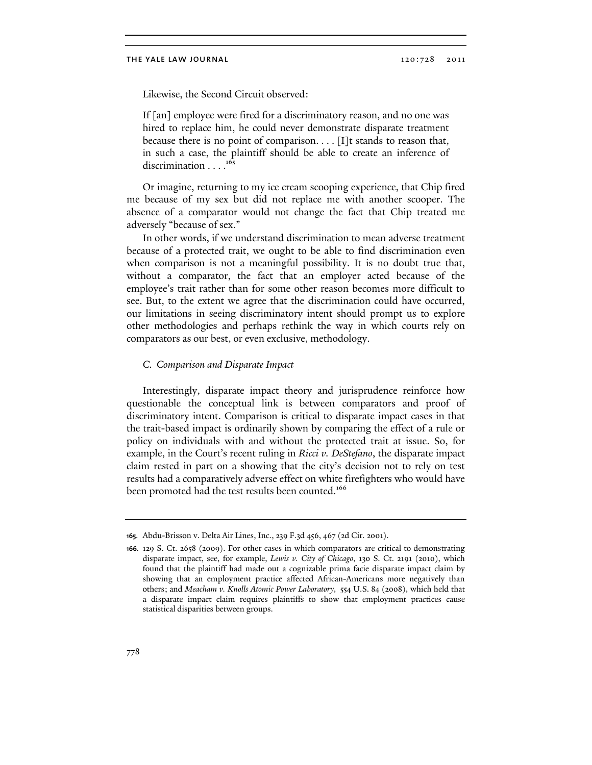Likewise, the Second Circuit observed:

If [an] employee were fired for a discriminatory reason, and no one was hired to replace him, he could never demonstrate disparate treatment because there is no point of comparison.  $\ldots$  [I]t stands to reason that, in such a case, the plaintiff should be able to create an inference of discrimination  $\ldots$ <sup>165</sup>

Or imagine, returning to my ice cream scooping experience, that Chip fired me because of my sex but did not replace me with another scooper. The absence of a comparator would not change the fact that Chip treated me adversely "because of sex."

In other words, if we understand discrimination to mean adverse treatment because of a protected trait, we ought to be able to find discrimination even when comparison is not a meaningful possibility. It is no doubt true that, without a comparator, the fact that an employer acted because of the employee's trait rather than for some other reason becomes more difficult to see. But, to the extent we agree that the discrimination could have occurred, our limitations in seeing discriminatory intent should prompt us to explore other methodologies and perhaps rethink the way in which courts rely on comparators as our best, or even exclusive, methodology.

## C. Comparison and Disparate Impact

Interestingly, disparate impact theory and jurisprudence reinforce how questionable the conceptual link is between comparators and proof of discriminatory intent. Comparison is critical to disparate impact cases in that the trait-based impact is ordinarily shown by comparing the effect of a rule or policy on individuals with and without the protected trait at issue. So, for example, in the Court's recent ruling in *Ricci v. DeStefano*, the disparate impact claim rested in part on a showing that the city's decision not to rely on test results had a comparatively adverse effect on white firefighters who would have been promoted had the test results been counted.<sup>166</sup>

<sup>165.</sup> Abdu-Brisson v. Delta Air Lines, Inc., 239 F.3d 456, 467 (2d Cir. 2001).

<sup>166.</sup> 129 S. Ct. 2658 (2009). For other cases in which comparators are critical to demonstrating disparate impact, see, for example, *Lewis v. City of Chicago*, 130 S. Ct. 2191 (2010), which found that the plaintiff had made out a cognizable prima facie disparate impact claim by showing that an employment practice affected African-Americans more negatively than others; and *Meacham v. Knolls Atomic Power Laboratory*, 554 U.S. 84 (2008), which held that a disparate impact claim requires plaintiffs to show that employment practices cause statistical disparities between groups.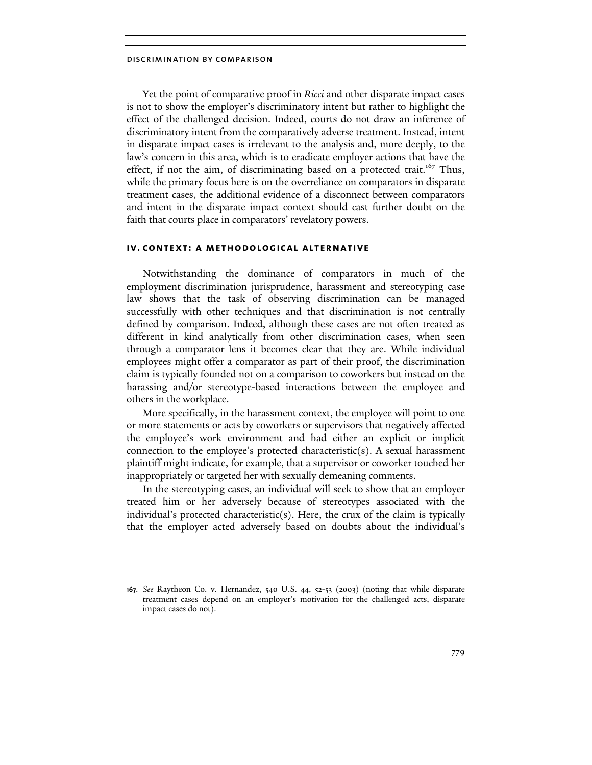Yet the point of comparative proof in Ricci and other disparate impact cases is not to show the employer's discriminatory intent but rather to highlight the effect of the challenged decision. Indeed, courts do not draw an inference of discriminatory intent from the comparatively adverse treatment. Instead, intent in disparate impact cases is irrelevant to the analysis and, more deeply, to the law's concern in this area, which is to eradicate employer actions that have the effect, if not the aim, of discriminating based on a protected trait.<sup>167</sup> Thus, while the primary focus here is on the overreliance on comparators in disparate treatment cases, the additional evidence of a disconnect between comparators and intent in the disparate impact context should cast further doubt on the faith that courts place in comparators' revelatory powers.

## iv. context: a methodological alternative

Notwithstanding the dominance of comparators in much of the employment discrimination jurisprudence, harassment and stereotyping case law shows that the task of observing discrimination can be managed successfully with other techniques and that discrimination is not centrally defined by comparison. Indeed, although these cases are not often treated as different in kind analytically from other discrimination cases, when seen through a comparator lens it becomes clear that they are. While individual employees might offer a comparator as part of their proof, the discrimination claim is typically founded not on a comparison to coworkers but instead on the harassing and/or stereotype-based interactions between the employee and others in the workplace.

More specifically, in the harassment context, the employee will point to one or more statements or acts by coworkers or supervisors that negatively affected the employee's work environment and had either an explicit or implicit connection to the employee's protected characteristic(s). A sexual harassment plaintiff might indicate, for example, that a supervisor or coworker touched her inappropriately or targeted her with sexually demeaning comments.

In the stereotyping cases, an individual will seek to show that an employer treated him or her adversely because of stereotypes associated with the individual's protected characteristic(s). Here, the crux of the claim is typically that the employer acted adversely based on doubts about the individual's

<sup>167.</sup> *See* Raytheon Co. v. Hernandez, 540 U.S. 44, 52-53 (2003) (noting that while disparate treatment cases depend on an employer's motivation for the challenged acts, disparate impact cases do not).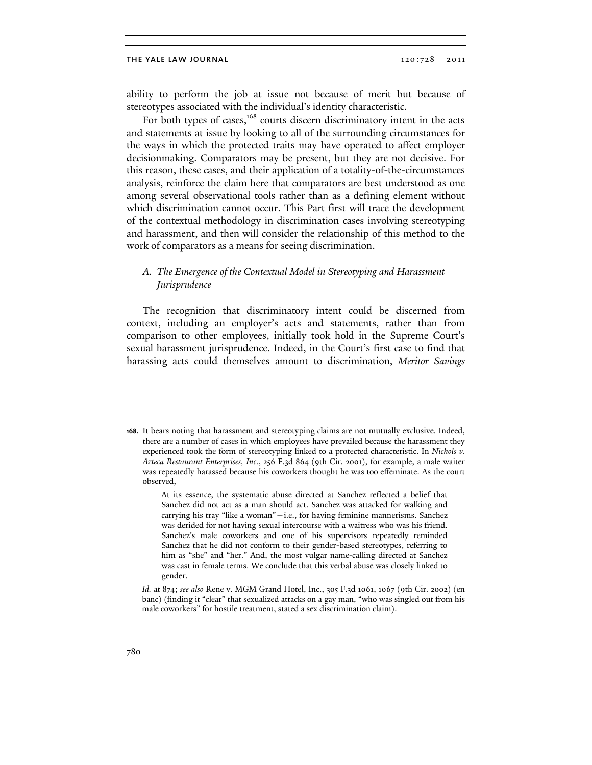ability to perform the job at issue not because of merit but because of stereotypes associated with the individual's identity characteristic.

For both types of cases,<sup>168</sup> courts discern discriminatory intent in the acts and statements at issue by looking to all of the surrounding circumstances for the ways in which the protected traits may have operated to affect employer decisionmaking. Comparators may be present, but they are not decisive. For this reason, these cases, and their application of a totality-of-the-circumstances analysis, reinforce the claim here that comparators are best understood as one among several observational tools rather than as a defining element without which discrimination cannot occur. This Part first will trace the development of the contextual methodology in discrimination cases involving stereotyping and harassment, and then will consider the relationship of this method to the work of comparators as a means for seeing discrimination.

# A. The Emergence of the Contextual Model in Stereotyping and Harassment Jurisprudence

The recognition that discriminatory intent could be discerned from context, including an employer's acts and statements, rather than from comparison to other employees, initially took hold in the Supreme Court's sexual harassment jurisprudence. Indeed, in the Court's first case to find that harassing acts could themselves amount to discrimination, Meritor Savings

<sup>168.</sup> It bears noting that harassment and stereotyping claims are not mutually exclusive. Indeed, there are a number of cases in which employees have prevailed because the harassment they experienced took the form of stereotyping linked to a protected characteristic. In *Nichols v. Azteca Restaurant Enterprises, Inc.*, 256 F.3d 864 (9th Cir. 2001), for example, a male waiter was repeatedly harassed because his coworkers thought he was too effeminate. As the court observed,

At its essence, the systematic abuse directed at Sanchez reflected a belief that Sanchez did not act as a man should act. Sanchez was attacked for walking and carrying his tray "like a woman"—i.e., for having feminine mannerisms. Sanchez was derided for not having sexual intercourse with a waitress who was his friend. Sanchez's male coworkers and one of his supervisors repeatedly reminded Sanchez that he did not conform to their gender-based stereotypes, referring to him as "she" and "her." And, the most vulgar name-calling directed at Sanchez was cast in female terms. We conclude that this verbal abuse was closely linked to gender.

*Id.* at 874; *see also* Rene v. MGM Grand Hotel, Inc., 305 F.3d 1061, 1067 (9th Cir. 2002) (en banc) (finding it "clear" that sexualized attacks on a gay man, "who was singled out from his male coworkers" for hostile treatment, stated a sex discrimination claim).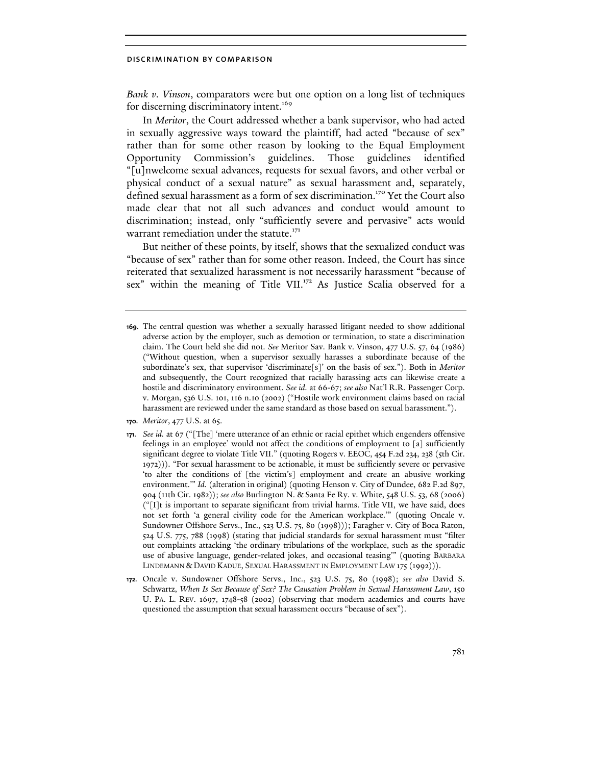Bank v. Vinson, comparators were but one option on a long list of techniques for discerning discriminatory intent.<sup>169</sup>

In Meritor, the Court addressed whether a bank supervisor, who had acted in sexually aggressive ways toward the plaintiff, had acted "because of sex" rather than for some other reason by looking to the Equal Employment Opportunity Commission's guidelines. Those guidelines identified "[u]nwelcome sexual advances, requests for sexual favors, and other verbal or physical conduct of a sexual nature" as sexual harassment and, separately, defined sexual harassment as a form of sex discrimination.<sup>170</sup> Yet the Court also made clear that not all such advances and conduct would amount to discrimination; instead, only "sufficiently severe and pervasive" acts would warrant remediation under the statute.<sup>171</sup>

But neither of these points, by itself, shows that the sexualized conduct was "because of sex" rather than for some other reason. Indeed, the Court has since reiterated that sexualized harassment is not necessarily harassment "because of sex" within the meaning of Title VII.<sup>172</sup> As Justice Scalia observed for a

- 170. *Meritor*, 477 U.S. at 65.
- 171. *See id.* at 67 ("[The] 'mere utterance of an ethnic or racial epithet which engenders offensive feelings in an employee' would not affect the conditions of employment to [a] sufficiently significant degree to violate Title VII." (quoting Rogers v. EEOC, 454 F.2d 234, 238 (5th Cir. 1972))). "For sexual harassment to be actionable, it must be sufficiently severe or pervasive 'to alter the conditions of [the victim's] employment and create an abusive working environment.'" *Id*. (alteration in original) (quoting Henson v. City of Dundee, 682 F.2d 897, 904 (11th Cir. 1982)); *see also* Burlington N. & Santa Fe Ry. v. White, 548 U.S. 53, 68 (2006) ("[I]t is important to separate significant from trivial harms. Title VII, we have said, does not set forth 'a general civility code for the American workplace.'" (quoting Oncale v. Sundowner Offshore Servs., Inc., 523 U.S. 75, 80 (1998))); Faragher v. City of Boca Raton, 524 U.S. 775, 788 (1998) (stating that judicial standards for sexual harassment must "filter out complaints attacking 'the ordinary tribulations of the workplace, such as the sporadic use of abusive language, gender-related jokes, and occasional teasing'" (quoting BARBARA LINDEMANN & DAVID KADUE, SEXUAL HARASSMENT IN EMPLOYMENT LAW 175 (1992))).
- 172. Oncale v. Sundowner Offshore Servs., Inc., 523 U.S. 75, 80 (1998); *see also* David S. Schwartz, *When Is Sex Because of Sex? The Causation Problem in Sexual Harassment Law*, 150 U. PA. L. REV. 1697, 1748-58 (2002) (observing that modern academics and courts have questioned the assumption that sexual harassment occurs "because of sex").

<sup>169.</sup> The central question was whether a sexually harassed litigant needed to show additional adverse action by the employer, such as demotion or termination, to state a discrimination claim. The Court held she did not. *See* Meritor Sav. Bank v. Vinson, 477 U.S. 57, 64 (1986) ("Without question, when a supervisor sexually harasses a subordinate because of the subordinate's sex, that supervisor 'discriminate[s]' on the basis of sex."). Both in *Meritor* and subsequently, the Court recognized that racially harassing acts can likewise create a hostile and discriminatory environment. *See id*. at 66-67; *see also* Nat'l R.R. Passenger Corp. v. Morgan, 536 U.S. 101, 116 n.10 (2002) ("Hostile work environment claims based on racial harassment are reviewed under the same standard as those based on sexual harassment.").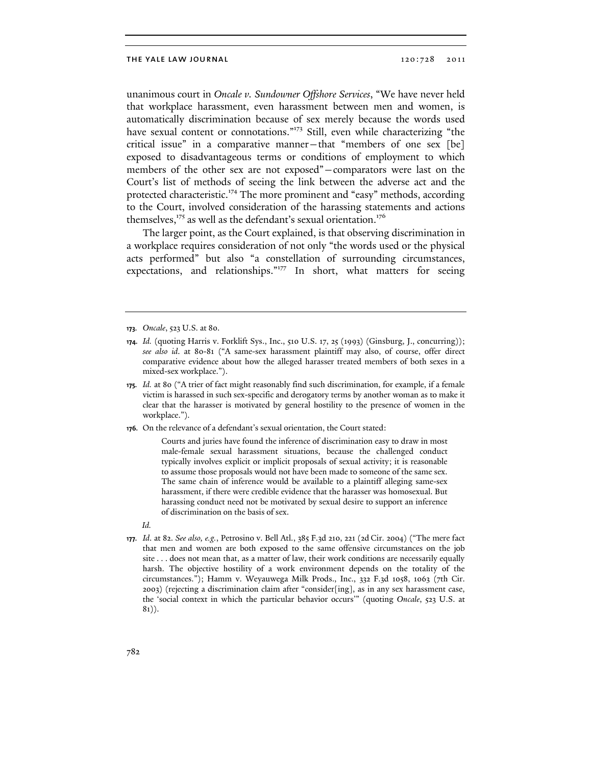unanimous court in Oncale v. Sundowner Offshore Services, "We have never held that workplace harassment, even harassment between men and women, is automatically discrimination because of sex merely because the words used have sexual content or connotations."<sup>173</sup> Still, even while characterizing "the critical issue" in a comparative manner—that "members of one sex [be] exposed to disadvantageous terms or conditions of employment to which members of the other sex are not exposed"—comparators were last on the Court's list of methods of seeing the link between the adverse act and the protected characteristic.<sup>174</sup> The more prominent and "easy" methods, according to the Court, involved consideration of the harassing statements and actions themselves, $175$  as well as the defendant's sexual orientation.<sup>176</sup>

The larger point, as the Court explained, is that observing discrimination in a workplace requires consideration of not only "the words used or the physical acts performed" but also "a constellation of surrounding circumstances, expectations, and relationships."<sup>177</sup> In short, what matters for seeing

- 174. *Id.* (quoting Harris v. Forklift Sys., Inc., 510 U.S. 17, 25 (1993) (Ginsburg, J., concurring)); *see also id*. at 80-81 ("A same-sex harassment plaintiff may also, of course, offer direct comparative evidence about how the alleged harasser treated members of both sexes in a mixed-sex workplace.").
- 175. *Id.* at 80 ("A trier of fact might reasonably find such discrimination, for example, if a female victim is harassed in such sex-specific and derogatory terms by another woman as to make it clear that the harasser is motivated by general hostility to the presence of women in the workplace.").
- 176. On the relevance of a defendant's sexual orientation, the Court stated:

Courts and juries have found the inference of discrimination easy to draw in most male-female sexual harassment situations, because the challenged conduct typically involves explicit or implicit proposals of sexual activity; it is reasonable to assume those proposals would not have been made to someone of the same sex. The same chain of inference would be available to a plaintiff alleging same-sex harassment, if there were credible evidence that the harasser was homosexual. But harassing conduct need not be motivated by sexual desire to support an inference of discrimination on the basis of sex.

- *Id.*
- 177. *Id*. at 82. *See also, e.g.*, Petrosino v. Bell Atl., 385 F.3d 210, 221 (2d Cir. 2004) ("The mere fact that men and women are both exposed to the same offensive circumstances on the job site . . . does not mean that, as a matter of law, their work conditions are necessarily equally harsh. The objective hostility of a work environment depends on the totality of the circumstances."); Hamm v. Weyauwega Milk Prods., Inc., 332 F.3d 1058, 1063 (7th Cir. 2003) (rejecting a discrimination claim after "consider[ing], as in any sex harassment case, the 'social context in which the particular behavior occurs'" (quoting *Oncale*, 523 U.S. at 81)).

<sup>173.</sup> *Oncale*, 523 U.S. at 80.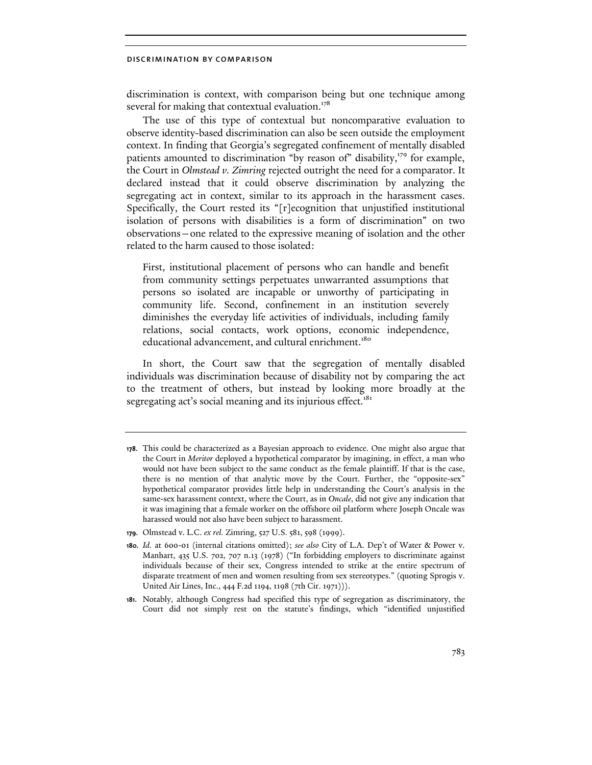discrimination is context, with comparison being but one technique among several for making that contextual evaluation.<sup>178</sup>

The use of this type of contextual but noncomparative evaluation to observe identity-based discrimination can also be seen outside the employment context. In finding that Georgia's segregated confinement of mentally disabled patients amounted to discrimination "by reason of" disability,<sup>179</sup> for example, the Court in Olmstead v. Zimring rejected outright the need for a comparator. It declared instead that it could observe discrimination by analyzing the segregating act in context, similar to its approach in the harassment cases. Specifically, the Court rested its "[r]ecognition that unjustified institutional isolation of persons with disabilities is a form of discrimination" on two observations—one related to the expressive meaning of isolation and the other related to the harm caused to those isolated:

First, institutional placement of persons who can handle and benefit from community settings perpetuates unwarranted assumptions that persons so isolated are incapable or unworthy of participating in community life. Second, confinement in an institution severely diminishes the everyday life activities of individuals, including family relations, social contacts, work options, economic independence, educational advancement, and cultural enrichment.<sup>180</sup>

In short, the Court saw that the segregation of mentally disabled individuals was discrimination because of disability not by comparing the act to the treatment of others, but instead by looking more broadly at the segregating act's social meaning and its injurious effect.<sup>181</sup>

<sup>178.</sup> This could be characterized as a Bayesian approach to evidence. One might also argue that the Court in *Meritor* deployed a hypothetical comparator by imagining, in effect, a man who would not have been subject to the same conduct as the female plaintiff. If that is the case, there is no mention of that analytic move by the Court. Further, the "opposite-sex" hypothetical comparator provides little help in understanding the Court's analysis in the same-sex harassment context, where the Court, as in *Oncale*, did not give any indication that it was imagining that a female worker on the offshore oil platform where Joseph Oncale was harassed would not also have been subject to harassment.

<sup>179.</sup> Olmstead v. L.C. *ex rel.* Zimring, 527 U.S. 581, 598 (1999).

<sup>180.</sup> *Id.* at 600-01 (internal citations omitted); *see also* City of L.A. Dep't of Water & Power v. Manhart, 435 U.S. 702, 707 n.13 (1978) ("In forbidding employers to discriminate against individuals because of their sex, Congress intended to strike at the entire spectrum of disparate treatment of men and women resulting from sex stereotypes." (quoting Sprogis v. United Air Lines, Inc., 444 F.2d 1194, 1198 (7th Cir. 1971))).

<sup>181.</sup> Notably, although Congress had specified this type of segregation as discriminatory, the Court did not simply rest on the statute's findings, which "identified unjustified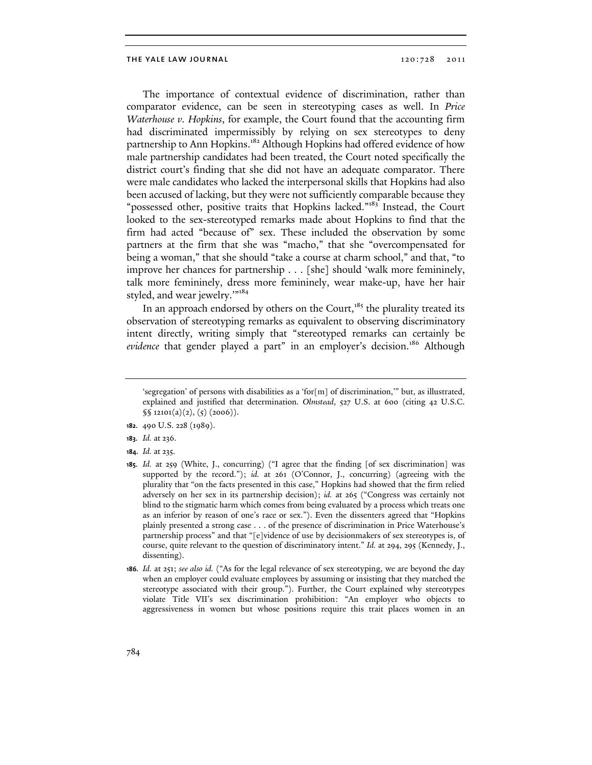The importance of contextual evidence of discrimination, rather than comparator evidence, can be seen in stereotyping cases as well. In Price Waterhouse v. Hopkins, for example, the Court found that the accounting firm had discriminated impermissibly by relying on sex stereotypes to deny partnership to Ann Hopkins.<sup>182</sup> Although Hopkins had offered evidence of how male partnership candidates had been treated, the Court noted specifically the district court's finding that she did not have an adequate comparator. There were male candidates who lacked the interpersonal skills that Hopkins had also been accused of lacking, but they were not sufficiently comparable because they "possessed other, positive traits that Hopkins lacked."<sup>183</sup> Instead, the Court looked to the sex-stereotyped remarks made about Hopkins to find that the firm had acted "because of" sex. These included the observation by some partners at the firm that she was "macho," that she "overcompensated for being a woman," that she should "take a course at charm school," and that, "to improve her chances for partnership . . . [she] should 'walk more femininely, talk more femininely, dress more femininely, wear make-up, have her hair styled, and wear jewelry."<sup>184</sup>

In an approach endorsed by others on the Court,<sup>185</sup> the plurality treated its observation of stereotyping remarks as equivalent to observing discriminatory intent directly, writing simply that "stereotyped remarks can certainly be evidence that gender played a part" in an employer's decision.<sup>186</sup> Although

<sup>&#</sup>x27;segregation' of persons with disabilities as a 'for[m] of discrimination,'" but, as illustrated, explained and justified that determination. *Olmstead*, 527 U.S. at 600 (citing 42 U.S.C.  $\S$ [12101(a)(2), (5) (2006)).

<sup>182.</sup> 490 U.S. 228 (1989).

<sup>183.</sup> *Id.* at 236.

<sup>184.</sup> *Id.* at 235.

<sup>185.</sup> *Id.* at 259 (White, J., concurring) ("I agree that the finding [of sex discrimination] was supported by the record."); *id.* at 261 (O'Connor, J., concurring) (agreeing with the plurality that "on the facts presented in this case," Hopkins had showed that the firm relied adversely on her sex in its partnership decision); *id.* at 265 ("Congress was certainly not blind to the stigmatic harm which comes from being evaluated by a process which treats one as an inferior by reason of one's race or sex."). Even the dissenters agreed that "Hopkins plainly presented a strong case . . . of the presence of discrimination in Price Waterhouse's partnership process" and that "[e]vidence of use by decisionmakers of sex stereotypes is, of course, quite relevant to the question of discriminatory intent." *Id.* at 294, 295 (Kennedy, J., dissenting).

<sup>186.</sup> *Id.* at 251; *see also id.* ("As for the legal relevance of sex stereotyping, we are beyond the day when an employer could evaluate employees by assuming or insisting that they matched the stereotype associated with their group."). Further, the Court explained why stereotypes violate Title VII's sex discrimination prohibition: "An employer who objects to aggressiveness in women but whose positions require this trait places women in an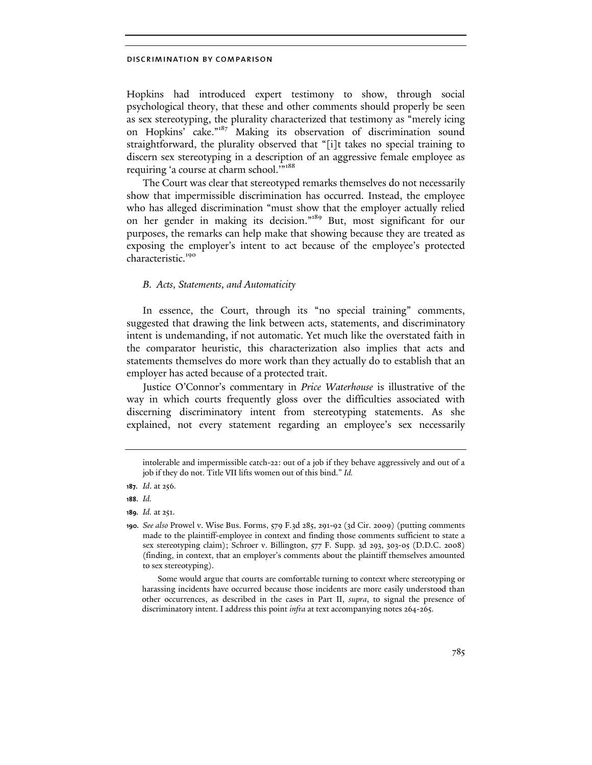Hopkins had introduced expert testimony to show, through social psychological theory, that these and other comments should properly be seen as sex stereotyping, the plurality characterized that testimony as "merely icing on Hopkins' cake."<sup>187</sup> Making its observation of discrimination sound straightforward, the plurality observed that "[i]t takes no special training to discern sex stereotyping in a description of an aggressive female employee as requiring 'a course at charm school."<sup>188</sup>

The Court was clear that stereotyped remarks themselves do not necessarily show that impermissible discrimination has occurred. Instead, the employee who has alleged discrimination "must show that the employer actually relied on her gender in making its decision."<sup>189</sup> But, most significant for our purposes, the remarks can help make that showing because they are treated as exposing the employer's intent to act because of the employee's protected characteristic.<sup>190</sup>

## B. Acts, Statements, and Automaticity

In essence, the Court, through its "no special training" comments, suggested that drawing the link between acts, statements, and discriminatory intent is undemanding, if not automatic. Yet much like the overstated faith in the comparator heuristic, this characterization also implies that acts and statements themselves do more work than they actually do to establish that an employer has acted because of a protected trait.

Justice O'Connor's commentary in Price Waterhouse is illustrative of the way in which courts frequently gloss over the difficulties associated with discerning discriminatory intent from stereotyping statements. As she explained, not every statement regarding an employee's sex necessarily

intolerable and impermissible catch-22: out of a job if they behave aggressively and out of a job if they do not. Title VII lifts women out of this bind." *Id.*

<sup>187.</sup> *Id*. at 256*.*

<sup>188.</sup> *Id.*

<sup>189.</sup> *Id.* at 251.

<sup>190.</sup> *See also* Prowel v. Wise Bus. Forms, 579 F.3d 285, 291-92 (3d Cir. 2009) (putting comments made to the plaintiff-employee in context and finding those comments sufficient to state a sex stereotyping claim); Schroer v. Billington, 577 F. Supp. 3d 293, 303-05 (D.D.C. 2008) (finding, in context, that an employer's comments about the plaintiff themselves amounted to sex stereotyping).

Some would argue that courts are comfortable turning to context where stereotyping or harassing incidents have occurred because those incidents are more easily understood than other occurrences, as described in the cases in Part II, *supra*, to signal the presence of discriminatory intent. I address this point *infra* at text accompanying notes 264-265.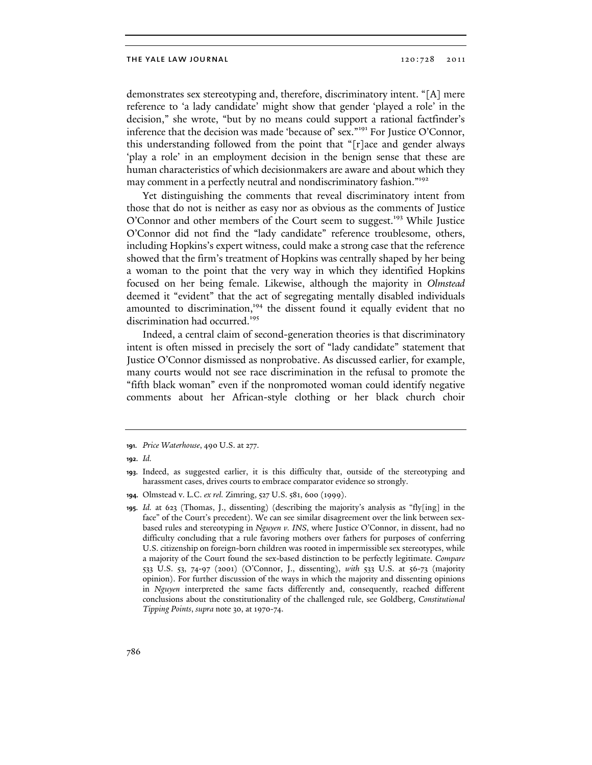demonstrates sex stereotyping and, therefore, discriminatory intent. "[A] mere reference to 'a lady candidate' might show that gender 'played a role' in the decision," she wrote, "but by no means could support a rational factfinder's inference that the decision was made 'because of' sex."<sup>191</sup> For Justice O'Connor, this understanding followed from the point that "[r]ace and gender always 'play a role' in an employment decision in the benign sense that these are human characteristics of which decisionmakers are aware and about which they may comment in a perfectly neutral and nondiscriminatory fashion."<sup>192</sup>

Yet distinguishing the comments that reveal discriminatory intent from those that do not is neither as easy nor as obvious as the comments of Justice O'Connor and other members of the Court seem to suggest.<sup>193</sup> While Justice O'Connor did not find the "lady candidate" reference troublesome, others, including Hopkins's expert witness, could make a strong case that the reference showed that the firm's treatment of Hopkins was centrally shaped by her being a woman to the point that the very way in which they identified Hopkins focused on her being female. Likewise, although the majority in Olmstead deemed it "evident" that the act of segregating mentally disabled individuals amounted to discrimination,<sup>194</sup> the dissent found it equally evident that no discrimination had occurred.<sup>195</sup>

Indeed, a central claim of second-generation theories is that discriminatory intent is often missed in precisely the sort of "lady candidate" statement that Justice O'Connor dismissed as nonprobative. As discussed earlier, for example, many courts would not see race discrimination in the refusal to promote the "fifth black woman" even if the nonpromoted woman could identify negative comments about her African-style clothing or her black church choir

<sup>191.</sup> *Price Waterhouse*, 490 U.S. at 277.

<sup>192.</sup> *Id.*

<sup>193.</sup> Indeed, as suggested earlier, it is this difficulty that, outside of the stereotyping and harassment cases, drives courts to embrace comparator evidence so strongly.

<sup>194.</sup> Olmstead v. L.C. *ex rel.* Zimring, 527 U.S. 581, 600 (1999).

<sup>195.</sup> *Id.* at 623 (Thomas, J., dissenting) (describing the majority's analysis as "fly[ing] in the face" of the Court's precedent). We can see similar disagreement over the link between sexbased rules and stereotyping in *Nguyen v. INS*, where Justice O'Connor, in dissent, had no difficulty concluding that a rule favoring mothers over fathers for purposes of conferring U.S. citizenship on foreign-born children was rooted in impermissible sex stereotypes, while a majority of the Court found the sex-based distinction to be perfectly legitimate. *Compare* 533 U.S. 53, 74-97 (2001) (O'Connor, J., dissenting), *with* 533 U.S. at 56-73 (majority opinion). For further discussion of the ways in which the majority and dissenting opinions in *Nguyen* interpreted the same facts differently and, consequently, reached different conclusions about the constitutionality of the challenged rule, see Goldberg, *Constitutional Tipping Points*, *supra* note 30, at 1970-74.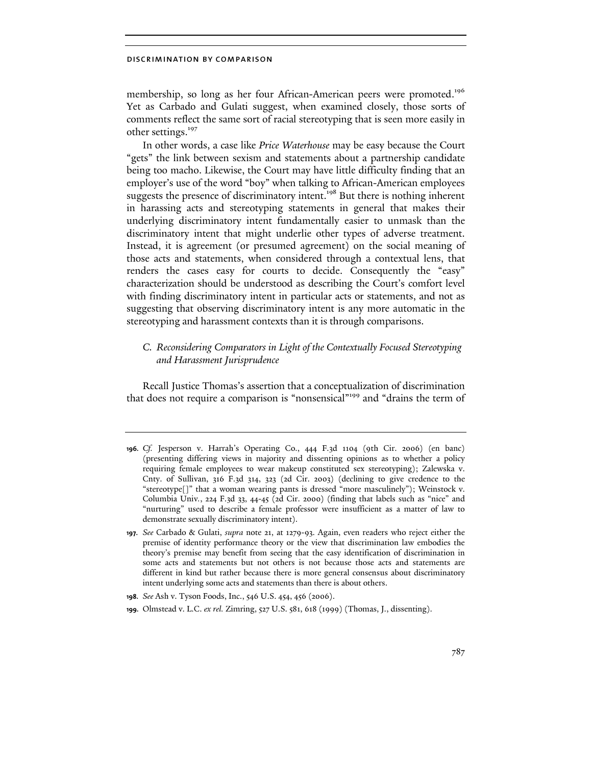membership, so long as her four African-American peers were promoted.<sup>196</sup> Yet as Carbado and Gulati suggest, when examined closely, those sorts of comments reflect the same sort of racial stereotyping that is seen more easily in other settings.<sup>197</sup>

In other words, a case like Price Waterhouse may be easy because the Court "gets" the link between sexism and statements about a partnership candidate being too macho. Likewise, the Court may have little difficulty finding that an employer's use of the word "boy" when talking to African-American employees suggests the presence of discriminatory intent.<sup>198</sup> But there is nothing inherent in harassing acts and stereotyping statements in general that makes their underlying discriminatory intent fundamentally easier to unmask than the discriminatory intent that might underlie other types of adverse treatment. Instead, it is agreement (or presumed agreement) on the social meaning of those acts and statements, when considered through a contextual lens, that renders the cases easy for courts to decide. Consequently the "easy" characterization should be understood as describing the Court's comfort level with finding discriminatory intent in particular acts or statements, and not as suggesting that observing discriminatory intent is any more automatic in the stereotyping and harassment contexts than it is through comparisons.

# C. Reconsidering Comparators in Light of the Contextually Focused Stereotyping and Harassment Jurisprudence

Recall Justice Thomas's assertion that a conceptualization of discrimination that does not require a comparison is "nonsensical"<sup>199</sup> and "drains the term of

<sup>196.</sup> *Cf.* Jesperson v. Harrah's Operating Co., 444 F.3d 1104 (9th Cir. 2006) (en banc) (presenting differing views in majority and dissenting opinions as to whether a policy requiring female employees to wear makeup constituted sex stereotyping); Zalewska v. Cnty. of Sullivan, 316 F.3d 314, 323 (2d Cir. 2003) (declining to give credence to the "stereotype[]" that a woman wearing pants is dressed "more masculinely"); Weinstock v. Columbia Univ*.*, 224 F.3d 33, 44-45 (2d Cir. 2000) (finding that labels such as "nice" and "nurturing" used to describe a female professor were insufficient as a matter of law to demonstrate sexually discriminatory intent).

<sup>197.</sup> *See* Carbado & Gulati, *supra* note 21, at 1279-93. Again, even readers who reject either the premise of identity performance theory or the view that discrimination law embodies the theory's premise may benefit from seeing that the easy identification of discrimination in some acts and statements but not others is not because those acts and statements are different in kind but rather because there is more general consensus about discriminatory intent underlying some acts and statements than there is about others.

<sup>198.</sup> *See* Ash v. Tyson Foods, Inc., 546 U.S. 454, 456 (2006).

<sup>199.</sup> Olmstead v. L.C. *ex rel.* Zimring, 527 U.S. 581, 618 (1999) (Thomas, J., dissenting).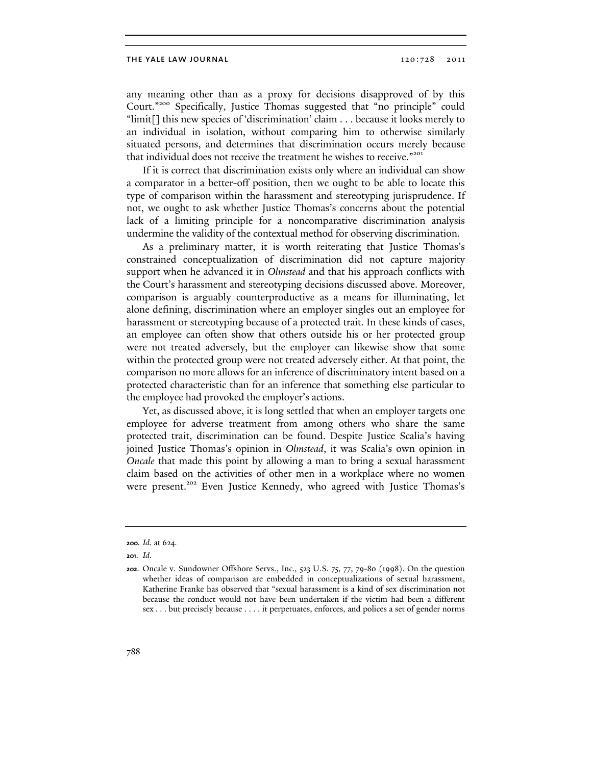any meaning other than as a proxy for decisions disapproved of by this Court."<sup>200</sup> Specifically, Justice Thomas suggested that "no principle" could "limit[] this new species of 'discrimination' claim . . . because it looks merely to an individual in isolation, without comparing him to otherwise similarly situated persons, and determines that discrimination occurs merely because that individual does not receive the treatment he wishes to receive."<sup>201</sup>

If it is correct that discrimination exists only where an individual can show a comparator in a better-off position, then we ought to be able to locate this type of comparison within the harassment and stereotyping jurisprudence. If not, we ought to ask whether Justice Thomas's concerns about the potential lack of a limiting principle for a noncomparative discrimination analysis undermine the validity of the contextual method for observing discrimination.

As a preliminary matter, it is worth reiterating that Justice Thomas's constrained conceptualization of discrimination did not capture majority support when he advanced it in *Olmstead* and that his approach conflicts with the Court's harassment and stereotyping decisions discussed above. Moreover, comparison is arguably counterproductive as a means for illuminating, let alone defining, discrimination where an employer singles out an employee for harassment or stereotyping because of a protected trait. In these kinds of cases, an employee can often show that others outside his or her protected group were not treated adversely, but the employer can likewise show that some within the protected group were not treated adversely either. At that point, the comparison no more allows for an inference of discriminatory intent based on a protected characteristic than for an inference that something else particular to the employee had provoked the employer's actions.

Yet, as discussed above, it is long settled that when an employer targets one employee for adverse treatment from among others who share the same protected trait, discrimination can be found. Despite Justice Scalia's having joined Justice Thomas's opinion in Olmstead, it was Scalia's own opinion in Oncale that made this point by allowing a man to bring a sexual harassment claim based on the activities of other men in a workplace where no women were present.<sup>202</sup> Even Justice Kennedy, who agreed with Justice Thomas's

<sup>200.</sup> *Id.* at 624.

<sup>201.</sup> *Id*.

<sup>202.</sup> Oncale v. Sundowner Offshore Servs., Inc.*,* 523 U.S. 75, 77, 79-80 (1998). On the question whether ideas of comparison are embedded in conceptualizations of sexual harassment, Katherine Franke has observed that "sexual harassment is a kind of sex discrimination not because the conduct would not have been undertaken if the victim had been a different sex . . . but precisely because . . . . it perpetuates, enforces, and polices a set of gender norms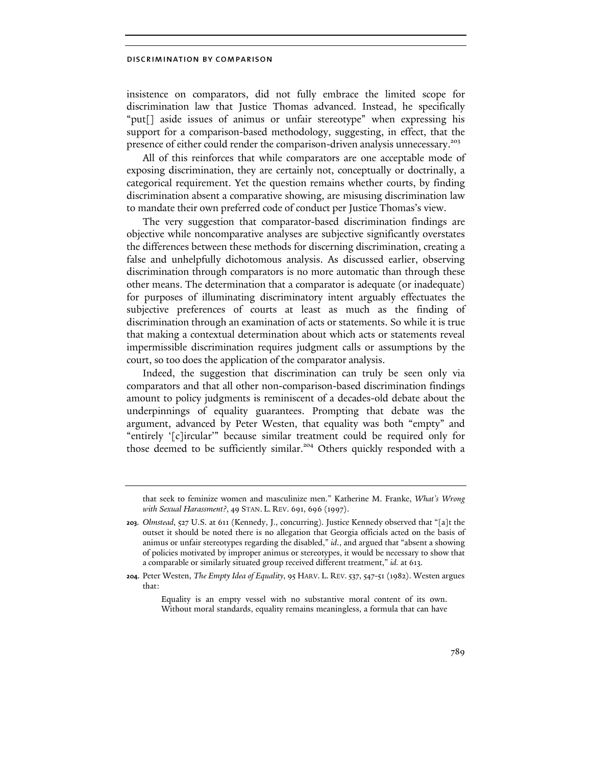insistence on comparators, did not fully embrace the limited scope for discrimination law that Justice Thomas advanced. Instead, he specifically "put[] aside issues of animus or unfair stereotype" when expressing his support for a comparison-based methodology, suggesting, in effect, that the presence of either could render the comparison-driven analysis unnecessary.<sup>203</sup>

All of this reinforces that while comparators are one acceptable mode of exposing discrimination, they are certainly not, conceptually or doctrinally, a categorical requirement. Yet the question remains whether courts, by finding discrimination absent a comparative showing, are misusing discrimination law to mandate their own preferred code of conduct per Justice Thomas's view.

The very suggestion that comparator-based discrimination findings are objective while noncomparative analyses are subjective significantly overstates the differences between these methods for discerning discrimination, creating a false and unhelpfully dichotomous analysis. As discussed earlier, observing discrimination through comparators is no more automatic than through these other means. The determination that a comparator is adequate (or inadequate) for purposes of illuminating discriminatory intent arguably effectuates the subjective preferences of courts at least as much as the finding of discrimination through an examination of acts or statements. So while it is true that making a contextual determination about which acts or statements reveal impermissible discrimination requires judgment calls or assumptions by the court, so too does the application of the comparator analysis.

Indeed, the suggestion that discrimination can truly be seen only via comparators and that all other non-comparison-based discrimination findings amount to policy judgments is reminiscent of a decades-old debate about the underpinnings of equality guarantees. Prompting that debate was the argument, advanced by Peter Westen, that equality was both "empty" and "entirely '[c]ircular'" because similar treatment could be required only for those deemed to be sufficiently similar.<sup>204</sup> Others quickly responded with a

that seek to feminize women and masculinize men." Katherine M. Franke, *What's Wrong with Sexual Harassment?*, 49 STAN. L. REV. 691, 696 (1997).

<sup>203.</sup> *Olmstead*, 527 U.S. at 611 (Kennedy, J., concurring). Justice Kennedy observed that "[a]t the outset it should be noted there is no allegation that Georgia officials acted on the basis of animus or unfair stereotypes regarding the disabled," *id*., and argued that "absent a showing of policies motivated by improper animus or stereotypes, it would be necessary to show that a comparable or similarly situated group received different treatment," *id.* at 613.

<sup>204.</sup> Peter Westen, *The Empty Idea of Equality*, 95 HARV. L. REV.537, 547-51 (1982). Westen argues that:

Equality is an empty vessel with no substantive moral content of its own. Without moral standards, equality remains meaningless, a formula that can have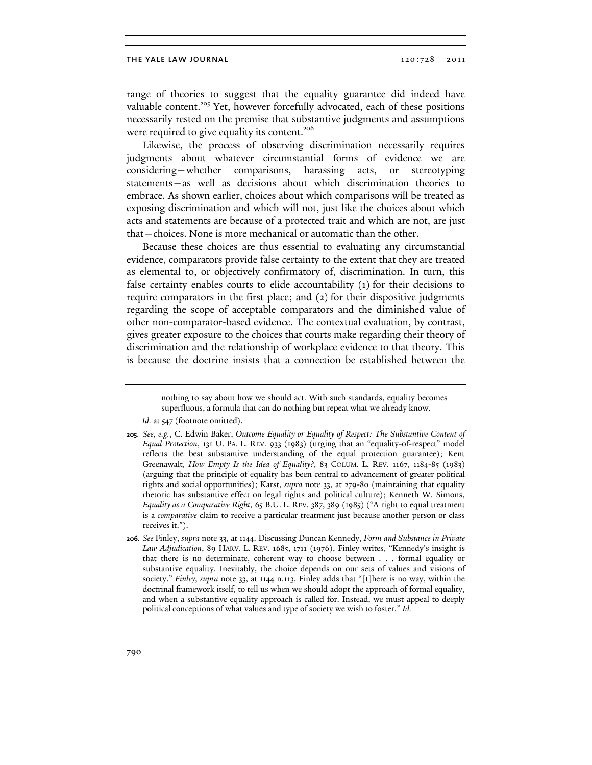range of theories to suggest that the equality guarantee did indeed have valuable content.<sup>205</sup> Yet, however forcefully advocated, each of these positions necessarily rested on the premise that substantive judgments and assumptions were required to give equality its content.<sup>206</sup>

Likewise, the process of observing discrimination necessarily requires judgments about whatever circumstantial forms of evidence we are considering—whether comparisons, harassing acts, or stereotyping statements—as well as decisions about which discrimination theories to embrace. As shown earlier, choices about which comparisons will be treated as exposing discrimination and which will not, just like the choices about which acts and statements are because of a protected trait and which are not, are just that—choices. None is more mechanical or automatic than the other.

Because these choices are thus essential to evaluating any circumstantial evidence, comparators provide false certainty to the extent that they are treated as elemental to, or objectively confirmatory of, discrimination. In turn, this false certainty enables courts to elide accountability (1) for their decisions to require comparators in the first place; and (2) for their dispositive judgments regarding the scope of acceptable comparators and the diminished value of other non-comparator-based evidence. The contextual evaluation, by contrast, gives greater exposure to the choices that courts make regarding their theory of discrimination and the relationship of workplace evidence to that theory. This is because the doctrine insists that a connection be established between the

Id. at 547 (footnote omitted).

206. *See* Finley, *supra* note 33, at 1144. Discussing Duncan Kennedy, *Form and Substance in Private Law Adjudication*, 89 HARV. L. REV. 1685, 1711 (1976), Finley writes, "Kennedy's insight is that there is no determinate, coherent way to choose between . . . formal equality or substantive equality. Inevitably, the choice depends on our sets of values and visions of society." *Finley*, *supra* note 33, at 1144 n.113. Finley adds that "[t]here is no way, within the doctrinal framework itself, to tell us when we should adopt the approach of formal equality, and when a substantive equality approach is called for. Instead, we must appeal to deeply political conceptions of what values and type of society we wish to foster." *Id.*

nothing to say about how we should act. With such standards, equality becomes superfluous, a formula that can do nothing but repeat what we already know.

<sup>205.</sup> *See, e.g.*, C. Edwin Baker, *Outcome Equality or Equality of Respect: The Substantive Content of Equal Protection*, 131 U. PA. L. REV. 933 (1983) (urging that an "equality-of-respect" model reflects the best substantive understanding of the equal protection guarantee); Kent Greenawalt, *How Empty Is the Idea of Equality?*, 83 COLUM. L. REV. 1167, 1184-85 (1983) (arguing that the principle of equality has been central to advancement of greater political rights and social opportunities); Karst, *supra* note 33, at 279-80 (maintaining that equality rhetoric has substantive effect on legal rights and political culture); Kenneth W. Simons, *Equality as a Comparative Right*, 65 B.U. L. REV. 387, 389 (1985) ("A right to equal treatment is a *comparative* claim to receive a particular treatment just because another person or class receives it.").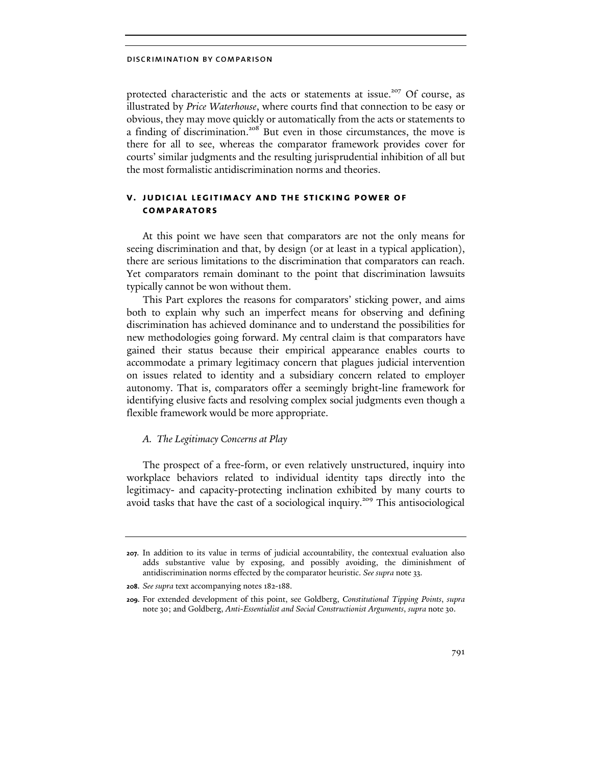protected characteristic and the acts or statements at issue.<sup>207</sup> Of course, as illustrated by Price Waterhouse, where courts find that connection to be easy or obvious, they may move quickly or automatically from the acts or statements to a finding of discrimination.<sup>208</sup> But even in those circumstances, the move is there for all to see, whereas the comparator framework provides cover for courts' similar judgments and the resulting jurisprudential inhibition of all but the most formalistic antidiscrimination norms and theories.

# v. judicial legitimacy and the sticking power of comparators

At this point we have seen that comparators are not the only means for seeing discrimination and that, by design (or at least in a typical application), there are serious limitations to the discrimination that comparators can reach. Yet comparators remain dominant to the point that discrimination lawsuits typically cannot be won without them.

This Part explores the reasons for comparators' sticking power, and aims both to explain why such an imperfect means for observing and defining discrimination has achieved dominance and to understand the possibilities for new methodologies going forward. My central claim is that comparators have gained their status because their empirical appearance enables courts to accommodate a primary legitimacy concern that plagues judicial intervention on issues related to identity and a subsidiary concern related to employer autonomy. That is, comparators offer a seemingly bright-line framework for identifying elusive facts and resolving complex social judgments even though a flexible framework would be more appropriate.

## A. The Legitimacy Concerns at Play

The prospect of a free-form, or even relatively unstructured, inquiry into workplace behaviors related to individual identity taps directly into the legitimacy- and capacity-protecting inclination exhibited by many courts to avoid tasks that have the cast of a sociological inquiry. <sup>209</sup> This antisociological

<sup>207.</sup> In addition to its value in terms of judicial accountability, the contextual evaluation also adds substantive value by exposing, and possibly avoiding, the diminishment of antidiscrimination norms effected by the comparator heuristic. *See supra* note 33.

<sup>208.</sup> *See supra* text accompanying notes 182-188.

<sup>209.</sup> For extended development of this point, see Goldberg, *Constitutional Tipping Points*, *supra*  note 30; and Goldberg, *Anti-Essentialist and Social Constructionist Arguments*, *supra* note 30.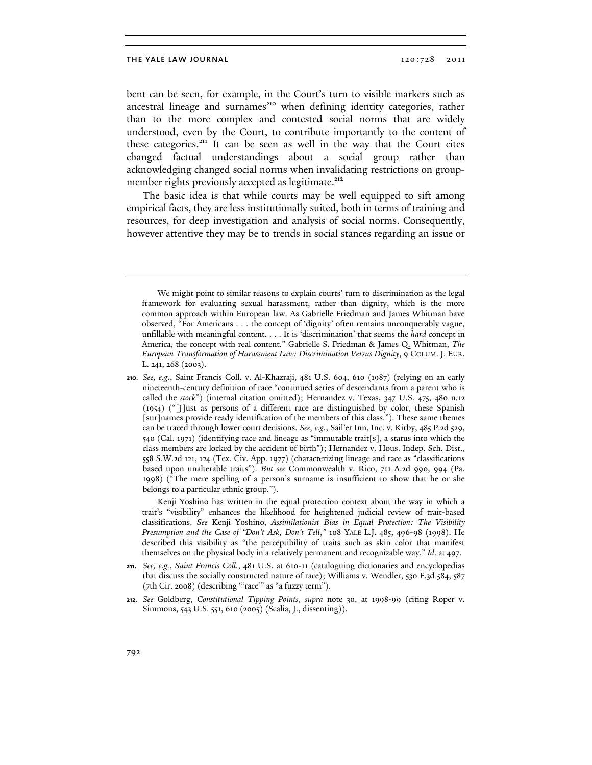bent can be seen, for example, in the Court's turn to visible markers such as ancestral lineage and surnames<sup>210</sup> when defining identity categories, rather than to the more complex and contested social norms that are widely understood, even by the Court, to contribute importantly to the content of these categories.<sup>211</sup> It can be seen as well in the way that the Court cites changed factual understandings about a social group rather than acknowledging changed social norms when invalidating restrictions on groupmember rights previously accepted as legitimate.<sup>212</sup>

The basic idea is that while courts may be well equipped to sift among empirical facts, they are less institutionally suited, both in terms of training and resources, for deep investigation and analysis of social norms. Consequently, however attentive they may be to trends in social stances regarding an issue or

Kenji Yoshino has written in the equal protection context about the way in which a trait's "visibility" enhances the likelihood for heightened judicial review of trait-based classifications. *See* Kenji Yoshino, *Assimilationist Bias in Equal Protection: The Visibility Presumption and the Case of "Don't Ask, Don't Tell*,*"* 108 YALE L.J. 485, 496-98 (1998). He described this visibility as "the perceptibility of traits such as skin color that manifest themselves on the physical body in a relatively permanent and recognizable way." *Id*. at 497.

- 211. *See, e.g.*, *Saint Francis Coll.*, 481 U.S. at 610-11 (cataloguing dictionaries and encyclopedias that discuss the socially constructed nature of race); Williams v. Wendler, 530 F.3d 584, 587 (7th Cir. 2008) (describing "'race'" as "a fuzzy term").
- 212. *See* Goldberg, *Constitutional Tipping Points*, *supra* note 30, at 1998-99 (citing Roper v. Simmons, 543 U.S. 551, 610 (2005) (Scalia, J., dissenting)).

We might point to similar reasons to explain courts' turn to discrimination as the legal framework for evaluating sexual harassment, rather than dignity, which is the more common approach within European law. As Gabrielle Friedman and James Whitman have observed, "For Americans . . . the concept of 'dignity' often remains unconquerably vague, unfillable with meaningful content. . . . It is 'discrimination' that seems the *hard* concept in America, the concept with real content." Gabrielle S. Friedman & James Q. Whitman, *The European Transformation of Harassment Law: Discrimination Versus Dignity*, 9 COLUM. J. EUR. L. 241, 268 (2003).

<sup>210.</sup> *See, e.g.*, Saint Francis Coll. v. Al-Khazraji, 481 U.S. 604, 610 (1987) (relying on an early nineteenth-century definition of race "continued series of descendants from a parent who is called the *stock*") (internal citation omitted); Hernandez v. Texas, 347 U.S. 475, 480 n.12 (1954) ("[J]ust as persons of a different race are distinguished by color, these Spanish [sur]names provide ready identification of the members of this class."). These same themes can be traced through lower court decisions. *See, e.g.*, Sail'er Inn, Inc. v. Kirby, 485 P.2d 529, 540 (Cal. 1971) (identifying race and lineage as "immutable trait[s], a status into which the class members are locked by the accident of birth"); Hernandez v. Hous. Indep. Sch. Dist., 558 S.W.2d 121, 124 (Tex. Civ. App. 1977) (characterizing lineage and race as "classifications based upon unalterable traits")*. But see* Commonwealth v. Rico, 711 A.2d 990, 994 (Pa. 1998) ("The mere spelling of a person's surname is insufficient to show that he or she belongs to a particular ethnic group.").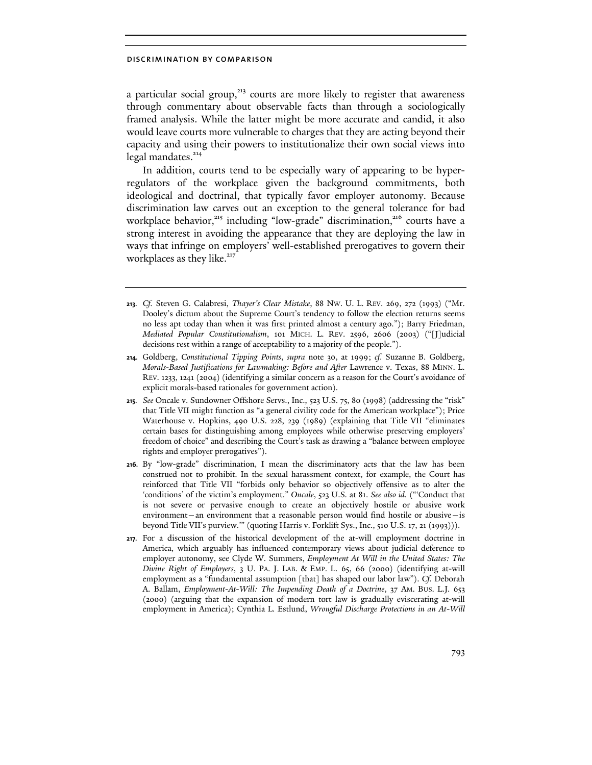a particular social group, $213$  courts are more likely to register that awareness through commentary about observable facts than through a sociologically framed analysis. While the latter might be more accurate and candid, it also would leave courts more vulnerable to charges that they are acting beyond their capacity and using their powers to institutionalize their own social views into legal mandates.<sup>214</sup>

In addition, courts tend to be especially wary of appearing to be hyperregulators of the workplace given the background commitments, both ideological and doctrinal, that typically favor employer autonomy. Because discrimination law carves out an exception to the general tolerance for bad workplace behavior, $215$  including "low-grade" discrimination, $216$  courts have a strong interest in avoiding the appearance that they are deploying the law in ways that infringe on employers' well-established prerogatives to govern their workplaces as they like.<sup>217</sup>

- 213. *Cf.* Steven G. Calabresi, *Thayer's Clear Mistake*, 88 NW. U. L. REV. 269, 272 (1993) ("Mr. Dooley's dictum about the Supreme Court's tendency to follow the election returns seems no less apt today than when it was first printed almost a century ago."); Barry Friedman, *Mediated Popular Constitutionalism*, 101 MICH. L. REV. 2596, 2606 (2003) ("[J]udicial decisions rest within a range of acceptability to a majority of the people.").
- 214. Goldberg, *Constitutional Tipping Points*, *supra* note 30, at 1999; *cf.* Suzanne B. Goldberg, *Morals-Based Justifications for Lawmaking: Before and After* Lawrence v. Texas, 88 MINN. L. REV. 1233, 1241 (2004) (identifying a similar concern as a reason for the Court's avoidance of explicit morals-based rationales for government action).
- 215. *See* Oncale v. Sundowner Offshore Servs., Inc.*,* 523 U.S. 75, 80 (1998) (addressing the "risk" that Title VII might function as "a general civility code for the American workplace"); Price Waterhouse v. Hopkins, 490 U.S. 228, 239 (1989) (explaining that Title VII "eliminates certain bases for distinguishing among employees while otherwise preserving employers' freedom of choice" and describing the Court's task as drawing a "balance between employee rights and employer prerogatives").
- 216. By "low-grade" discrimination, I mean the discriminatory acts that the law has been construed not to prohibit. In the sexual harassment context, for example, the Court has reinforced that Title VII "forbids only behavior so objectively offensive as to alter the 'conditions' of the victim's employment." *Oncale*, 523 U.S. at 81. *See also id.* ("'Conduct that is not severe or pervasive enough to create an objectively hostile or abusive work environment—an environment that a reasonable person would find hostile or abusive—is beyond Title VII's purview.'" (quoting Harris v. Forklift Sys., Inc., 510 U.S. 17, 21 (1993))).
- 217. For a discussion of the historical development of the at-will employment doctrine in America, which arguably has influenced contemporary views about judicial deference to employer autonomy, see Clyde W. Summers, *Employment At Will in the United States: The Divine Right of Employers*, 3 U. PA. J. LAB. & EMP. L. 65, 66 (2000) (identifying at-will employment as a "fundamental assumption [that] has shaped our labor law"). *Cf.* Deborah A. Ballam, *Employment-At-Will: The Impending Death of a Doctrine*, 37 AM. BUS. L.J. 653 (2000) (arguing that the expansion of modern tort law is gradually eviscerating at-will employment in America); Cynthia L. Estlund, *Wrongful Discharge Protections in an At-Will*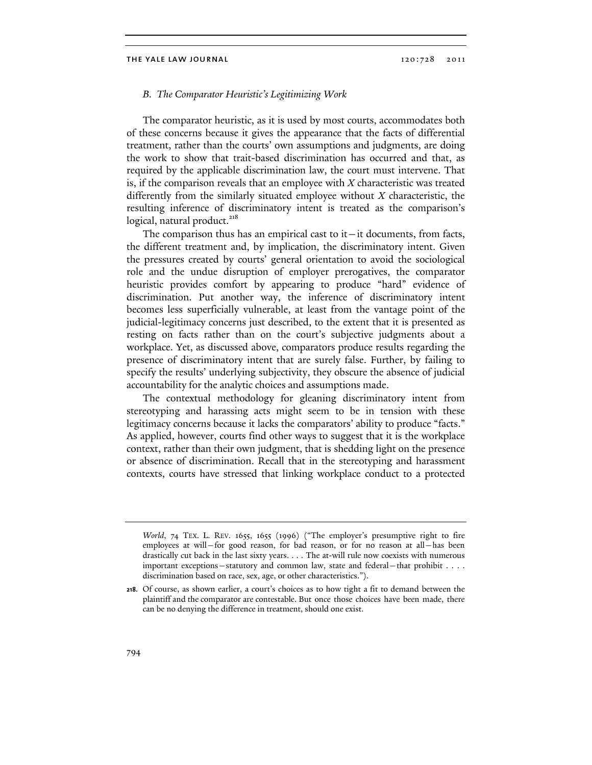## B. The Comparator Heuristic's Legitimizing Work

The comparator heuristic, as it is used by most courts, accommodates both of these concerns because it gives the appearance that the facts of differential treatment, rather than the courts' own assumptions and judgments, are doing the work to show that trait-based discrimination has occurred and that, as required by the applicable discrimination law, the court must intervene. That is, if the comparison reveals that an employee with  $X$  characteristic was treated differently from the similarly situated employee without  $X$  characteristic, the resulting inference of discriminatory intent is treated as the comparison's logical, natural product.<sup>218</sup>

The comparison thus has an empirical cast to it $-$ it documents, from facts, the different treatment and, by implication, the discriminatory intent. Given the pressures created by courts' general orientation to avoid the sociological role and the undue disruption of employer prerogatives, the comparator heuristic provides comfort by appearing to produce "hard" evidence of discrimination. Put another way, the inference of discriminatory intent becomes less superficially vulnerable, at least from the vantage point of the judicial-legitimacy concerns just described, to the extent that it is presented as resting on facts rather than on the court's subjective judgments about a workplace. Yet, as discussed above, comparators produce results regarding the presence of discriminatory intent that are surely false. Further, by failing to specify the results' underlying subjectivity, they obscure the absence of judicial accountability for the analytic choices and assumptions made.

The contextual methodology for gleaning discriminatory intent from stereotyping and harassing acts might seem to be in tension with these legitimacy concerns because it lacks the comparators' ability to produce "facts." As applied, however, courts find other ways to suggest that it is the workplace context, rather than their own judgment, that is shedding light on the presence or absence of discrimination. Recall that in the stereotyping and harassment contexts, courts have stressed that linking workplace conduct to a protected

*World*, 74 TEX. L. REV. 1655, 1655 (1996) ("The employer's presumptive right to fire employees at will—for good reason, for bad reason, or for no reason at all—has been drastically cut back in the last sixty years. . . . The at-will rule now coexists with numerous important exceptions—statutory and common law, state and federal—that prohibit . . . . discrimination based on race, sex, age, or other characteristics.").

<sup>218.</sup> Of course, as shown earlier, a court's choices as to how tight a fit to demand between the plaintiff and the comparator are contestable. But once those choices have been made, there can be no denying the difference in treatment, should one exist.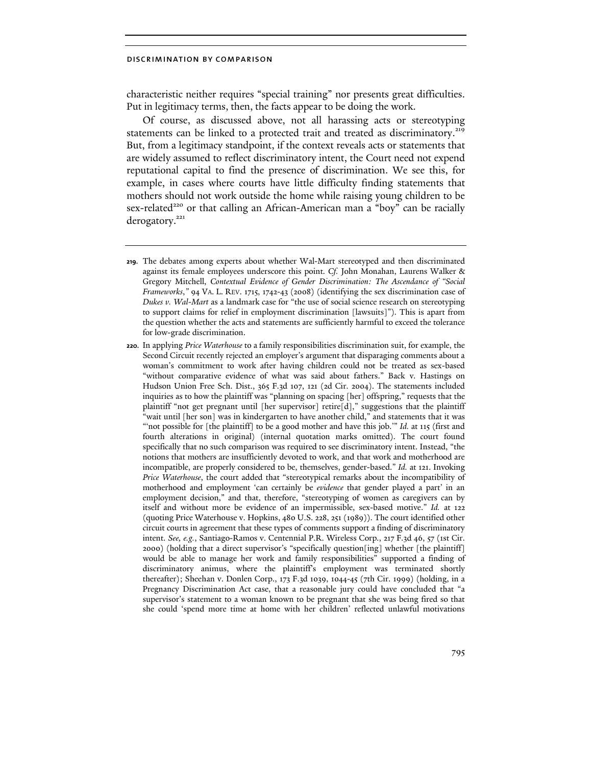characteristic neither requires "special training" nor presents great difficulties. Put in legitimacy terms, then, the facts appear to be doing the work.

Of course, as discussed above, not all harassing acts or stereotyping statements can be linked to a protected trait and treated as discriminatory.<sup>219</sup> But, from a legitimacy standpoint, if the context reveals acts or statements that are widely assumed to reflect discriminatory intent, the Court need not expend reputational capital to find the presence of discrimination. We see this, for example, in cases where courts have little difficulty finding statements that mothers should not work outside the home while raising young children to be sex-related<sup>220</sup> or that calling an African-American man a "boy" can be racially derogatory.<sup>221</sup>

<sup>219.</sup> The debates among experts about whether Wal-Mart stereotyped and then discriminated against its female employees underscore this point. *Cf.* John Monahan, Laurens Walker & Gregory Mitchell, *Contextual Evidence of Gender Discrimination: The Ascendance of "Social Frameworks*,*"* 94 VA. L. REV. 1715, 1742-43 (2008) (identifying the sex discrimination case of *Dukes v. Wal-Mart* as a landmark case for "the use of social science research on stereotyping to support claims for relief in employment discrimination [lawsuits]"). This is apart from the question whether the acts and statements are sufficiently harmful to exceed the tolerance for low-grade discrimination.

<sup>220.</sup> In applying *Price Waterhouse* to a family responsibilities discrimination suit, for example, the Second Circuit recently rejected an employer's argument that disparaging comments about a woman's commitment to work after having children could not be treated as sex-based "without comparative evidence of what was said about fathers." Back v. Hastings on Hudson Union Free Sch. Dist., 365 F.3d 107, 121 (2d Cir. 2004). The statements included inquiries as to how the plaintiff was "planning on spacing [her] offspring," requests that the plaintiff "not get pregnant until [her supervisor] retire[d]," suggestions that the plaintiff "wait until [her son] was in kindergarten to have another child," and statements that it was "not possible for [the plaintiff] to be a good mother and have this job." *Id.* at 115 (first and fourth alterations in original) (internal quotation marks omitted). The court found specifically that no such comparison was required to see discriminatory intent. Instead, "the notions that mothers are insufficiently devoted to work, and that work and motherhood are incompatible, are properly considered to be, themselves, gender-based." *Id.* at 121. Invoking *Price Waterhouse*, the court added that "stereotypical remarks about the incompatibility of motherhood and employment 'can certainly be *evidence* that gender played a part' in an employment decision," and that, therefore, "stereotyping of women as caregivers can by itself and without more be evidence of an impermissible, sex-based motive." *Id.* at 122 (quoting Price Waterhouse v. Hopkins, 480 U.S. 228, 251 (1989)). The court identified other circuit courts in agreement that these types of comments support a finding of discriminatory intent. *See, e.g.*, Santiago-Ramos v. Centennial P.R. Wireless Corp., 217 F.3d 46, 57 (1st Cir. 2000) (holding that a direct supervisor's "specifically question[ing] whether [the plaintiff] would be able to manage her work and family responsibilities" supported a finding of discriminatory animus, where the plaintiff's employment was terminated shortly thereafter); Sheehan v. Donlen Corp., 173 F.3d 1039, 1044-45 (7th Cir. 1999) (holding, in a Pregnancy Discrimination Act case, that a reasonable jury could have concluded that "a supervisor's statement to a woman known to be pregnant that she was being fired so that she could 'spend more time at home with her children' reflected unlawful motivations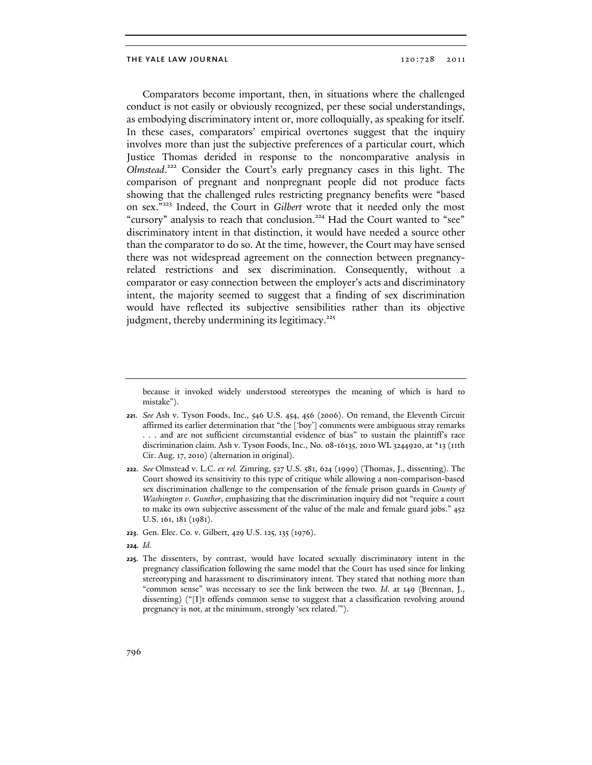Comparators become important, then, in situations where the challenged conduct is not easily or obviously recognized, per these social understandings, as embodying discriminatory intent or, more colloquially, as speaking for itself. In these cases, comparators' empirical overtones suggest that the inquiry involves more than just the subjective preferences of a particular court, which Justice Thomas derided in response to the noncomparative analysis in Olmstead.<sup>222</sup> Consider the Court's early pregnancy cases in this light. The comparison of pregnant and nonpregnant people did not produce facts showing that the challenged rules restricting pregnancy benefits were "based on sex."<sup>223</sup> Indeed, the Court in Gilbert wrote that it needed only the most "cursory" analysis to reach that conclusion.<sup>224</sup> Had the Court wanted to "see" discriminatory intent in that distinction, it would have needed a source other than the comparator to do so. At the time, however, the Court may have sensed there was not widespread agreement on the connection between pregnancyrelated restrictions and sex discrimination. Consequently, without a comparator or easy connection between the employer's acts and discriminatory intent, the majority seemed to suggest that a finding of sex discrimination would have reflected its subjective sensibilities rather than its objective judgment, thereby undermining its legitimacy. $225$ 

because it invoked widely understood stereotypes the meaning of which is hard to mistake").

<sup>221.</sup> *See* Ash v. Tyson Foods, Inc., 546 U.S. 454, 456 (2006). On remand, the Eleventh Circuit affirmed its earlier determination that "the ['boy'] comments were ambiguous stray remarks . . . and are not sufficient circumstantial evidence of bias" to sustain the plaintiff's race discrimination claim. Ash v. Tyson Foods, Inc., No. 08-16135, 2010 WL 3244920, at \*13 (11th Cir. Aug. 17, 2010) (alternation in original).

<sup>222.</sup> *See* Olmstead v. L.C. *ex rel.* Zimring, 527 U.S. 581, 624 (1999) (Thomas, J., dissenting). The Court showed its sensitivity to this type of critique while allowing a non-comparison-based sex discrimination challenge to the compensation of the female prison guards in *County of Washington v. Gunther*, emphasizing that the discrimination inquiry did not "require a court to make its own subjective assessment of the value of the male and female guard jobs." 452 U.S. 161, 181 (1981).

<sup>223.</sup> Gen. Elec. Co. v. Gilbert*,* 429 U.S. 125, 135 (1976).

<sup>224.</sup> *Id.*

<sup>225.</sup> The dissenters, by contrast, would have located sexually discriminatory intent in the pregnancy classification following the same model that the Court has used since for linking stereotyping and harassment to discriminatory intent. They stated that nothing more than "common sense" was necessary to see the link between the two. *Id.* at 149 (Brennan, J., dissenting) ("[I]t offends common sense to suggest that a classification revolving around pregnancy is not, at the minimum, strongly 'sex related.'").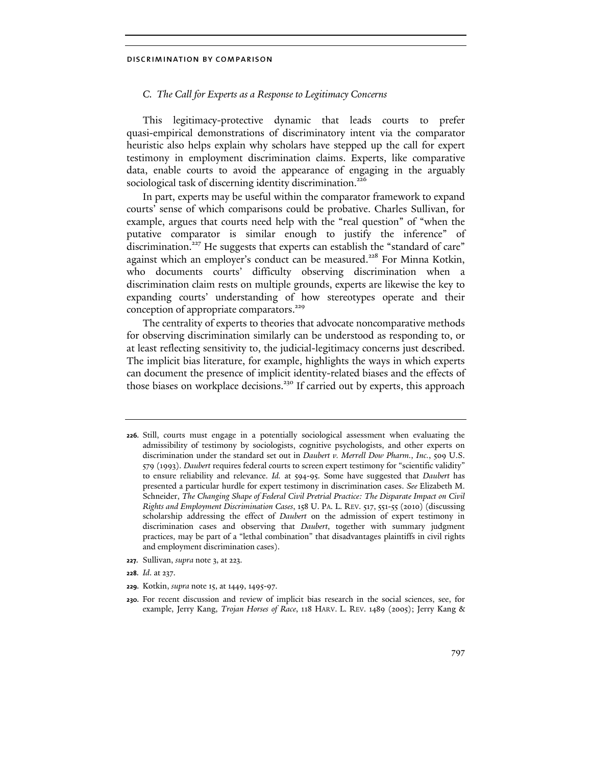# C. The Call for Experts as a Response to Legitimacy Concerns

This legitimacy-protective dynamic that leads courts to prefer quasi-empirical demonstrations of discriminatory intent via the comparator heuristic also helps explain why scholars have stepped up the call for expert testimony in employment discrimination claims. Experts, like comparative data, enable courts to avoid the appearance of engaging in the arguably sociological task of discerning identity discrimination.<sup>226</sup>

In part, experts may be useful within the comparator framework to expand courts' sense of which comparisons could be probative. Charles Sullivan, for example, argues that courts need help with the "real question" of "when the putative comparator is similar enough to justify the inference" of discrimination.<sup>227</sup> He suggests that experts can establish the "standard of care" against which an employer's conduct can be measured.<sup>228</sup> For Minna Kotkin, who documents courts' difficulty observing discrimination when a discrimination claim rests on multiple grounds, experts are likewise the key to expanding courts' understanding of how stereotypes operate and their conception of appropriate comparators.<sup>229</sup>

The centrality of experts to theories that advocate noncomparative methods for observing discrimination similarly can be understood as responding to, or at least reflecting sensitivity to, the judicial-legitimacy concerns just described. The implicit bias literature, for example, highlights the ways in which experts can document the presence of implicit identity-related biases and the effects of those biases on workplace decisions.<sup>230</sup> If carried out by experts, this approach

227. Sullivan, *supra* note 3, at 223.

- 229. Kotkin, *supra* note 15, at 1449, 1495-97.
- 230. For recent discussion and review of implicit bias research in the social sciences, see, for example, Jerry Kang, *Trojan Horses of Race*, 118 HARV. L. REV. 1489 (2005); Jerry Kang &

<sup>226.</sup> Still, courts must engage in a potentially sociological assessment when evaluating the admissibility of testimony by sociologists, cognitive psychologists, and other experts on discrimination under the standard set out in *Daubert v. Merrell Dow Pharm., Inc.*, 509 U.S. 579 (1993). *Daubert* requires federal courts to screen expert testimony for "scientific validity" to ensure reliability and relevance. *Id.* at 594-95. Some have suggested that *Daubert* has presented a particular hurdle for expert testimony in discrimination cases. *See* Elizabeth M. Schneider, *The Changing Shape of Federal Civil Pretrial Practice: The Disparate Impact on Civil Rights and Employment Discrimination Cases*, 158 U. PA. L. REV. 517, 551-55 (2010) (discussing scholarship addressing the effect of *Daubert* on the admission of expert testimony in discrimination cases and observing that *Daubert*, together with summary judgment practices, may be part of a "lethal combination" that disadvantages plaintiffs in civil rights and employment discrimination cases).

<sup>228.</sup> *Id*. at 237.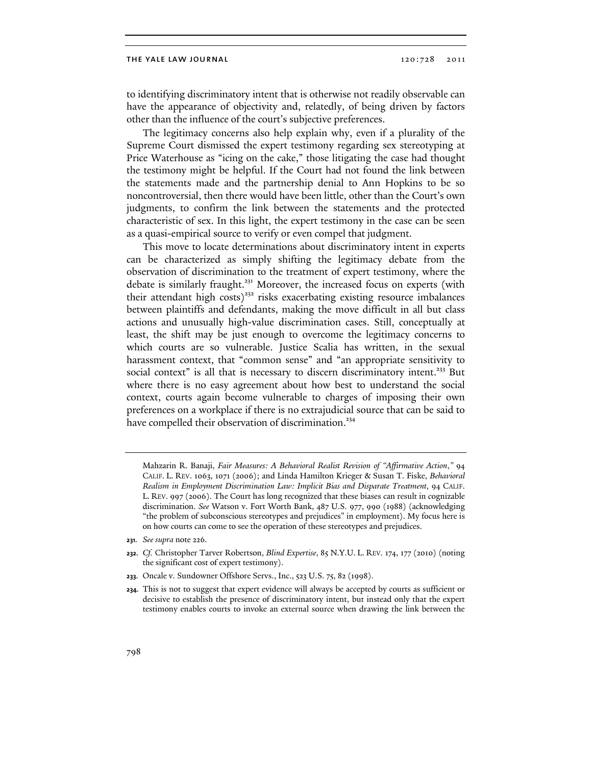to identifying discriminatory intent that is otherwise not readily observable can have the appearance of objectivity and, relatedly, of being driven by factors other than the influence of the court's subjective preferences.

The legitimacy concerns also help explain why, even if a plurality of the Supreme Court dismissed the expert testimony regarding sex stereotyping at Price Waterhouse as "icing on the cake," those litigating the case had thought the testimony might be helpful. If the Court had not found the link between the statements made and the partnership denial to Ann Hopkins to be so noncontroversial, then there would have been little, other than the Court's own judgments, to confirm the link between the statements and the protected characteristic of sex. In this light, the expert testimony in the case can be seen as a quasi-empirical source to verify or even compel that judgment.

This move to locate determinations about discriminatory intent in experts can be characterized as simply shifting the legitimacy debate from the observation of discrimination to the treatment of expert testimony, where the debate is similarly fraught.<sup>231</sup> Moreover, the increased focus on experts (with their attendant high costs)<sup>232</sup> risks exacerbating existing resource imbalances between plaintiffs and defendants, making the move difficult in all but class actions and unusually high-value discrimination cases. Still, conceptually at least, the shift may be just enough to overcome the legitimacy concerns to which courts are so vulnerable. Justice Scalia has written, in the sexual harassment context, that "common sense" and "an appropriate sensitivity to social context" is all that is necessary to discern discriminatory intent.<sup>233</sup> But where there is no easy agreement about how best to understand the social context, courts again become vulnerable to charges of imposing their own preferences on a workplace if there is no extrajudicial source that can be said to have compelled their observation of discrimination.<sup>234</sup>

Mahzarin R. Banaji, *Fair Measures: A Behavioral Realist Revision of "Affirmative Action*,*"* 94 CALIF. L. REV. 1063, 1071 (2006); and Linda Hamilton Krieger & Susan T. Fiske, *Behavioral Realism in Employment Discrimination Law: Implicit Bias and Disparate Treatment*, 94 CALIF. L. REV. 997 (2006). The Court has long recognized that these biases can result in cognizable discrimination. *See* Watson v. Fort Worth Bank, 487 U.S. 977, 990 (1988) (acknowledging "the problem of subconscious stereotypes and prejudices" in employment). My focus here is on how courts can come to see the operation of these stereotypes and prejudices.

<sup>231.</sup> *See supra* note 226.

<sup>232.</sup> *Cf.* Christopher Tarver Robertson, *Blind Expertise*, 85 N.Y.U. L. REV. 174, 177 (2010) (noting the significant cost of expert testimony).

<sup>233.</sup> Oncale v. Sundowner Offshore Servs., Inc., 523 U.S. 75, 82 (1998).

<sup>234.</sup> This is not to suggest that expert evidence will always be accepted by courts as sufficient or decisive to establish the presence of discriminatory intent, but instead only that the expert testimony enables courts to invoke an external source when drawing the link between the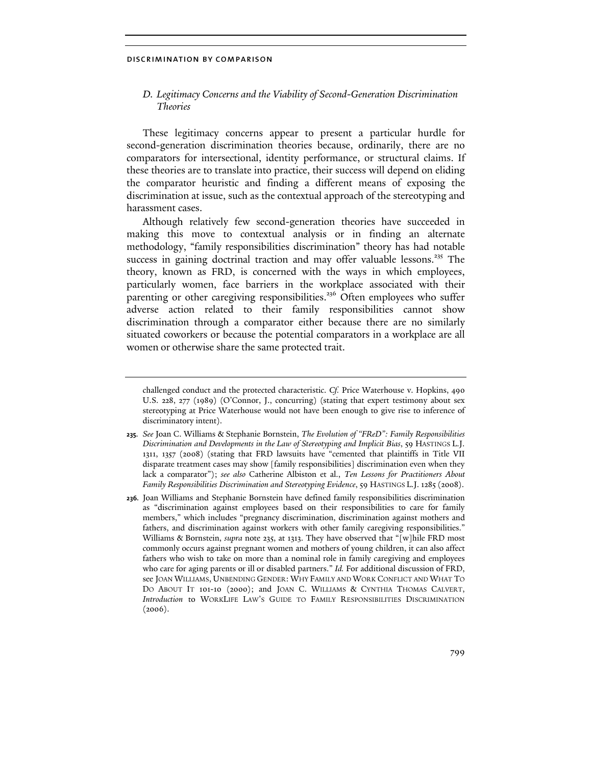# D. Legitimacy Concerns and the Viability of Second-Generation Discrimination Theories

These legitimacy concerns appear to present a particular hurdle for second-generation discrimination theories because, ordinarily, there are no comparators for intersectional, identity performance, or structural claims. If these theories are to translate into practice, their success will depend on eliding the comparator heuristic and finding a different means of exposing the discrimination at issue, such as the contextual approach of the stereotyping and harassment cases.

Although relatively few second-generation theories have succeeded in making this move to contextual analysis or in finding an alternate methodology, "family responsibilities discrimination" theory has had notable success in gaining doctrinal traction and may offer valuable lessons.<sup>235</sup> The theory, known as FRD, is concerned with the ways in which employees, particularly women, face barriers in the workplace associated with their parenting or other caregiving responsibilities.<sup>236</sup> Often employees who suffer adverse action related to their family responsibilities cannot show discrimination through a comparator either because there are no similarly situated coworkers or because the potential comparators in a workplace are all women or otherwise share the same protected trait.

challenged conduct and the protected characteristic. *Cf.* Price Waterhouse v. Hopkins, 490 U.S. 228, 277 (1989) (O'Connor, J., concurring) (stating that expert testimony about sex stereotyping at Price Waterhouse would not have been enough to give rise to inference of discriminatory intent).

<sup>235.</sup> *See* Joan C. Williams & Stephanie Bornstein, *The Evolution of "FReD": Family Responsibilities Discrimination and Developments in the Law of Stereotyping and Implicit Bias*, 59 HASTINGS L.J. 1311, 1357 (2008) (stating that FRD lawsuits have "cemented that plaintiffs in Title VII disparate treatment cases may show [family responsibilities] discrimination even when they lack a comparator"); *see also* Catherine Albiston et al., *Ten Lessons for Practitioners About Family Responsibilities Discrimination and Stereotyping Evidence*, 59 HASTINGS L.J. 1285 (2008).

<sup>236.</sup> Joan Williams and Stephanie Bornstein have defined family responsibilities discrimination as "discrimination against employees based on their responsibilities to care for family members," which includes "pregnancy discrimination, discrimination against mothers and fathers, and discrimination against workers with other family caregiving responsibilities." Williams & Bornstein, *supra* note 235, at 1313. They have observed that "[w]hile FRD most commonly occurs against pregnant women and mothers of young children, it can also affect fathers who wish to take on more than a nominal role in family caregiving and employees who care for aging parents or ill or disabled partners." *Id.* For additional discussion of FRD, see JOAN WILLIAMS, UNBENDING GENDER: WHY FAMILY AND WORK CONFLICT AND WHAT TO DO ABOUT IT 101-10 (2000); and JOAN C. WILLIAMS & CYNTHIA THOMAS CALVERT, *Introduction* to WORKLIFE LAW'S GUIDE TO FAMILY RESPONSIBILITIES DISCRIMINATION  $(2006).$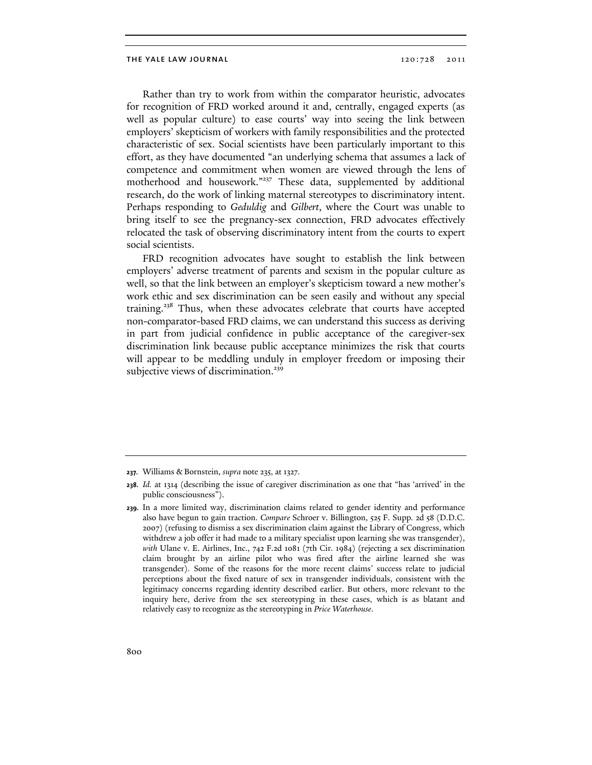Rather than try to work from within the comparator heuristic, advocates for recognition of FRD worked around it and, centrally, engaged experts (as well as popular culture) to ease courts' way into seeing the link between employers' skepticism of workers with family responsibilities and the protected characteristic of sex. Social scientists have been particularly important to this effort, as they have documented "an underlying schema that assumes a lack of competence and commitment when women are viewed through the lens of motherhood and housework."<sup>237</sup> These data, supplemented by additional research, do the work of linking maternal stereotypes to discriminatory intent. Perhaps responding to Geduldig and Gilbert, where the Court was unable to bring itself to see the pregnancy-sex connection, FRD advocates effectively relocated the task of observing discriminatory intent from the courts to expert social scientists.

FRD recognition advocates have sought to establish the link between employers' adverse treatment of parents and sexism in the popular culture as well, so that the link between an employer's skepticism toward a new mother's work ethic and sex discrimination can be seen easily and without any special training.<sup>238</sup> Thus, when these advocates celebrate that courts have accepted non-comparator-based FRD claims, we can understand this success as deriving in part from judicial confidence in public acceptance of the caregiver-sex discrimination link because public acceptance minimizes the risk that courts will appear to be meddling unduly in employer freedom or imposing their subjective views of discrimination.<sup>239</sup>

<sup>237.</sup> Williams & Bornstein, *supra* note 235, at 1327.

<sup>238.</sup> *Id.* at 1314 (describing the issue of caregiver discrimination as one that "has 'arrived' in the public consciousness").

<sup>239.</sup> In a more limited way, discrimination claims related to gender identity and performance also have begun to gain traction. *Compare* Schroer v. Billington, 525 F. Supp. 2d 58 (D.D.C. 2007) (refusing to dismiss a sex discrimination claim against the Library of Congress, which withdrew a job offer it had made to a military specialist upon learning she was transgender), *with* Ulane v. E. Airlines, Inc., 742 F.2d 1081 (7th Cir. 1984) (rejecting a sex discrimination claim brought by an airline pilot who was fired after the airline learned she was transgender). Some of the reasons for the more recent claims' success relate to judicial perceptions about the fixed nature of sex in transgender individuals, consistent with the legitimacy concerns regarding identity described earlier. But others, more relevant to the inquiry here, derive from the sex stereotyping in these cases, which is as blatant and relatively easy to recognize as the stereotyping in *Price Waterhouse*.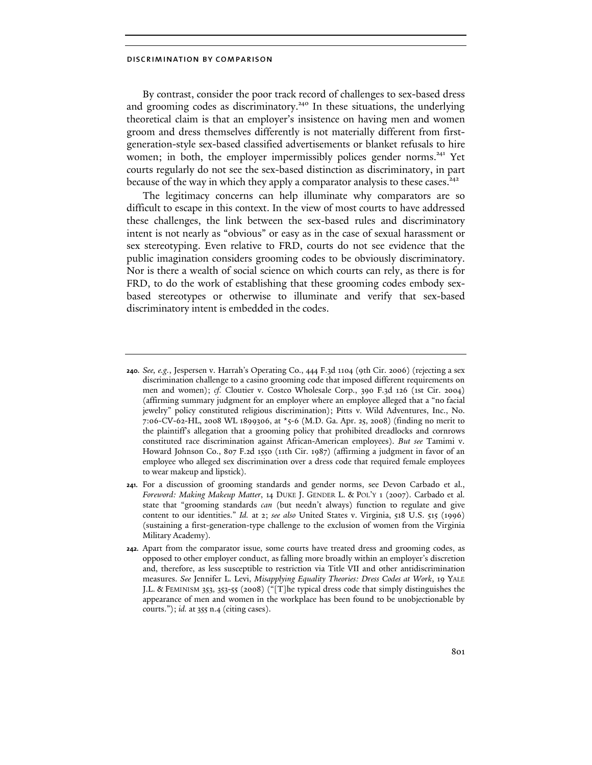By contrast, consider the poor track record of challenges to sex-based dress and grooming codes as discriminatory.<sup>240</sup> In these situations, the underlying theoretical claim is that an employer's insistence on having men and women groom and dress themselves differently is not materially different from firstgeneration-style sex-based classified advertisements or blanket refusals to hire women; in both, the employer impermissibly polices gender norms.<sup>241</sup> Yet courts regularly do not see the sex-based distinction as discriminatory, in part because of the way in which they apply a comparator analysis to these cases.<sup>242</sup>

The legitimacy concerns can help illuminate why comparators are so difficult to escape in this context. In the view of most courts to have addressed these challenges, the link between the sex-based rules and discriminatory intent is not nearly as "obvious" or easy as in the case of sexual harassment or sex stereotyping. Even relative to FRD, courts do not see evidence that the public imagination considers grooming codes to be obviously discriminatory. Nor is there a wealth of social science on which courts can rely, as there is for FRD, to do the work of establishing that these grooming codes embody sexbased stereotypes or otherwise to illuminate and verify that sex-based discriminatory intent is embedded in the codes.

<sup>240.</sup> *See, e.g.*, Jespersen v. Harrah's Operating Co., 444 F.3d 1104 (9th Cir. 2006) (rejecting a sex discrimination challenge to a casino grooming code that imposed different requirements on men and women); *cf.* Cloutier v. Costco Wholesale Corp., 390 F.3d 126 (1st Cir. 2004) (affirming summary judgment for an employer where an employee alleged that a "no facial jewelry" policy constituted religious discrimination); Pitts v. Wild Adventures, Inc., No. 7:06-CV-62-HL, 2008 WL 1899306, at \*5-6 (M.D. Ga. Apr. 25, 2008) (finding no merit to the plaintiff's allegation that a grooming policy that prohibited dreadlocks and cornrows constituted race discrimination against African-American employees). *But see* Tamimi v. Howard Johnson Co., 807 F.2d 1550 (11th Cir. 1987) (affirming a judgment in favor of an employee who alleged sex discrimination over a dress code that required female employees to wear makeup and lipstick).

<sup>241.</sup> For a discussion of grooming standards and gender norms, see Devon Carbado et al., *Foreword: Making Makeup Matter*, 14 DUKE J. GENDER L. & POL'Y 1 (2007). Carbado et al. state that "grooming standards *can* (but needn't always) function to regulate and give content to our identities." *Id.* at 2; *see also* United States v. Virginia, 518 U.S. 515 (1996) (sustaining a first-generation-type challenge to the exclusion of women from the Virginia Military Academy).

<sup>242.</sup> Apart from the comparator issue, some courts have treated dress and grooming codes, as opposed to other employer conduct, as falling more broadly within an employer's discretion and, therefore, as less susceptible to restriction via Title VII and other antidiscrimination measures. *See* Jennifer L. Levi, *Misapplying Equality Theories: Dress Codes at Work*, 19 YALE J.L. & FEMINISM 353, 353-55 (2008) ("[T]he typical dress code that simply distinguishes the appearance of men and women in the workplace has been found to be unobjectionable by courts."); *id.* at 355 n.4 (citing cases).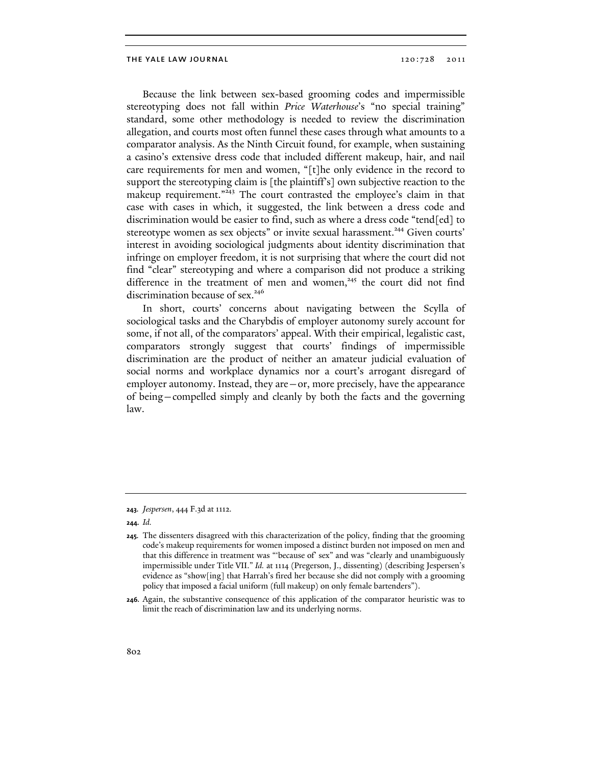Because the link between sex-based grooming codes and impermissible stereotyping does not fall within Price Waterhouse's "no special training" standard, some other methodology is needed to review the discrimination allegation, and courts most often funnel these cases through what amounts to a comparator analysis. As the Ninth Circuit found, for example, when sustaining a casino's extensive dress code that included different makeup, hair, and nail care requirements for men and women, "[t]he only evidence in the record to support the stereotyping claim is [the plaintiff's] own subjective reaction to the makeup requirement."<sup>243</sup> The court contrasted the employee's claim in that case with cases in which, it suggested, the link between a dress code and discrimination would be easier to find, such as where a dress code "tend[ed] to stereotype women as sex objects" or invite sexual harassment.<sup>244</sup> Given courts' interest in avoiding sociological judgments about identity discrimination that infringe on employer freedom, it is not surprising that where the court did not find "clear" stereotyping and where a comparison did not produce a striking difference in the treatment of men and women, $245$  the court did not find discrimination because of sex.<sup>246</sup>

In short, courts' concerns about navigating between the Scylla of sociological tasks and the Charybdis of employer autonomy surely account for some, if not all, of the comparators' appeal. With their empirical, legalistic cast, comparators strongly suggest that courts' findings of impermissible discrimination are the product of neither an amateur judicial evaluation of social norms and workplace dynamics nor a court's arrogant disregard of employer autonomy. Instead, they are—or, more precisely, have the appearance of being—compelled simply and cleanly by both the facts and the governing law.

<sup>243.</sup> *Jespersen*, 444 F.3d at 1112.

<sup>244.</sup> *Id.*

<sup>245.</sup> The dissenters disagreed with this characterization of the policy, finding that the grooming code's makeup requirements for women imposed a distinct burden not imposed on men and that this difference in treatment was "'because of' sex" and was "clearly and unambiguously impermissible under Title VII." *Id.* at 1114 (Pregerson, J., dissenting) (describing Jespersen's evidence as "show[ing] that Harrah's fired her because she did not comply with a grooming policy that imposed a facial uniform (full makeup) on only female bartenders").

<sup>246.</sup> Again, the substantive consequence of this application of the comparator heuristic was to limit the reach of discrimination law and its underlying norms.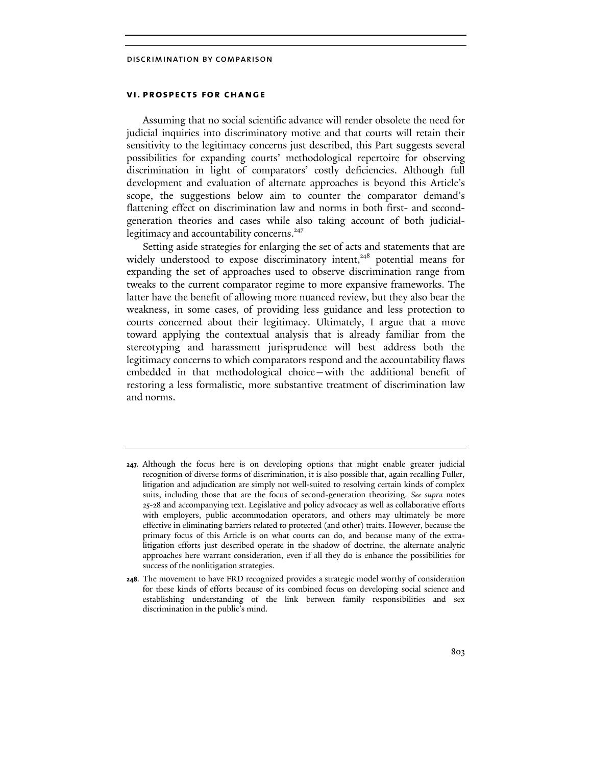## vi. prospects for change

Assuming that no social scientific advance will render obsolete the need for judicial inquiries into discriminatory motive and that courts will retain their sensitivity to the legitimacy concerns just described, this Part suggests several possibilities for expanding courts' methodological repertoire for observing discrimination in light of comparators' costly deficiencies. Although full development and evaluation of alternate approaches is beyond this Article's scope, the suggestions below aim to counter the comparator demand's flattening effect on discrimination law and norms in both first- and secondgeneration theories and cases while also taking account of both judiciallegitimacy and accountability concerns.<sup>247</sup>

Setting aside strategies for enlarging the set of acts and statements that are widely understood to expose discriminatory intent,<sup>248</sup> potential means for expanding the set of approaches used to observe discrimination range from tweaks to the current comparator regime to more expansive frameworks. The latter have the benefit of allowing more nuanced review, but they also bear the weakness, in some cases, of providing less guidance and less protection to courts concerned about their legitimacy. Ultimately, I argue that a move toward applying the contextual analysis that is already familiar from the stereotyping and harassment jurisprudence will best address both the legitimacy concerns to which comparators respond and the accountability flaws embedded in that methodological choice—with the additional benefit of restoring a less formalistic, more substantive treatment of discrimination law and norms.

<sup>247.</sup> Although the focus here is on developing options that might enable greater judicial recognition of diverse forms of discrimination, it is also possible that, again recalling Fuller, litigation and adjudication are simply not well-suited to resolving certain kinds of complex suits, including those that are the focus of second-generation theorizing. *See supra* notes 25-28 and accompanying text. Legislative and policy advocacy as well as collaborative efforts with employers, public accommodation operators, and others may ultimately be more effective in eliminating barriers related to protected (and other) traits. However, because the primary focus of this Article is on what courts can do, and because many of the extralitigation efforts just described operate in the shadow of doctrine, the alternate analytic approaches here warrant consideration, even if all they do is enhance the possibilities for success of the nonlitigation strategies.

<sup>248.</sup> The movement to have FRD recognized provides a strategic model worthy of consideration for these kinds of efforts because of its combined focus on developing social science and establishing understanding of the link between family responsibilities and sex discrimination in the public's mind.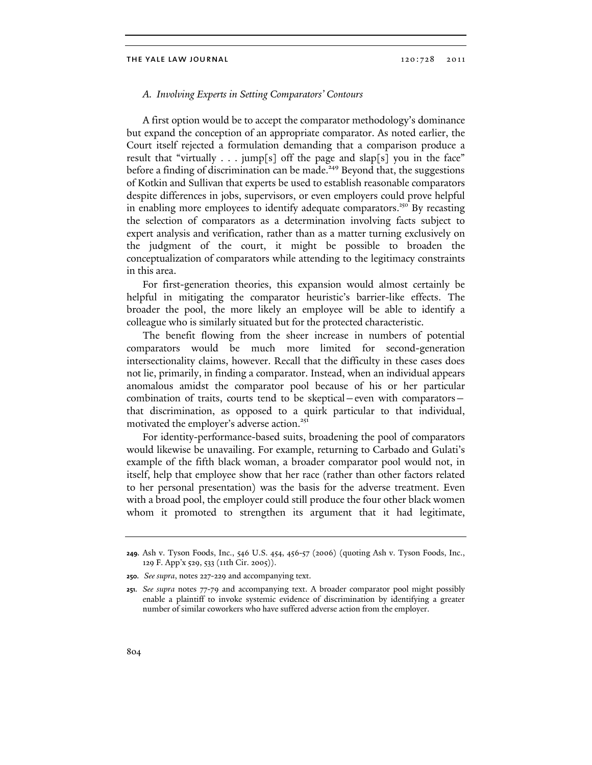## A. Involving Experts in Setting Comparators' Contours

A first option would be to accept the comparator methodology's dominance but expand the conception of an appropriate comparator. As noted earlier, the Court itself rejected a formulation demanding that a comparison produce a result that "virtually  $\ldots$  jump[s] off the page and slap[s] you in the face" before a finding of discrimination can be made.<sup>249</sup> Beyond that, the suggestions of Kotkin and Sullivan that experts be used to establish reasonable comparators despite differences in jobs, supervisors, or even employers could prove helpful in enabling more employees to identify adequate comparators.<sup>250</sup> By recasting the selection of comparators as a determination involving facts subject to expert analysis and verification, rather than as a matter turning exclusively on the judgment of the court, it might be possible to broaden the conceptualization of comparators while attending to the legitimacy constraints in this area.

For first-generation theories, this expansion would almost certainly be helpful in mitigating the comparator heuristic's barrier-like effects. The broader the pool, the more likely an employee will be able to identify a colleague who is similarly situated but for the protected characteristic.

The benefit flowing from the sheer increase in numbers of potential comparators would be much more limited for second-generation intersectionality claims, however. Recall that the difficulty in these cases does not lie, primarily, in finding a comparator. Instead, when an individual appears anomalous amidst the comparator pool because of his or her particular combination of traits, courts tend to be skeptical—even with comparators that discrimination, as opposed to a quirk particular to that individual, motivated the employer's adverse action.<sup>251</sup>

For identity-performance-based suits, broadening the pool of comparators would likewise be unavailing. For example, returning to Carbado and Gulati's example of the fifth black woman, a broader comparator pool would not, in itself, help that employee show that her race (rather than other factors related to her personal presentation) was the basis for the adverse treatment. Even with a broad pool, the employer could still produce the four other black women whom it promoted to strengthen its argument that it had legitimate,

<sup>249.</sup> Ash v. Tyson Foods, Inc., 546 U.S. 454, 456-57 (2006) (quoting Ash v. Tyson Foods, Inc., 129 F. App'x 529, 533 (11th Cir. 2005)).

<sup>250.</sup> *See supra*, notes 227-229 and accompanying text.

<sup>251.</sup> *See supra* notes 77-79 and accompanying text. A broader comparator pool might possibly enable a plaintiff to invoke systemic evidence of discrimination by identifying a greater number of similar coworkers who have suffered adverse action from the employer.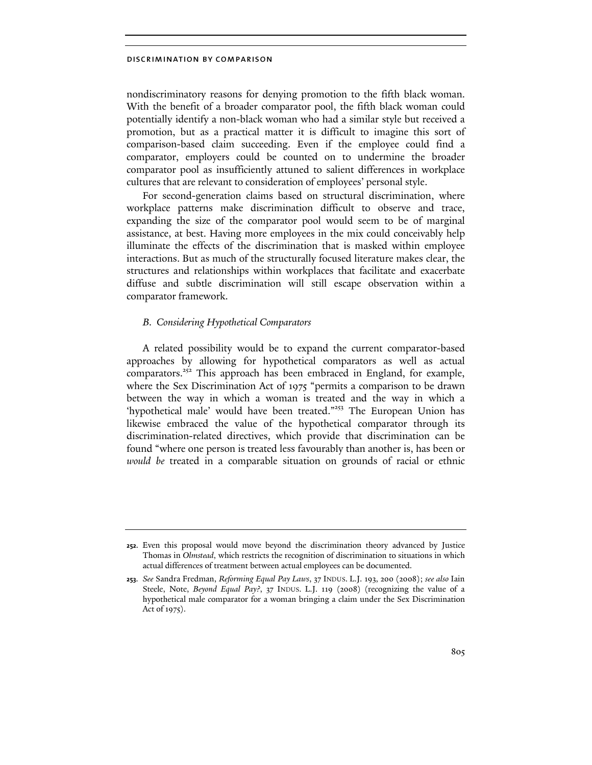nondiscriminatory reasons for denying promotion to the fifth black woman. With the benefit of a broader comparator pool, the fifth black woman could potentially identify a non-black woman who had a similar style but received a promotion, but as a practical matter it is difficult to imagine this sort of comparison-based claim succeeding. Even if the employee could find a comparator, employers could be counted on to undermine the broader comparator pool as insufficiently attuned to salient differences in workplace cultures that are relevant to consideration of employees' personal style.

For second-generation claims based on structural discrimination, where workplace patterns make discrimination difficult to observe and trace, expanding the size of the comparator pool would seem to be of marginal assistance, at best. Having more employees in the mix could conceivably help illuminate the effects of the discrimination that is masked within employee interactions. But as much of the structurally focused literature makes clear, the structures and relationships within workplaces that facilitate and exacerbate diffuse and subtle discrimination will still escape observation within a comparator framework.

# B. Considering Hypothetical Comparators

A related possibility would be to expand the current comparator-based approaches by allowing for hypothetical comparators as well as actual comparators.<sup>252</sup> This approach has been embraced in England, for example, where the Sex Discrimination Act of 1975 "permits a comparison to be drawn between the way in which a woman is treated and the way in which a 'hypothetical male' would have been treated."<sup>253</sup> The European Union has likewise embraced the value of the hypothetical comparator through its discrimination-related directives, which provide that discrimination can be found "where one person is treated less favourably than another is, has been or would be treated in a comparable situation on grounds of racial or ethnic

<sup>252.</sup> Even this proposal would move beyond the discrimination theory advanced by Justice Thomas in *Olmstead*, which restricts the recognition of discrimination to situations in which actual differences of treatment between actual employees can be documented.

<sup>253.</sup> *See* Sandra Fredman, *Reforming Equal Pay Laws*, 37 INDUS. L.J. 193, 200 (2008); *see also* Iain Steele, Note, *Beyond Equal Pay?*, 37 INDUS. L.J. 119 (2008) (recognizing the value of a hypothetical male comparator for a woman bringing a claim under the Sex Discrimination Act of 1975).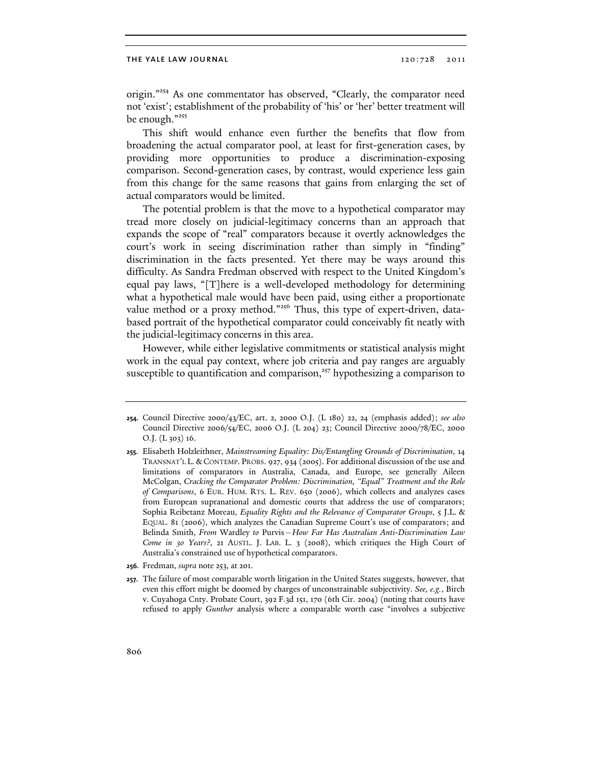origin."<sup>254</sup> As one commentator has observed, "Clearly, the comparator need not 'exist'; establishment of the probability of 'his' or 'her' better treatment will be enough."<sup>255</sup>

This shift would enhance even further the benefits that flow from broadening the actual comparator pool, at least for first-generation cases, by providing more opportunities to produce a discrimination-exposing comparison. Second-generation cases, by contrast, would experience less gain from this change for the same reasons that gains from enlarging the set of actual comparators would be limited.

The potential problem is that the move to a hypothetical comparator may tread more closely on judicial-legitimacy concerns than an approach that expands the scope of "real" comparators because it overtly acknowledges the court's work in seeing discrimination rather than simply in "finding" discrimination in the facts presented. Yet there may be ways around this difficulty. As Sandra Fredman observed with respect to the United Kingdom's equal pay laws, "[T]here is a well-developed methodology for determining what a hypothetical male would have been paid, using either a proportionate value method or a proxy method."<sup>256</sup> Thus, this type of expert-driven, databased portrait of the hypothetical comparator could conceivably fit neatly with the judicial-legitimacy concerns in this area.

However, while either legislative commitments or statistical analysis might work in the equal pay context, where job criteria and pay ranges are arguably susceptible to quantification and comparison,<sup>257</sup> hypothesizing a comparison to

<sup>254.</sup> Council Directive 2000/43/EC, art. 2, 2000 O.J. (L 180) 22, 24 (emphasis added); *see also* Council Directive 2006/54/EC, 2006 O.J. (L 204) 23; Council Directive 2000/78/EC, 2000 O.J. (L 303) 16.

<sup>255.</sup> Elisabeth Holzleithner, *Mainstreaming Equality: Dis/Entangling Grounds of Discrimination*, 14 TRANSNAT'L L. & CONTEMP. PROBS. 927, 934 (2005). For additional discussion of the use and limitations of comparators in Australia, Canada, and Europe, see generally Aileen McColgan, *Cracking the Comparator Problem: Discrimination, "Equal" Treatment and the Role of Comparisons*, 6 EUR. HUM. RTS. L. REV. 650 (2006), which collects and analyzes cases from European supranational and domestic courts that address the use of comparators; Sophia Reibetanz Moreau, *Equality Rights and the Relevance of Comparator Groups*, 5 J.L. & EQUAL. 81 (2006), which analyzes the Canadian Supreme Court's use of comparators; and Belinda Smith, *From* Wardley *to* Purvis*—How Far Has Australian Anti-Discrimination Law Come in 30 Years?*, 21 AUSTL. J. LAB. L. 3 (2008), which critiques the High Court of Australia's constrained use of hypothetical comparators.

<sup>256.</sup> Fredman, *supra* note 253, at 201.

<sup>257.</sup> The failure of most comparable worth litigation in the United States suggests, however, that even this effort might be doomed by charges of unconstrainable subjectivity. *See, e.g.*, Birch v. Cuyahoga Cnty. Probate Court, 392 F.3d 151, 170 (6th Cir. 2004) (noting that courts have refused to apply *Gunther* analysis where a comparable worth case "involves a subjective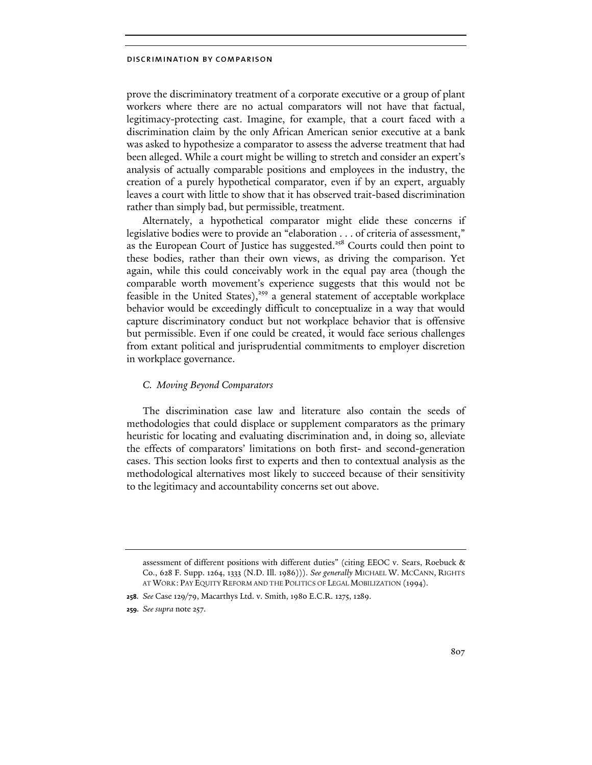prove the discriminatory treatment of a corporate executive or a group of plant workers where there are no actual comparators will not have that factual, legitimacy-protecting cast. Imagine, for example, that a court faced with a discrimination claim by the only African American senior executive at a bank was asked to hypothesize a comparator to assess the adverse treatment that had been alleged. While a court might be willing to stretch and consider an expert's analysis of actually comparable positions and employees in the industry, the creation of a purely hypothetical comparator, even if by an expert, arguably leaves a court with little to show that it has observed trait-based discrimination rather than simply bad, but permissible, treatment.

Alternately, a hypothetical comparator might elide these concerns if legislative bodies were to provide an "elaboration . . . of criteria of assessment," as the European Court of Justice has suggested.<sup>258</sup> Courts could then point to these bodies, rather than their own views, as driving the comparison. Yet again, while this could conceivably work in the equal pay area (though the comparable worth movement's experience suggests that this would not be feasible in the United States), $359$  a general statement of acceptable workplace behavior would be exceedingly difficult to conceptualize in a way that would capture discriminatory conduct but not workplace behavior that is offensive but permissible. Even if one could be created, it would face serious challenges from extant political and jurisprudential commitments to employer discretion in workplace governance.

# C. Moving Beyond Comparators

The discrimination case law and literature also contain the seeds of methodologies that could displace or supplement comparators as the primary heuristic for locating and evaluating discrimination and, in doing so, alleviate the effects of comparators' limitations on both first- and second-generation cases. This section looks first to experts and then to contextual analysis as the methodological alternatives most likely to succeed because of their sensitivity to the legitimacy and accountability concerns set out above.

assessment of different positions with different duties" (citing EEOC v. Sears, Roebuck & Co., 628 F. Supp. 1264, 1333 (N.D. Ill. 1986))). *See generally* MICHAEL W. MCCANN, RIGHTS AT WORK: PAY EQUITY REFORM AND THE POLITICS OF LEGAL MOBILIZATION (1994).

<sup>258.</sup> *See* Case 129/79, Macarthys Ltd. v. Smith, 1980 E.C.R. 1275, 1289.

<sup>259.</sup> *See supra* note 257.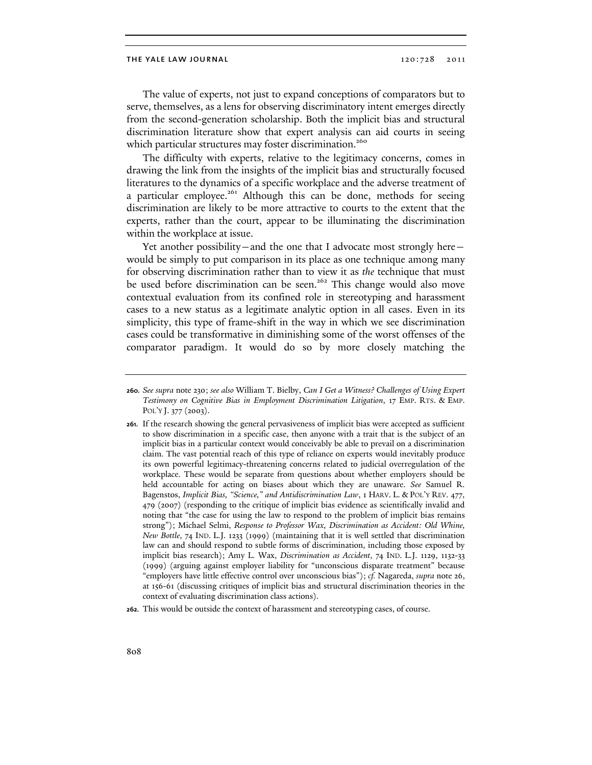The value of experts, not just to expand conceptions of comparators but to serve, themselves, as a lens for observing discriminatory intent emerges directly from the second-generation scholarship. Both the implicit bias and structural discrimination literature show that expert analysis can aid courts in seeing which particular structures may foster discrimination.<sup>260</sup>

The difficulty with experts, relative to the legitimacy concerns, comes in drawing the link from the insights of the implicit bias and structurally focused literatures to the dynamics of a specific workplace and the adverse treatment of a particular employee.<sup>261</sup> Although this can be done, methods for seeing discrimination are likely to be more attractive to courts to the extent that the experts, rather than the court, appear to be illuminating the discrimination within the workplace at issue.

Yet another possibility—and the one that I advocate most strongly here would be simply to put comparison in its place as one technique among many for observing discrimination rather than to view it as the technique that must be used before discrimination can be seen.<sup>262</sup> This change would also move contextual evaluation from its confined role in stereotyping and harassment cases to a new status as a legitimate analytic option in all cases. Even in its simplicity, this type of frame-shift in the way in which we see discrimination cases could be transformative in diminishing some of the worst offenses of the comparator paradigm. It would do so by more closely matching the

<sup>260.</sup> *See supra* note 230; *see also* William T. Bielby, *Can I Get a Witness? Challenges of Using Expert Testimony on Cognitive Bias in Employment Discrimination Litigation*, 17 EMP. RTS. & EMP. POL'Y J. 377 (2003).

<sup>261.</sup> If the research showing the general pervasiveness of implicit bias were accepted as sufficient to show discrimination in a specific case, then anyone with a trait that is the subject of an implicit bias in a particular context would conceivably be able to prevail on a discrimination claim. The vast potential reach of this type of reliance on experts would inevitably produce its own powerful legitimacy-threatening concerns related to judicial overregulation of the workplace. These would be separate from questions about whether employers should be held accountable for acting on biases about which they are unaware. *See* Samuel R. Bagenstos, *Implicit Bias, "Science," and Antidiscrimination Law*, 1 HARV. L. & POL'Y REV. 477, 479 (2007) (responding to the critique of implicit bias evidence as scientifically invalid and noting that "the case for using the law to respond to the problem of implicit bias remains strong"); Michael Selmi, *Response to Professor Wax, Discrimination as Accident: Old Whine, New Bottle*, 74 IND. L.J. 1233 (1999) (maintaining that it is well settled that discrimination law can and should respond to subtle forms of discrimination, including those exposed by implicit bias research); Amy L. Wax, *Discrimination as Accident*, 74 IND. L.J. 1129, 1132-33 (1999) (arguing against employer liability for "unconscious disparate treatment" because "employers have little effective control over unconscious bias"); *cf.* Nagareda, *supra* note 26, at 156-61 (discussing critiques of implicit bias and structural discrimination theories in the context of evaluating discrimination class actions).

<sup>262.</sup> This would be outside the context of harassment and stereotyping cases, of course.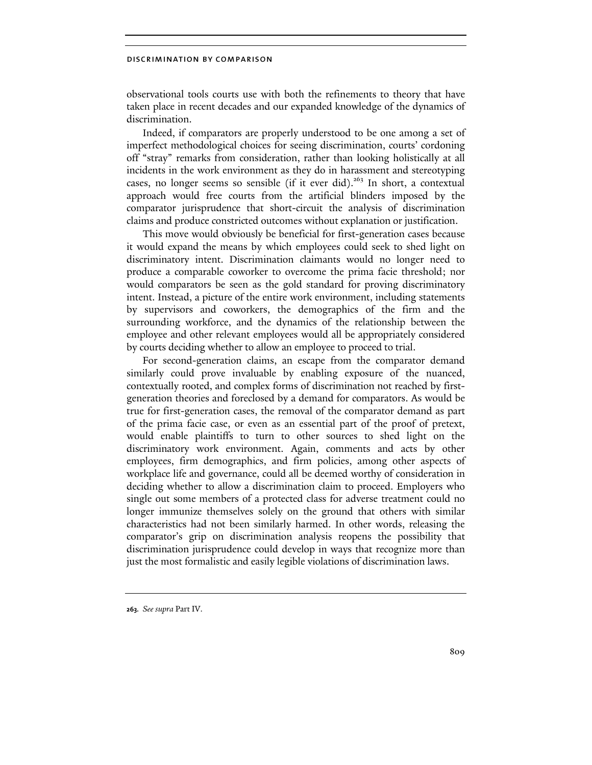observational tools courts use with both the refinements to theory that have taken place in recent decades and our expanded knowledge of the dynamics of discrimination.

Indeed, if comparators are properly understood to be one among a set of imperfect methodological choices for seeing discrimination, courts' cordoning off "stray" remarks from consideration, rather than looking holistically at all incidents in the work environment as they do in harassment and stereotyping cases, no longer seems so sensible (if it ever did).<sup>263</sup> In short, a contextual approach would free courts from the artificial blinders imposed by the comparator jurisprudence that short-circuit the analysis of discrimination claims and produce constricted outcomes without explanation or justification.

This move would obviously be beneficial for first-generation cases because it would expand the means by which employees could seek to shed light on discriminatory intent. Discrimination claimants would no longer need to produce a comparable coworker to overcome the prima facie threshold; nor would comparators be seen as the gold standard for proving discriminatory intent. Instead, a picture of the entire work environment, including statements by supervisors and coworkers, the demographics of the firm and the surrounding workforce, and the dynamics of the relationship between the employee and other relevant employees would all be appropriately considered by courts deciding whether to allow an employee to proceed to trial.

For second-generation claims, an escape from the comparator demand similarly could prove invaluable by enabling exposure of the nuanced, contextually rooted, and complex forms of discrimination not reached by firstgeneration theories and foreclosed by a demand for comparators. As would be true for first-generation cases, the removal of the comparator demand as part of the prima facie case, or even as an essential part of the proof of pretext, would enable plaintiffs to turn to other sources to shed light on the discriminatory work environment. Again, comments and acts by other employees, firm demographics, and firm policies, among other aspects of workplace life and governance, could all be deemed worthy of consideration in deciding whether to allow a discrimination claim to proceed. Employers who single out some members of a protected class for adverse treatment could no longer immunize themselves solely on the ground that others with similar characteristics had not been similarly harmed. In other words, releasing the comparator's grip on discrimination analysis reopens the possibility that discrimination jurisprudence could develop in ways that recognize more than just the most formalistic and easily legible violations of discrimination laws.

<sup>263.</sup> *See supra* Part IV.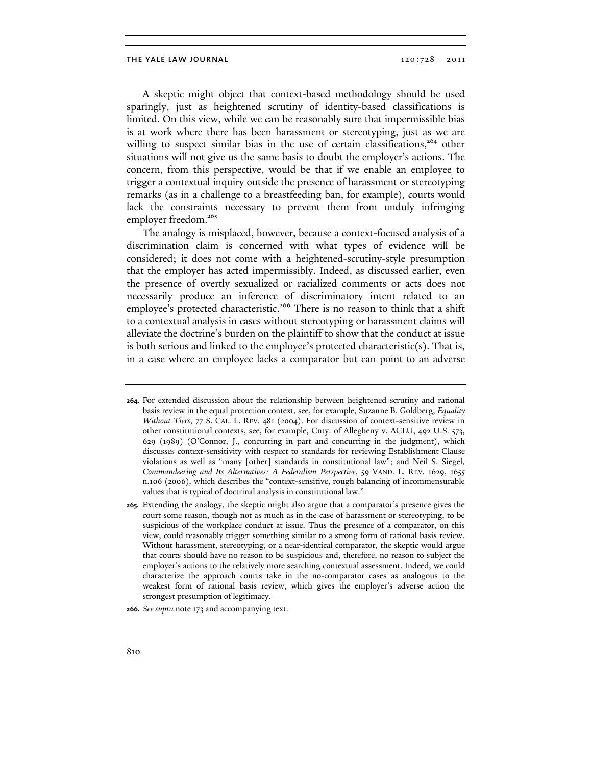A skeptic might object that context-based methodology should be used sparingly, just as heightened scrutiny of identity-based classifications is limited. On this view, while we can be reasonably sure that impermissible bias is at work where there has been harassment or stereotyping, just as we are willing to suspect similar bias in the use of certain classifications,<sup>264</sup> other situations will not give us the same basis to doubt the employer's actions. The concern, from this perspective, would be that if we enable an employee to trigger a contextual inquiry outside the presence of harassment or stereotyping remarks (as in a challenge to a breastfeeding ban, for example), courts would lack the constraints necessary to prevent them from unduly infringing employer freedom.<sup>265</sup>

The analogy is misplaced, however, because a context-focused analysis of a discrimination claim is concerned with what types of evidence will be considered; it does not come with a heightened-scrutiny-style presumption that the employer has acted impermissibly. Indeed, as discussed earlier, even the presence of overtly sexualized or racialized comments or acts does not necessarily produce an inference of discriminatory intent related to an employee's protected characteristic.<sup>266</sup> There is no reason to think that a shift to a contextual analysis in cases without stereotyping or harassment claims will alleviate the doctrine's burden on the plaintiff to show that the conduct at issue is both serious and linked to the employee's protected characteristic(s). That is, in a case where an employee lacks a comparator but can point to an adverse

- 265. Extending the analogy, the skeptic might also argue that a comparator's presence gives the court some reason, though not as much as in the case of harassment or stereotyping, to be suspicious of the workplace conduct at issue. Thus the presence of a comparator, on this view, could reasonably trigger something similar to a strong form of rational basis review. Without harassment, stereotyping, or a near-identical comparator, the skeptic would argue that courts should have no reason to be suspicious and, therefore, no reason to subject the employer's actions to the relatively more searching contextual assessment. Indeed, we could characterize the approach courts take in the no-comparator cases as analogous to the weakest form of rational basis review, which gives the employer's adverse action the strongest presumption of legitimacy.
- 266. *See supra* note 173 and accompanying text.

<sup>264.</sup> For extended discussion about the relationship between heightened scrutiny and rational basis review in the equal protection context, see, for example, Suzanne B. Goldberg, *Equality Without Tiers*, 77 S. CAL. L. REV. 481 (2004). For discussion of context-sensitive review in other constitutional contexts, see, for example, Cnty. of Allegheny v. ACLU, 492 U.S. 573, 629 (1989) (O'Connor, J., concurring in part and concurring in the judgment), which discusses context-sensitivity with respect to standards for reviewing Establishment Clause violations as well as "many [other] standards in constitutional law"; and Neil S. Siegel, *Commandeering and Its Alternatives: A Federalism Perspective*, 59 VAND. L. REV. 1629, 1655 n.106 (2006), which describes the "context-sensitive, rough balancing of incommensurable values that is typical of doctrinal analysis in constitutional law."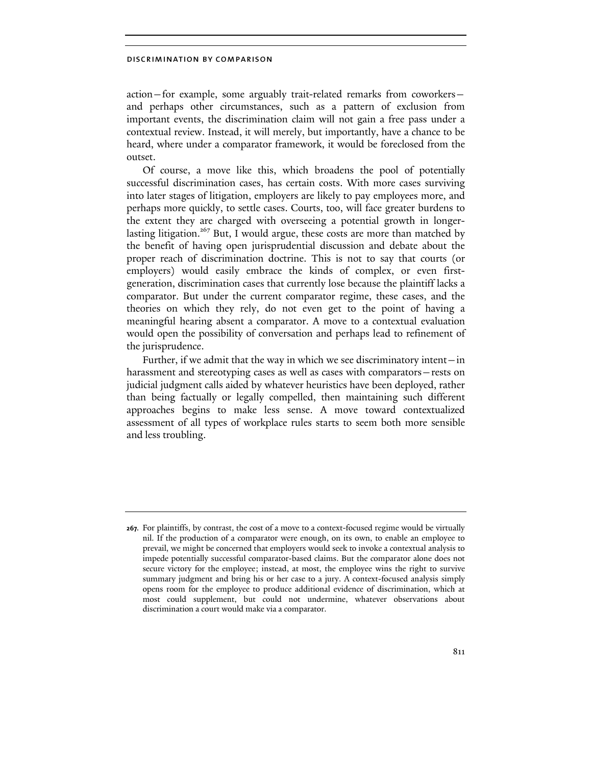action—for example, some arguably trait-related remarks from coworkers and perhaps other circumstances, such as a pattern of exclusion from important events, the discrimination claim will not gain a free pass under a contextual review. Instead, it will merely, but importantly, have a chance to be heard, where under a comparator framework, it would be foreclosed from the outset.

Of course, a move like this, which broadens the pool of potentially successful discrimination cases, has certain costs. With more cases surviving into later stages of litigation, employers are likely to pay employees more, and perhaps more quickly, to settle cases. Courts, too, will face greater burdens to the extent they are charged with overseeing a potential growth in longerlasting litigation.<sup>267</sup> But, I would argue, these costs are more than matched by the benefit of having open jurisprudential discussion and debate about the proper reach of discrimination doctrine. This is not to say that courts (or employers) would easily embrace the kinds of complex, or even firstgeneration, discrimination cases that currently lose because the plaintiff lacks a comparator. But under the current comparator regime, these cases, and the theories on which they rely, do not even get to the point of having a meaningful hearing absent a comparator. A move to a contextual evaluation would open the possibility of conversation and perhaps lead to refinement of the jurisprudence.

Further, if we admit that the way in which we see discriminatory intent—in harassment and stereotyping cases as well as cases with comparators—rests on judicial judgment calls aided by whatever heuristics have been deployed, rather than being factually or legally compelled, then maintaining such different approaches begins to make less sense. A move toward contextualized assessment of all types of workplace rules starts to seem both more sensible and less troubling.

<sup>267.</sup> For plaintiffs, by contrast, the cost of a move to a context-focused regime would be virtually nil. If the production of a comparator were enough, on its own, to enable an employee to prevail, we might be concerned that employers would seek to invoke a contextual analysis to impede potentially successful comparator-based claims. But the comparator alone does not secure victory for the employee; instead, at most, the employee wins the right to survive summary judgment and bring his or her case to a jury. A context-focused analysis simply opens room for the employee to produce additional evidence of discrimination, which at most could supplement, but could not undermine, whatever observations about discrimination a court would make via a comparator.